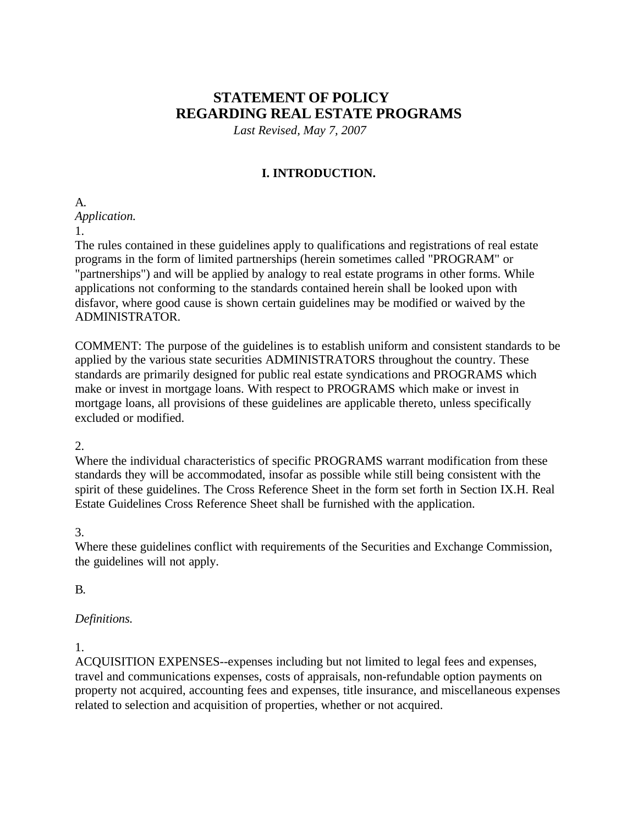# **STATEMENT OF POLICY REGARDING REAL ESTATE PROGRAMS**

*Last Revised, May 7, 2007*

# **I. INTRODUCTION.**

A. *Application.*

1.

The rules contained in these guidelines apply to qualifications and registrations of real estate programs in the form of limited partnerships (herein sometimes called "PROGRAM" or "partnerships") and will be applied by analogy to real estate programs in other forms. While applications not conforming to the standards contained herein shall be looked upon with disfavor, where good cause is shown certain guidelines may be modified or waived by the ADMINISTRATOR.

COMMENT: The purpose of the guidelines is to establish uniform and consistent standards to be applied by the various state securities ADMINISTRATORS throughout the country. These standards are primarily designed for public real estate syndications and PROGRAMS which make or invest in mortgage loans. With respect to PROGRAMS which make or invest in mortgage loans, all provisions of these guidelines are applicable thereto, unless specifically excluded or modified.

2.

Where the individual characteristics of specific PROGRAMS warrant modification from these standards they will be accommodated, insofar as possible while still being consistent with the spirit of these guidelines. The Cross Reference Sheet in the form set forth in Section IX.H. Real Estate Guidelines Cross Reference Sheet shall be furnished with the application.

## 3.

Where these guidelines conflict with requirements of the Securities and Exchange Commission, the guidelines will not apply.

# B.

## *Definitions.*

1.

ACQUISITION EXPENSES--expenses including but not limited to legal fees and expenses, travel and communications expenses, costs of appraisals, non-refundable option payments on property not acquired, accounting fees and expenses, title insurance, and miscellaneous expenses related to selection and acquisition of properties, whether or not acquired.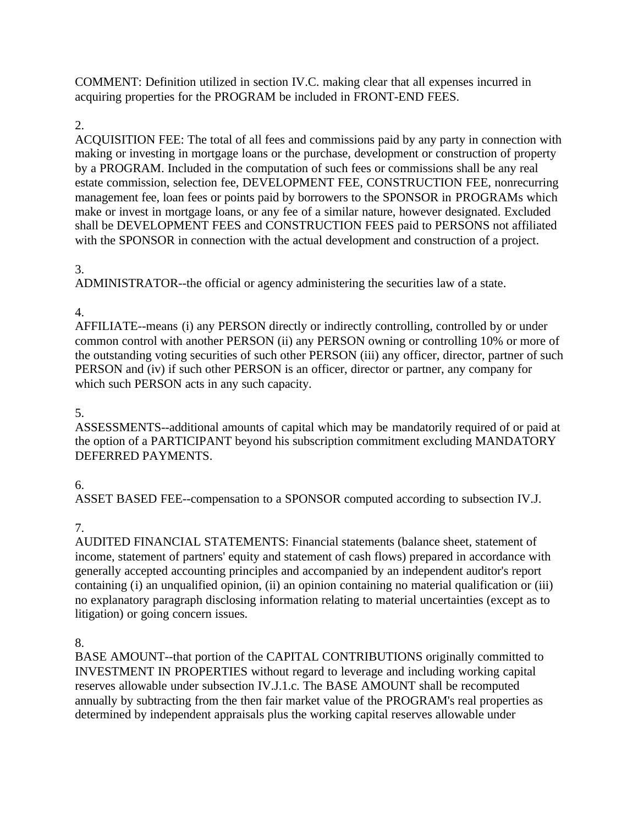COMMENT: Definition utilized in section IV.C. making clear that all expenses incurred in acquiring properties for the PROGRAM be included in FRONT-END FEES.

# 2.

ACQUISITION FEE: The total of all fees and commissions paid by any party in connection with making or investing in mortgage loans or the purchase, development or construction of property by a PROGRAM. Included in the computation of such fees or commissions shall be any real estate commission, selection fee, DEVELOPMENT FEE, CONSTRUCTION FEE, nonrecurring management fee, loan fees or points paid by borrowers to the SPONSOR in PROGRAMs which make or invest in mortgage loans, or any fee of a similar nature, however designated. Excluded shall be DEVELOPMENT FEES and CONSTRUCTION FEES paid to PERSONS not affiliated with the SPONSOR in connection with the actual development and construction of a project.

# 3.

ADMINISTRATOR--the official or agency administering the securities law of a state.

# 4.

AFFILIATE--means (i) any PERSON directly or indirectly controlling, controlled by or under common control with another PERSON (ii) any PERSON owning or controlling 10% or more of the outstanding voting securities of such other PERSON (iii) any officer, director, partner of such PERSON and (iv) if such other PERSON is an officer, director or partner, any company for which such PERSON acts in any such capacity.

# 5.

ASSESSMENTS--additional amounts of capital which may be mandatorily required of or paid at the option of a PARTICIPANT beyond his subscription commitment excluding MANDATORY DEFERRED PAYMENTS.

# 6.

ASSET BASED FEE--compensation to a SPONSOR computed according to subsection IV.J.

# 7.

AUDITED FINANCIAL STATEMENTS: Financial statements (balance sheet, statement of income, statement of partners' equity and statement of cash flows) prepared in accordance with generally accepted accounting principles and accompanied by an independent auditor's report containing (i) an unqualified opinion, (ii) an opinion containing no material qualification or (iii) no explanatory paragraph disclosing information relating to material uncertainties (except as to litigation) or going concern issues.

# 8.

BASE AMOUNT--that portion of the CAPITAL CONTRIBUTIONS originally committed to INVESTMENT IN PROPERTIES without regard to leverage and including working capital reserves allowable under subsection IV.J.1.c. The BASE AMOUNT shall be recomputed annually by subtracting from the then fair market value of the PROGRAM's real properties as determined by independent appraisals plus the working capital reserves allowable under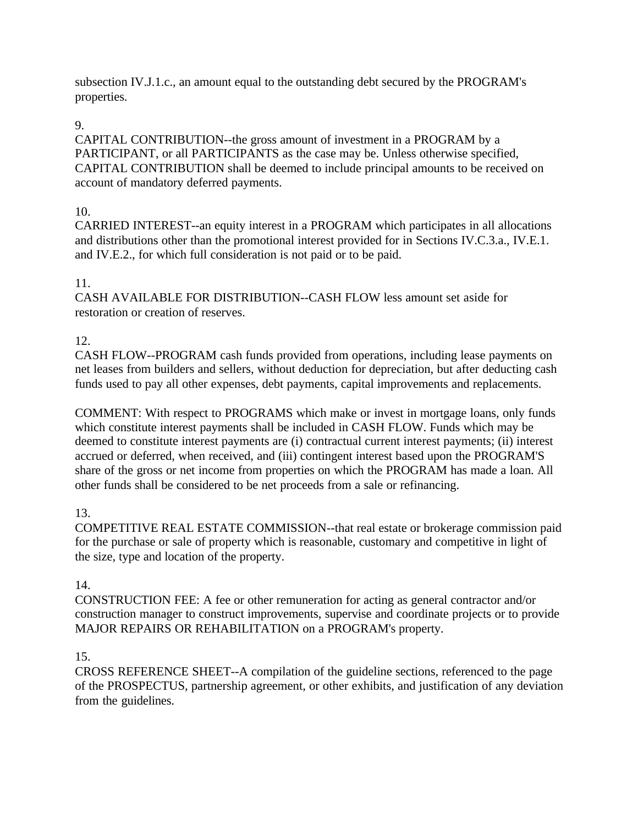subsection IV.J.1.c., an amount equal to the outstanding debt secured by the PROGRAM's properties.

# 9.

CAPITAL CONTRIBUTION--the gross amount of investment in a PROGRAM by a PARTICIPANT, or all PARTICIPANTS as the case may be. Unless otherwise specified, CAPITAL CONTRIBUTION shall be deemed to include principal amounts to be received on account of mandatory deferred payments.

# 10.

CARRIED INTEREST--an equity interest in a PROGRAM which participates in all allocations and distributions other than the promotional interest provided for in Sections IV.C.3.a., IV.E.1. and IV.E.2., for which full consideration is not paid or to be paid.

# 11.

CASH AVAILABLE FOR DISTRIBUTION--CASH FLOW less amount set aside for restoration or creation of reserves.

# 12.

CASH FLOW--PROGRAM cash funds provided from operations, including lease payments on net leases from builders and sellers, without deduction for depreciation, but after deducting cash funds used to pay all other expenses, debt payments, capital improvements and replacements.

COMMENT: With respect to PROGRAMS which make or invest in mortgage loans, only funds which constitute interest payments shall be included in CASH FLOW. Funds which may be deemed to constitute interest payments are (i) contractual current interest payments; (ii) interest accrued or deferred, when received, and (iii) contingent interest based upon the PROGRAM'S share of the gross or net income from properties on which the PROGRAM has made a loan. All other funds shall be considered to be net proceeds from a sale or refinancing.

# 13.

COMPETITIVE REAL ESTATE COMMISSION--that real estate or brokerage commission paid for the purchase or sale of property which is reasonable, customary and competitive in light of the size, type and location of the property.

## 14.

CONSTRUCTION FEE: A fee or other remuneration for acting as general contractor and/or construction manager to construct improvements, supervise and coordinate projects or to provide MAJOR REPAIRS OR REHABILITATION on a PROGRAM's property.

## 15.

CROSS REFERENCE SHEET--A compilation of the guideline sections, referenced to the page of the PROSPECTUS, partnership agreement, or other exhibits, and justification of any deviation from the guidelines.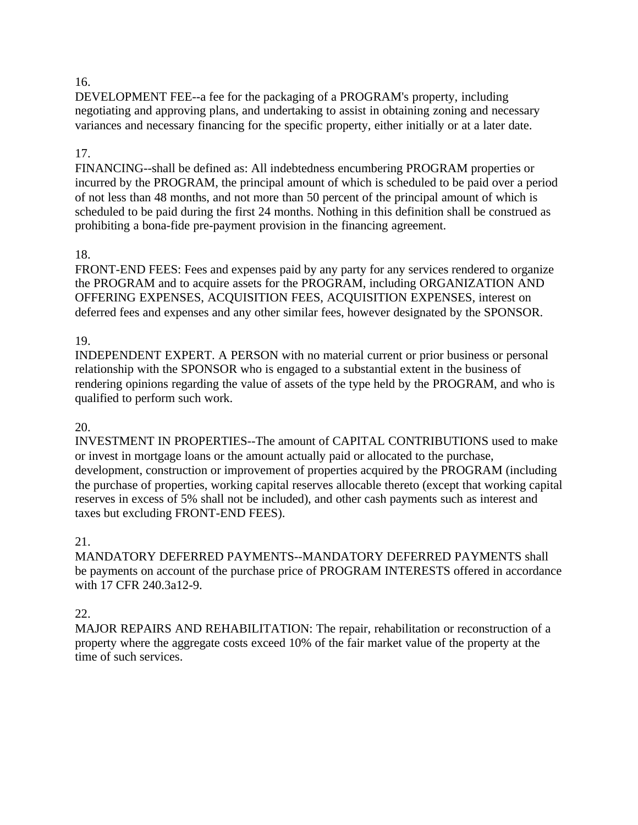DEVELOPMENT FEE--a fee for the packaging of a PROGRAM's property, including negotiating and approving plans, and undertaking to assist in obtaining zoning and necessary variances and necessary financing for the specific property, either initially or at a later date.

#### 17.

FINANCING--shall be defined as: All indebtedness encumbering PROGRAM properties or incurred by the PROGRAM, the principal amount of which is scheduled to be paid over a period of not less than 48 months, and not more than 50 percent of the principal amount of which is scheduled to be paid during the first 24 months. Nothing in this definition shall be construed as prohibiting a bona-fide pre-payment provision in the financing agreement.

#### 18.

FRONT-END FEES: Fees and expenses paid by any party for any services rendered to organize the PROGRAM and to acquire assets for the PROGRAM, including ORGANIZATION AND OFFERING EXPENSES, ACQUISITION FEES, ACQUISITION EXPENSES, interest on deferred fees and expenses and any other similar fees, however designated by the SPONSOR.

#### 19.

INDEPENDENT EXPERT. A PERSON with no material current or prior business or personal relationship with the SPONSOR who is engaged to a substantial extent in the business of rendering opinions regarding the value of assets of the type held by the PROGRAM, and who is qualified to perform such work.

#### 20.

INVESTMENT IN PROPERTIES--The amount of CAPITAL CONTRIBUTIONS used to make or invest in mortgage loans or the amount actually paid or allocated to the purchase, development, construction or improvement of properties acquired by the PROGRAM (including the purchase of properties, working capital reserves allocable thereto (except that working capital reserves in excess of 5% shall not be included), and other cash payments such as interest and taxes but excluding FRONT-END FEES).

#### 21.

MANDATORY DEFERRED PAYMENTS--MANDATORY DEFERRED PAYMENTS shall be payments on account of the purchase price of PROGRAM INTERESTS offered in accordance with 17 CFR 240.3a12-9.

#### 22.

MAJOR REPAIRS AND REHABILITATION: The repair, rehabilitation or reconstruction of a property where the aggregate costs exceed 10% of the fair market value of the property at the time of such services.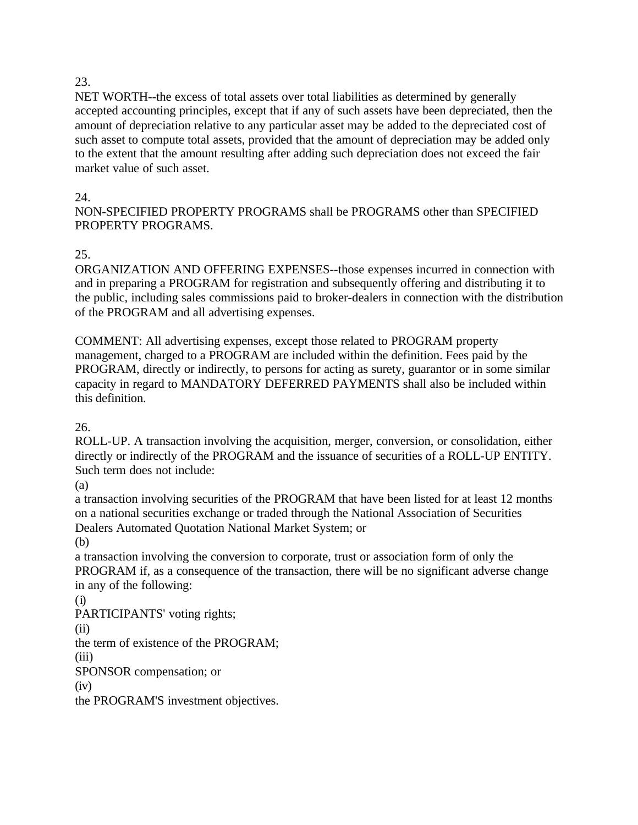NET WORTH--the excess of total assets over total liabilities as determined by generally accepted accounting principles, except that if any of such assets have been depreciated, then the amount of depreciation relative to any particular asset may be added to the depreciated cost of such asset to compute total assets, provided that the amount of depreciation may be added only to the extent that the amount resulting after adding such depreciation does not exceed the fair market value of such asset.

#### 24.

NON-SPECIFIED PROPERTY PROGRAMS shall be PROGRAMS other than SPECIFIED PROPERTY PROGRAMS.

## 25.

ORGANIZATION AND OFFERING EXPENSES--those expenses incurred in connection with and in preparing a PROGRAM for registration and subsequently offering and distributing it to the public, including sales commissions paid to broker-dealers in connection with the distribution of the PROGRAM and all advertising expenses.

COMMENT: All advertising expenses, except those related to PROGRAM property management, charged to a PROGRAM are included within the definition. Fees paid by the PROGRAM, directly or indirectly, to persons for acting as surety, guarantor or in some similar capacity in regard to MANDATORY DEFERRED PAYMENTS shall also be included within this definition.

26.

ROLL-UP. A transaction involving the acquisition, merger, conversion, or consolidation, either directly or indirectly of the PROGRAM and the issuance of securities of a ROLL-UP ENTITY. Such term does not include:

(a)

a transaction involving securities of the PROGRAM that have been listed for at least 12 months on a national securities exchange or traded through the National Association of Securities Dealers Automated Quotation National Market System; or

(b)

a transaction involving the conversion to corporate, trust or association form of only the PROGRAM if, as a consequence of the transaction, there will be no significant adverse change in any of the following:

(i)

PARTICIPANTS' voting rights;

(ii)

the term of existence of the PROGRAM;

(iii)

SPONSOR compensation; or

(iv)

the PROGRAM'S investment objectives.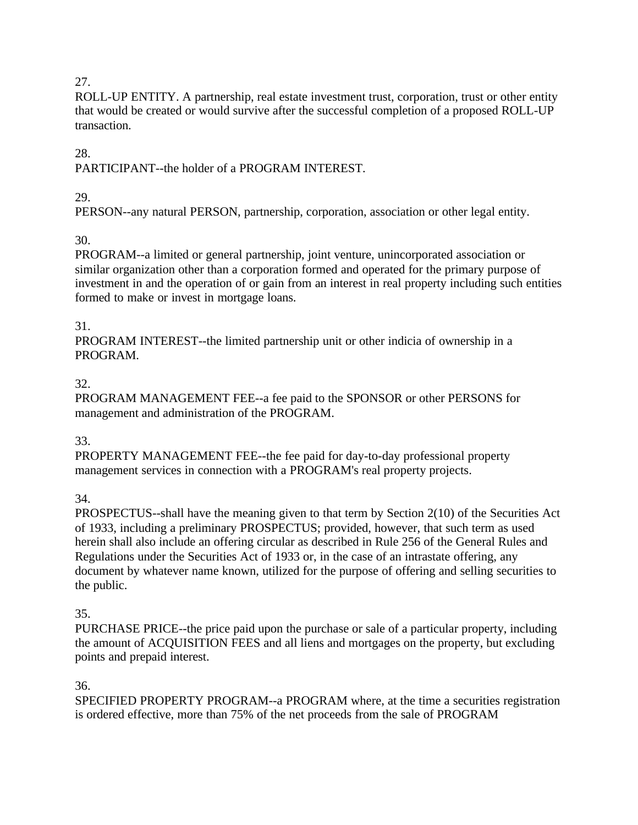ROLL-UP ENTITY. A partnership, real estate investment trust, corporation, trust or other entity that would be created or would survive after the successful completion of a proposed ROLL-UP transaction.

28.

PARTICIPANT--the holder of a PROGRAM INTEREST.

## 29.

PERSON--any natural PERSON, partnership, corporation, association or other legal entity.

# 30.

PROGRAM--a limited or general partnership, joint venture, unincorporated association or similar organization other than a corporation formed and operated for the primary purpose of investment in and the operation of or gain from an interest in real property including such entities formed to make or invest in mortgage loans.

## 31.

PROGRAM INTEREST--the limited partnership unit or other indicia of ownership in a PROGRAM.

## 32.

PROGRAM MANAGEMENT FEE--a fee paid to the SPONSOR or other PERSONS for management and administration of the PROGRAM.

# 33.

PROPERTY MANAGEMENT FEE--the fee paid for day-to-day professional property management services in connection with a PROGRAM's real property projects.

34.

PROSPECTUS--shall have the meaning given to that term by Section 2(10) of the Securities Act of 1933, including a preliminary PROSPECTUS; provided, however, that such term as used herein shall also include an offering circular as described in Rule 256 of the General Rules and Regulations under the Securities Act of 1933 or, in the case of an intrastate offering, any document by whatever name known, utilized for the purpose of offering and selling securities to the public.

# 35.

PURCHASE PRICE--the price paid upon the purchase or sale of a particular property, including the amount of ACQUISITION FEES and all liens and mortgages on the property, but excluding points and prepaid interest.

## 36.

SPECIFIED PROPERTY PROGRAM--a PROGRAM where, at the time a securities registration is ordered effective, more than 75% of the net proceeds from the sale of PROGRAM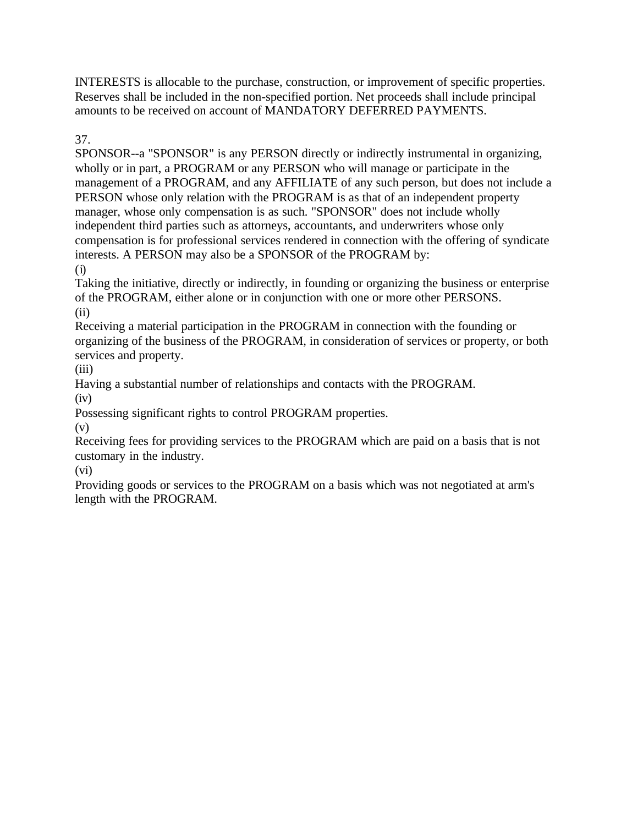INTERESTS is allocable to the purchase, construction, or improvement of specific properties. Reserves shall be included in the non-specified portion. Net proceeds shall include principal amounts to be received on account of MANDATORY DEFERRED PAYMENTS.

37.

SPONSOR--a "SPONSOR" is any PERSON directly or indirectly instrumental in organizing, wholly or in part, a PROGRAM or any PERSON who will manage or participate in the management of a PROGRAM, and any AFFILIATE of any such person, but does not include a PERSON whose only relation with the PROGRAM is as that of an independent property manager, whose only compensation is as such. "SPONSOR" does not include wholly independent third parties such as attorneys, accountants, and underwriters whose only compensation is for professional services rendered in connection with the offering of syndicate interests. A PERSON may also be a SPONSOR of the PROGRAM by: (i)

Taking the initiative, directly or indirectly, in founding or organizing the business or enterprise of the PROGRAM, either alone or in conjunction with one or more other PERSONS. (ii)

Receiving a material participation in the PROGRAM in connection with the founding or organizing of the business of the PROGRAM, in consideration of services or property, or both services and property.

(iii)

Having a substantial number of relationships and contacts with the PROGRAM.  $(iv)$ 

Possessing significant rights to control PROGRAM properties.

(v)

Receiving fees for providing services to the PROGRAM which are paid on a basis that is not customary in the industry.

(vi)

Providing goods or services to the PROGRAM on a basis which was not negotiated at arm's length with the PROGRAM.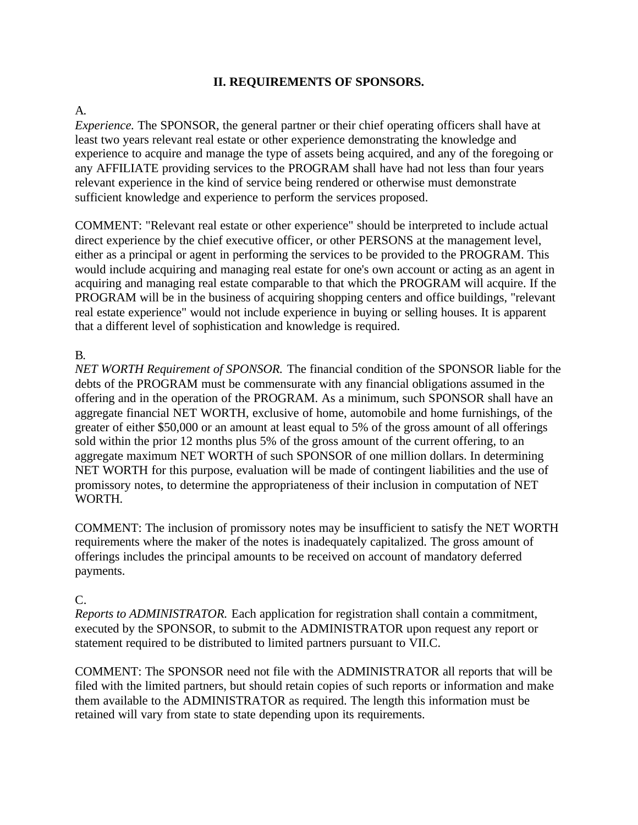#### **II. REQUIREMENTS OF SPONSORS.**

## A.

*Experience.* The SPONSOR, the general partner or their chief operating officers shall have at least two years relevant real estate or other experience demonstrating the knowledge and experience to acquire and manage the type of assets being acquired, and any of the foregoing or any AFFILIATE providing services to the PROGRAM shall have had not less than four years relevant experience in the kind of service being rendered or otherwise must demonstrate sufficient knowledge and experience to perform the services proposed.

COMMENT: "Relevant real estate or other experience" should be interpreted to include actual direct experience by the chief executive officer, or other PERSONS at the management level, either as a principal or agent in performing the services to be provided to the PROGRAM. This would include acquiring and managing real estate for one's own account or acting as an agent in acquiring and managing real estate comparable to that which the PROGRAM will acquire. If the PROGRAM will be in the business of acquiring shopping centers and office buildings, "relevant real estate experience" would not include experience in buying or selling houses. It is apparent that a different level of sophistication and knowledge is required.

## B.

*NET WORTH Requirement of SPONSOR.* The financial condition of the SPONSOR liable for the debts of the PROGRAM must be commensurate with any financial obligations assumed in the offering and in the operation of the PROGRAM. As a minimum, such SPONSOR shall have an aggregate financial NET WORTH, exclusive of home, automobile and home furnishings, of the greater of either \$50,000 or an amount at least equal to 5% of the gross amount of all offerings sold within the prior 12 months plus 5% of the gross amount of the current offering, to an aggregate maximum NET WORTH of such SPONSOR of one million dollars. In determining NET WORTH for this purpose, evaluation will be made of contingent liabilities and the use of promissory notes, to determine the appropriateness of their inclusion in computation of NET WORTH.

COMMENT: The inclusion of promissory notes may be insufficient to satisfy the NET WORTH requirements where the maker of the notes is inadequately capitalized. The gross amount of offerings includes the principal amounts to be received on account of mandatory deferred payments.

## $C_{\cdot}$

*Reports to ADMINISTRATOR.* Each application for registration shall contain a commitment, executed by the SPONSOR, to submit to the ADMINISTRATOR upon request any report or statement required to be distributed to limited partners pursuant to VII.C.

COMMENT: The SPONSOR need not file with the ADMINISTRATOR all reports that will be filed with the limited partners, but should retain copies of such reports or information and make them available to the ADMINISTRATOR as required. The length this information must be retained will vary from state to state depending upon its requirements.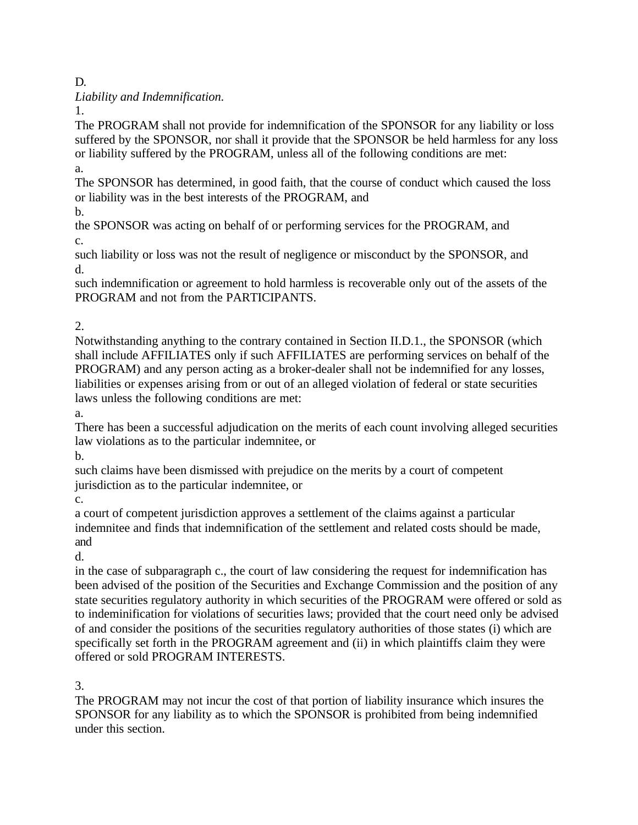D.

*Liability and Indemnification.*

1.

The PROGRAM shall not provide for indemnification of the SPONSOR for any liability or loss suffered by the SPONSOR, nor shall it provide that the SPONSOR be held harmless for any loss or liability suffered by the PROGRAM, unless all of the following conditions are met: a.

The SPONSOR has determined, in good faith, that the course of conduct which caused the loss or liability was in the best interests of the PROGRAM, and

b.

the SPONSOR was acting on behalf of or performing services for the PROGRAM, and c.

such liability or loss was not the result of negligence or misconduct by the SPONSOR, and d.

such indemnification or agreement to hold harmless is recoverable only out of the assets of the PROGRAM and not from the PARTICIPANTS.

2.

Notwithstanding anything to the contrary contained in Section II.D.1., the SPONSOR (which shall include AFFILIATES only if such AFFILIATES are performing services on behalf of the PROGRAM) and any person acting as a broker-dealer shall not be indemnified for any losses, liabilities or expenses arising from or out of an alleged violation of federal or state securities laws unless the following conditions are met:

a.

There has been a successful adjudication on the merits of each count involving alleged securities law violations as to the particular indemnitee, or

b.

such claims have been dismissed with prejudice on the merits by a court of competent jurisdiction as to the particular indemnitee, or

c.

a court of competent jurisdiction approves a settlement of the claims against a particular indemnitee and finds that indemnification of the settlement and related costs should be made, and

d.

in the case of subparagraph c., the court of law considering the request for indemnification has been advised of the position of the Securities and Exchange Commission and the position of any state securities regulatory authority in which securities of the PROGRAM were offered or sold as to indeminification for violations of securities laws; provided that the court need only be advised of and consider the positions of the securities regulatory authorities of those states (i) which are specifically set forth in the PROGRAM agreement and (ii) in which plaintiffs claim they were offered or sold PROGRAM INTERESTS.

3.

The PROGRAM may not incur the cost of that portion of liability insurance which insures the SPONSOR for any liability as to which the SPONSOR is prohibited from being indemnified under this section.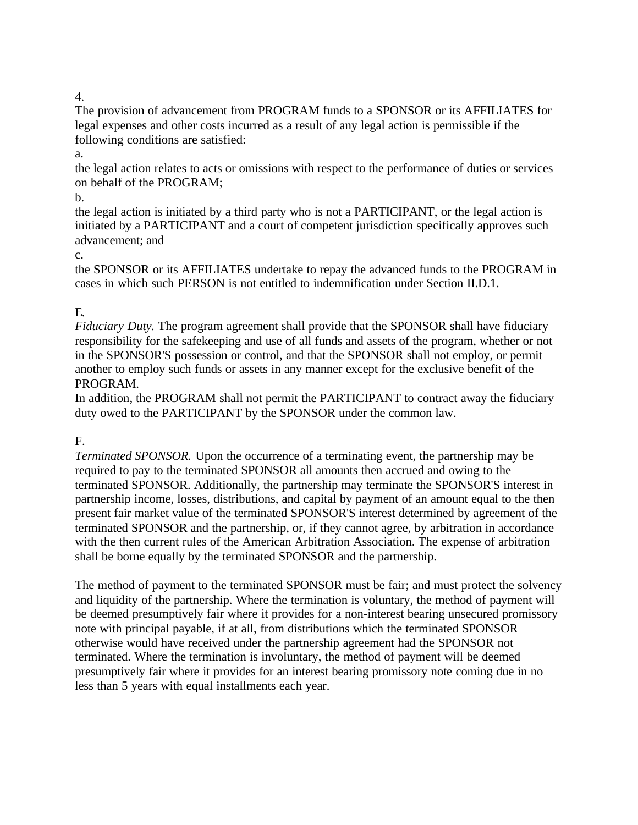The provision of advancement from PROGRAM funds to a SPONSOR or its AFFILIATES for legal expenses and other costs incurred as a result of any legal action is permissible if the following conditions are satisfied:

a.

the legal action relates to acts or omissions with respect to the performance of duties or services on behalf of the PROGRAM;

b.

the legal action is initiated by a third party who is not a PARTICIPANT, or the legal action is initiated by a PARTICIPANT and a court of competent jurisdiction specifically approves such advancement; and

## c.

the SPONSOR or its AFFILIATES undertake to repay the advanced funds to the PROGRAM in cases in which such PERSON is not entitled to indemnification under Section II.D.1.

# E.

*Fiduciary Duty.* The program agreement shall provide that the SPONSOR shall have fiduciary responsibility for the safekeeping and use of all funds and assets of the program, whether or not in the SPONSOR'S possession or control, and that the SPONSOR shall not employ, or permit another to employ such funds or assets in any manner except for the exclusive benefit of the PROGRAM.

In addition, the PROGRAM shall not permit the PARTICIPANT to contract away the fiduciary duty owed to the PARTICIPANT by the SPONSOR under the common law.

# F.

*Terminated SPONSOR.* Upon the occurrence of a terminating event, the partnership may be required to pay to the terminated SPONSOR all amounts then accrued and owing to the terminated SPONSOR. Additionally, the partnership may terminate the SPONSOR'S interest in partnership income, losses, distributions, and capital by payment of an amount equal to the then present fair market value of the terminated SPONSOR'S interest determined by agreement of the terminated SPONSOR and the partnership, or, if they cannot agree, by arbitration in accordance with the then current rules of the American Arbitration Association. The expense of arbitration shall be borne equally by the terminated SPONSOR and the partnership.

The method of payment to the terminated SPONSOR must be fair; and must protect the solvency and liquidity of the partnership. Where the termination is voluntary, the method of payment will be deemed presumptively fair where it provides for a non-interest bearing unsecured promissory note with principal payable, if at all, from distributions which the terminated SPONSOR otherwise would have received under the partnership agreement had the SPONSOR not terminated. Where the termination is involuntary, the method of payment will be deemed presumptively fair where it provides for an interest bearing promissory note coming due in no less than 5 years with equal installments each year.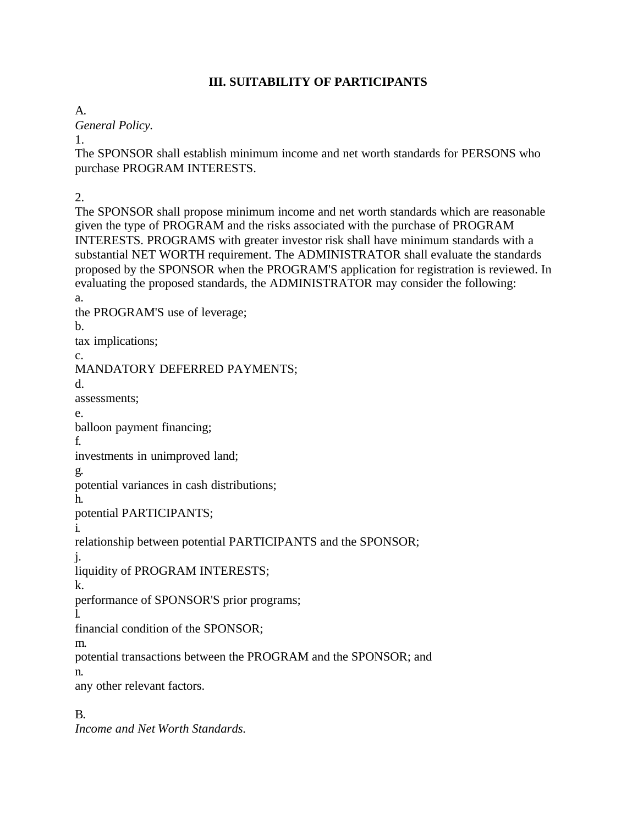## **III. SUITABILITY OF PARTICIPANTS**

A.

*General Policy.*

1.

The SPONSOR shall establish minimum income and net worth standards for PERSONS who purchase PROGRAM INTERESTS.

2.

The SPONSOR shall propose minimum income and net worth standards which are reasonable given the type of PROGRAM and the risks associated with the purchase of PROGRAM INTERESTS. PROGRAMS with greater investor risk shall have minimum standards with a substantial NET WORTH requirement. The ADMINISTRATOR shall evaluate the standards proposed by the SPONSOR when the PROGRAM'S application for registration is reviewed. In evaluating the proposed standards, the ADMINISTRATOR may consider the following: a.

the PROGRAM'S use of leverage; b.

tax implications;

c.

MANDATORY DEFERRED PAYMENTS;

d.

assessments;

e.

balloon payment financing;

f.

investments in unimproved land;

g.

potential variances in cash distributions;

h.

potential PARTICIPANTS;

i.

relationship between potential PARTICIPANTS and the SPONSOR;

j.

liquidity of PROGRAM INTERESTS;

k.

performance of SPONSOR'S prior programs;

l.

financial condition of the SPONSOR;

m.

potential transactions between the PROGRAM and the SPONSOR; and

n.

any other relevant factors.

B.

*Income and Net Worth Standards.*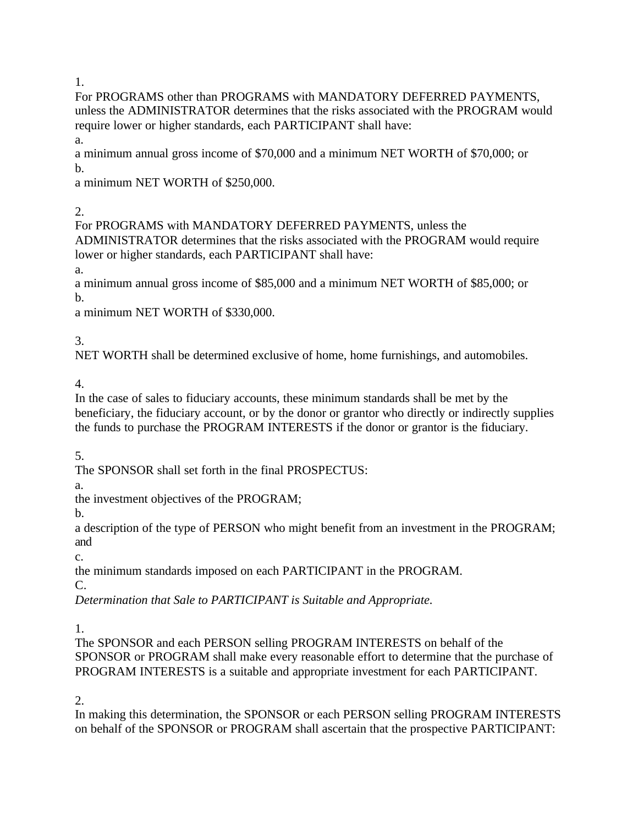For PROGRAMS other than PROGRAMS with MANDATORY DEFERRED PAYMENTS, unless the ADMINISTRATOR determines that the risks associated with the PROGRAM would require lower or higher standards, each PARTICIPANT shall have:

a.

a minimum annual gross income of \$70,000 and a minimum NET WORTH of \$70,000; or b.

a minimum NET WORTH of \$250,000.

2.

For PROGRAMS with MANDATORY DEFERRED PAYMENTS, unless the ADMINISTRATOR determines that the risks associated with the PROGRAM would require lower or higher standards, each PARTICIPANT shall have:

a.

a minimum annual gross income of \$85,000 and a minimum NET WORTH of \$85,000; or b.

a minimum NET WORTH of \$330,000.

3.

NET WORTH shall be determined exclusive of home, home furnishings, and automobiles.

4.

In the case of sales to fiduciary accounts, these minimum standards shall be met by the beneficiary, the fiduciary account, or by the donor or grantor who directly or indirectly supplies the funds to purchase the PROGRAM INTERESTS if the donor or grantor is the fiduciary.

5.

The SPONSOR shall set forth in the final PROSPECTUS:

a.

the investment objectives of the PROGRAM;

b.

a description of the type of PERSON who might benefit from an investment in the PROGRAM; and

c.

the minimum standards imposed on each PARTICIPANT in the PROGRAM.

C.

*Determination that Sale to PARTICIPANT is Suitable and Appropriate.*

1.

The SPONSOR and each PERSON selling PROGRAM INTERESTS on behalf of the SPONSOR or PROGRAM shall make every reasonable effort to determine that the purchase of PROGRAM INTERESTS is a suitable and appropriate investment for each PARTICIPANT.

2.

In making this determination, the SPONSOR or each PERSON selling PROGRAM INTERESTS on behalf of the SPONSOR or PROGRAM shall ascertain that the prospective PARTICIPANT: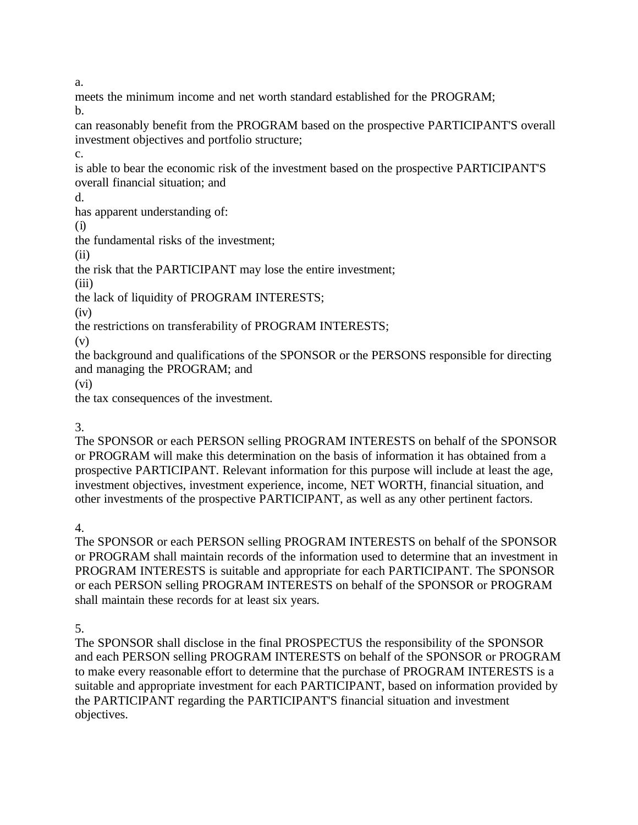a.

meets the minimum income and net worth standard established for the PROGRAM; b.

can reasonably benefit from the PROGRAM based on the prospective PARTICIPANT'S overall investment objectives and portfolio structure;

c.

is able to bear the economic risk of the investment based on the prospective PARTICIPANT'S overall financial situation; and

d.

has apparent understanding of:

(i)

the fundamental risks of the investment;

(ii)

the risk that the PARTICIPANT may lose the entire investment;

(iii)

the lack of liquidity of PROGRAM INTERESTS;

 $(iv)$ 

the restrictions on transferability of PROGRAM INTERESTS;

(v)

the background and qualifications of the SPONSOR or the PERSONS responsible for directing and managing the PROGRAM; and

(vi)

the tax consequences of the investment.

# 3.

The SPONSOR or each PERSON selling PROGRAM INTERESTS on behalf of the SPONSOR or PROGRAM will make this determination on the basis of information it has obtained from a prospective PARTICIPANT. Relevant information for this purpose will include at least the age, investment objectives, investment experience, income, NET WORTH, financial situation, and other investments of the prospective PARTICIPANT, as well as any other pertinent factors.

4.

The SPONSOR or each PERSON selling PROGRAM INTERESTS on behalf of the SPONSOR or PROGRAM shall maintain records of the information used to determine that an investment in PROGRAM INTERESTS is suitable and appropriate for each PARTICIPANT. The SPONSOR or each PERSON selling PROGRAM INTERESTS on behalf of the SPONSOR or PROGRAM shall maintain these records for at least six years.

5.

The SPONSOR shall disclose in the final PROSPECTUS the responsibility of the SPONSOR and each PERSON selling PROGRAM INTERESTS on behalf of the SPONSOR or PROGRAM to make every reasonable effort to determine that the purchase of PROGRAM INTERESTS is a suitable and appropriate investment for each PARTICIPANT, based on information provided by the PARTICIPANT regarding the PARTICIPANT'S financial situation and investment objectives.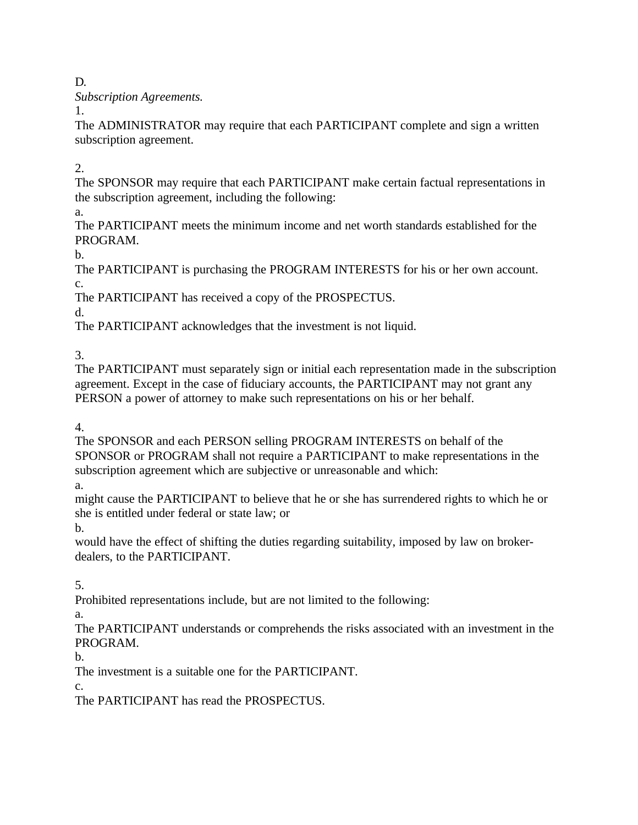D.

*Subscription Agreements.*

1.

The ADMINISTRATOR may require that each PARTICIPANT complete and sign a written subscription agreement.

2.

The SPONSOR may require that each PARTICIPANT make certain factual representations in the subscription agreement, including the following:

a.

The PARTICIPANT meets the minimum income and net worth standards established for the PROGRAM.

 $h_{\cdot}$ 

The PARTICIPANT is purchasing the PROGRAM INTERESTS for his or her own account. c.

The PARTICIPANT has received a copy of the PROSPECTUS.

d.

The PARTICIPANT acknowledges that the investment is not liquid.

3.

The PARTICIPANT must separately sign or initial each representation made in the subscription agreement. Except in the case of fiduciary accounts, the PARTICIPANT may not grant any PERSON a power of attorney to make such representations on his or her behalf.

4.

The SPONSOR and each PERSON selling PROGRAM INTERESTS on behalf of the SPONSOR or PROGRAM shall not require a PARTICIPANT to make representations in the subscription agreement which are subjective or unreasonable and which:

a.

might cause the PARTICIPANT to believe that he or she has surrendered rights to which he or she is entitled under federal or state law; or

b.

would have the effect of shifting the duties regarding suitability, imposed by law on brokerdealers, to the PARTICIPANT.

5.

Prohibited representations include, but are not limited to the following:

a.

The PARTICIPANT understands or comprehends the risks associated with an investment in the PROGRAM.

b.

The investment is a suitable one for the PARTICIPANT.

c.

The PARTICIPANT has read the PROSPECTUS.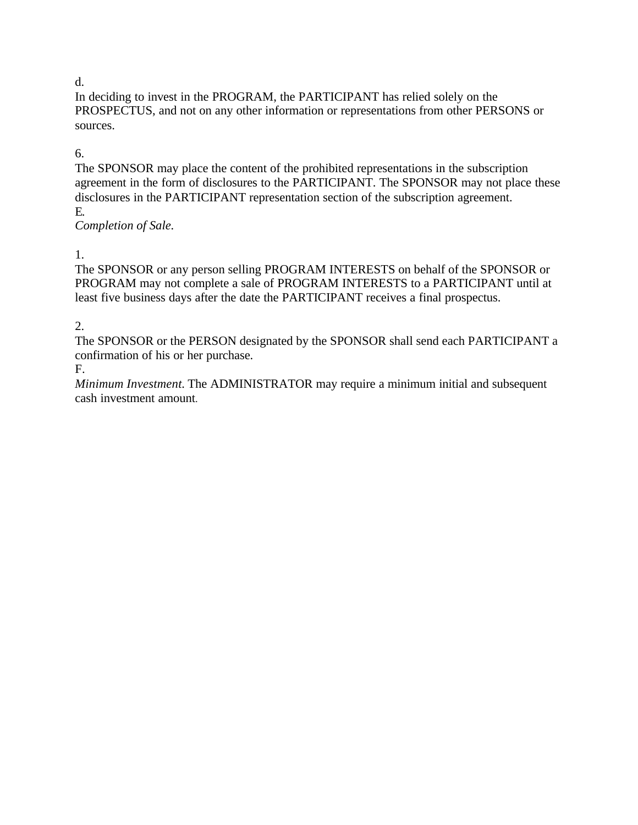#### d.

In deciding to invest in the PROGRAM, the PARTICIPANT has relied solely on the PROSPECTUS, and not on any other information or representations from other PERSONS or sources.

## 6.

The SPONSOR may place the content of the prohibited representations in the subscription agreement in the form of disclosures to the PARTICIPANT. The SPONSOR may not place these disclosures in the PARTICIPANT representation section of the subscription agreement. E.

*Completion of Sale.*

1.

The SPONSOR or any person selling PROGRAM INTERESTS on behalf of the SPONSOR or PROGRAM may not complete a sale of PROGRAM INTERESTS to a PARTICIPANT until at least five business days after the date the PARTICIPANT receives a final prospectus.

## 2.

The SPONSOR or the PERSON designated by the SPONSOR shall send each PARTICIPANT a confirmation of his or her purchase.

F.

*Minimum Investment.* The ADMINISTRATOR may require a minimum initial and subsequent cash investment amount.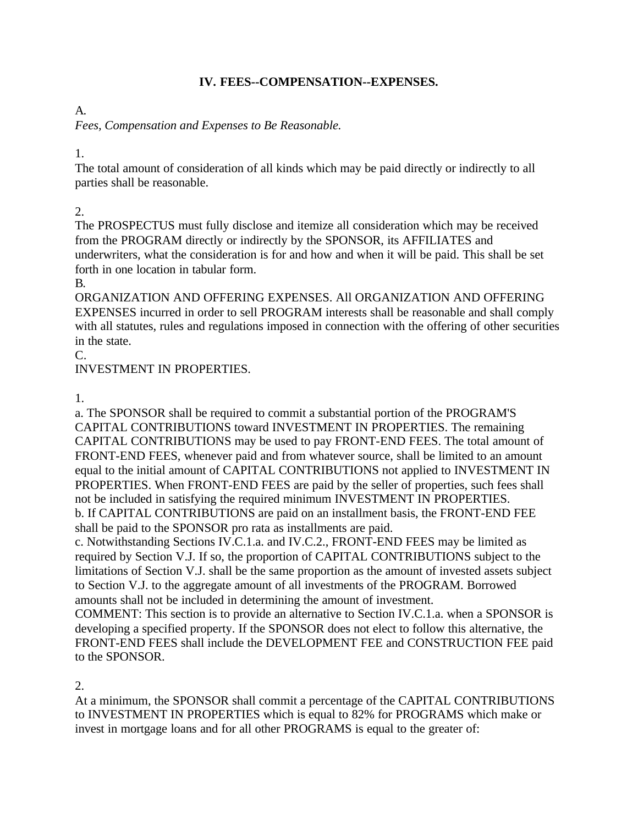#### **IV. FEES--COMPENSATION--EXPENSES.**

## A.

*Fees, Compensation and Expenses to Be Reasonable.*

## 1.

The total amount of consideration of all kinds which may be paid directly or indirectly to all parties shall be reasonable.

# 2.

The PROSPECTUS must fully disclose and itemize all consideration which may be received from the PROGRAM directly or indirectly by the SPONSOR, its AFFILIATES and underwriters, what the consideration is for and how and when it will be paid. This shall be set forth in one location in tabular form.

B.

ORGANIZATION AND OFFERING EXPENSES. All ORGANIZATION AND OFFERING EXPENSES incurred in order to sell PROGRAM interests shall be reasonable and shall comply with all statutes, rules and regulations imposed in connection with the offering of other securities in the state.

 $C_{\cdot}$ 

INVESTMENT IN PROPERTIES.

1.

a. The SPONSOR shall be required to commit a substantial portion of the PROGRAM'S CAPITAL CONTRIBUTIONS toward INVESTMENT IN PROPERTIES. The remaining CAPITAL CONTRIBUTIONS may be used to pay FRONT-END FEES. The total amount of FRONT-END FEES, whenever paid and from whatever source, shall be limited to an amount equal to the initial amount of CAPITAL CONTRIBUTIONS not applied to INVESTMENT IN PROPERTIES. When FRONT-END FEES are paid by the seller of properties, such fees shall not be included in satisfying the required minimum INVESTMENT IN PROPERTIES. b. If CAPITAL CONTRIBUTIONS are paid on an installment basis, the FRONT-END FEE shall be paid to the SPONSOR pro rata as installments are paid.

c. Notwithstanding Sections IV.C.1.a. and IV.C.2., FRONT-END FEES may be limited as required by Section V.J. If so, the proportion of CAPITAL CONTRIBUTIONS subject to the limitations of Section V.J. shall be the same proportion as the amount of invested assets subject to Section V.J. to the aggregate amount of all investments of the PROGRAM. Borrowed amounts shall not be included in determining the amount of investment.

COMMENT: This section is to provide an alternative to Section IV.C.1.a. when a SPONSOR is developing a specified property. If the SPONSOR does not elect to follow this alternative, the FRONT-END FEES shall include the DEVELOPMENT FEE and CONSTRUCTION FEE paid to the SPONSOR.

2.

At a minimum, the SPONSOR shall commit a percentage of the CAPITAL CONTRIBUTIONS to INVESTMENT IN PROPERTIES which is equal to 82% for PROGRAMS which make or invest in mortgage loans and for all other PROGRAMS is equal to the greater of: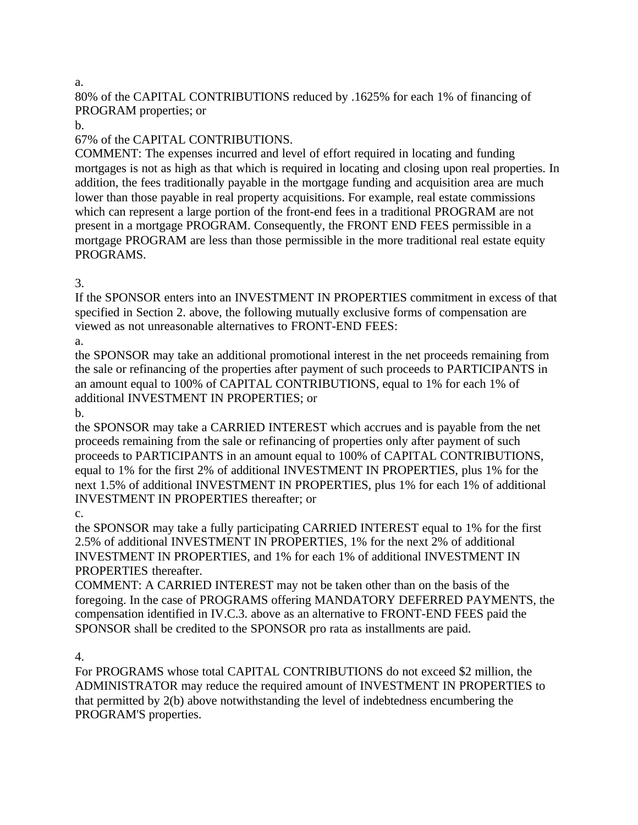a.

80% of the CAPITAL CONTRIBUTIONS reduced by .1625% for each 1% of financing of PROGRAM properties; or

b.

67% of the CAPITAL CONTRIBUTIONS.

COMMENT: The expenses incurred and level of effort required in locating and funding mortgages is not as high as that which is required in locating and closing upon real properties. In addition, the fees traditionally payable in the mortgage funding and acquisition area are much lower than those payable in real property acquisitions. For example, real estate commissions which can represent a large portion of the front-end fees in a traditional PROGRAM are not present in a mortgage PROGRAM. Consequently, the FRONT END FEES permissible in a mortgage PROGRAM are less than those permissible in the more traditional real estate equity PROGRAMS.

3.

If the SPONSOR enters into an INVESTMENT IN PROPERTIES commitment in excess of that specified in Section 2. above, the following mutually exclusive forms of compensation are viewed as not unreasonable alternatives to FRONT-END FEES:

a.

the SPONSOR may take an additional promotional interest in the net proceeds remaining from the sale or refinancing of the properties after payment of such proceeds to PARTICIPANTS in an amount equal to 100% of CAPITAL CONTRIBUTIONS, equal to 1% for each 1% of additional INVESTMENT IN PROPERTIES; or

b.

the SPONSOR may take a CARRIED INTEREST which accrues and is payable from the net proceeds remaining from the sale or refinancing of properties only after payment of such proceeds to PARTICIPANTS in an amount equal to 100% of CAPITAL CONTRIBUTIONS, equal to 1% for the first 2% of additional INVESTMENT IN PROPERTIES, plus 1% for the next 1.5% of additional INVESTMENT IN PROPERTIES, plus 1% for each 1% of additional INVESTMENT IN PROPERTIES thereafter; or

c.

the SPONSOR may take a fully participating CARRIED INTEREST equal to 1% for the first 2.5% of additional INVESTMENT IN PROPERTIES, 1% for the next 2% of additional INVESTMENT IN PROPERTIES, and 1% for each 1% of additional INVESTMENT IN PROPERTIES thereafter.

COMMENT: A CARRIED INTEREST may not be taken other than on the basis of the foregoing. In the case of PROGRAMS offering MANDATORY DEFERRED PAYMENTS, the compensation identified in IV.C.3. above as an alternative to FRONT-END FEES paid the SPONSOR shall be credited to the SPONSOR pro rata as installments are paid.

4.

For PROGRAMS whose total CAPITAL CONTRIBUTIONS do not exceed \$2 million, the ADMINISTRATOR may reduce the required amount of INVESTMENT IN PROPERTIES to that permitted by 2(b) above notwithstanding the level of indebtedness encumbering the PROGRAM'S properties.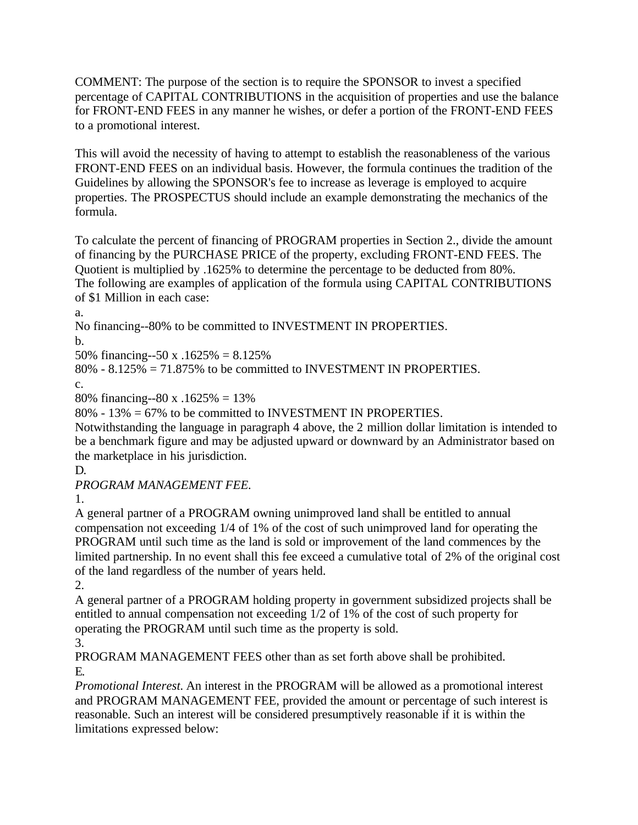COMMENT: The purpose of the section is to require the SPONSOR to invest a specified percentage of CAPITAL CONTRIBUTIONS in the acquisition of properties and use the balance for FRONT-END FEES in any manner he wishes, or defer a portion of the FRONT-END FEES to a promotional interest.

This will avoid the necessity of having to attempt to establish the reasonableness of the various FRONT-END FEES on an individual basis. However, the formula continues the tradition of the Guidelines by allowing the SPONSOR's fee to increase as leverage is employed to acquire properties. The PROSPECTUS should include an example demonstrating the mechanics of the formula.

To calculate the percent of financing of PROGRAM properties in Section 2., divide the amount of financing by the PURCHASE PRICE of the property, excluding FRONT-END FEES. The Quotient is multiplied by .1625% to determine the percentage to be deducted from 80%. The following are examples of application of the formula using CAPITAL CONTRIBUTIONS of \$1 Million in each case:

a.

No financing--80% to be committed to INVESTMENT IN PROPERTIES.

b.

50% financing--50 x .1625% = 8.125%

80% - 8.125% = 71.875% to be committed to INVESTMENT IN PROPERTIES.

c.

80% financing--80 x .1625% = 13%

80% - 13% = 67% to be committed to INVESTMENT IN PROPERTIES.

Notwithstanding the language in paragraph 4 above, the 2 million dollar limitation is intended to be a benchmark figure and may be adjusted upward or downward by an Administrator based on the marketplace in his jurisdiction.

D.

*PROGRAM MANAGEMENT FEE.*

1.

A general partner of a PROGRAM owning unimproved land shall be entitled to annual compensation not exceeding 1/4 of 1% of the cost of such unimproved land for operating the PROGRAM until such time as the land is sold or improvement of the land commences by the limited partnership. In no event shall this fee exceed a cumulative total of 2% of the original cost of the land regardless of the number of years held.

2.

A general partner of a PROGRAM holding property in government subsidized projects shall be entitled to annual compensation not exceeding 1/2 of 1% of the cost of such property for operating the PROGRAM until such time as the property is sold.

3.

PROGRAM MANAGEMENT FEES other than as set forth above shall be prohibited. E.

*Promotional Interest.* An interest in the PROGRAM will be allowed as a promotional interest and PROGRAM MANAGEMENT FEE, provided the amount or percentage of such interest is reasonable. Such an interest will be considered presumptively reasonable if it is within the limitations expressed below: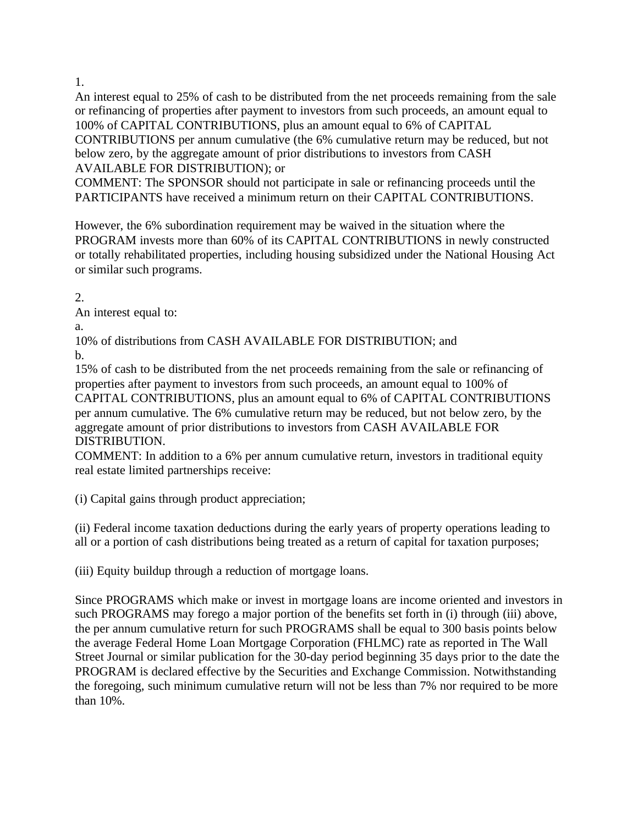An interest equal to 25% of cash to be distributed from the net proceeds remaining from the sale or refinancing of properties after payment to investors from such proceeds, an amount equal to 100% of CAPITAL CONTRIBUTIONS, plus an amount equal to 6% of CAPITAL CONTRIBUTIONS per annum cumulative (the 6% cumulative return may be reduced, but not below zero, by the aggregate amount of prior distributions to investors from CASH AVAILABLE FOR DISTRIBUTION); or

COMMENT: The SPONSOR should not participate in sale or refinancing proceeds until the PARTICIPANTS have received a minimum return on their CAPITAL CONTRIBUTIONS.

However, the 6% subordination requirement may be waived in the situation where the PROGRAM invests more than 60% of its CAPITAL CONTRIBUTIONS in newly constructed or totally rehabilitated properties, including housing subsidized under the National Housing Act or similar such programs.

2.

An interest equal to:

a.

10% of distributions from CASH AVAILABLE FOR DISTRIBUTION; and b.

15% of cash to be distributed from the net proceeds remaining from the sale or refinancing of properties after payment to investors from such proceeds, an amount equal to 100% of CAPITAL CONTRIBUTIONS, plus an amount equal to 6% of CAPITAL CONTRIBUTIONS per annum cumulative. The 6% cumulative return may be reduced, but not below zero, by the aggregate amount of prior distributions to investors from CASH AVAILABLE FOR DISTRIBUTION.

COMMENT: In addition to a 6% per annum cumulative return, investors in traditional equity real estate limited partnerships receive:

(i) Capital gains through product appreciation;

(ii) Federal income taxation deductions during the early years of property operations leading to all or a portion of cash distributions being treated as a return of capital for taxation purposes;

(iii) Equity buildup through a reduction of mortgage loans.

Since PROGRAMS which make or invest in mortgage loans are income oriented and investors in such PROGRAMS may forego a major portion of the benefits set forth in (i) through (iii) above, the per annum cumulative return for such PROGRAMS shall be equal to 300 basis points below the average Federal Home Loan Mortgage Corporation (FHLMC) rate as reported in The Wall Street Journal or similar publication for the 30-day period beginning 35 days prior to the date the PROGRAM is declared effective by the Securities and Exchange Commission. Notwithstanding the foregoing, such minimum cumulative return will not be less than 7% nor required to be more than 10%.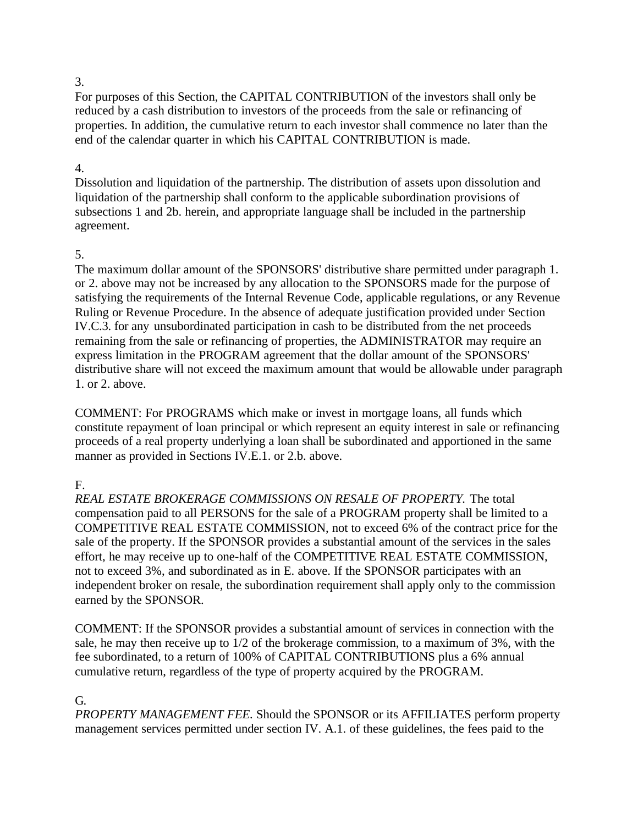For purposes of this Section, the CAPITAL CONTRIBUTION of the investors shall only be reduced by a cash distribution to investors of the proceeds from the sale or refinancing of properties. In addition, the cumulative return to each investor shall commence no later than the end of the calendar quarter in which his CAPITAL CONTRIBUTION is made.

#### 4.

Dissolution and liquidation of the partnership. The distribution of assets upon dissolution and liquidation of the partnership shall conform to the applicable subordination provisions of subsections 1 and 2b. herein, and appropriate language shall be included in the partnership agreement.

## 5.

The maximum dollar amount of the SPONSORS' distributive share permitted under paragraph 1. or 2. above may not be increased by any allocation to the SPONSORS made for the purpose of satisfying the requirements of the Internal Revenue Code, applicable regulations, or any Revenue Ruling or Revenue Procedure. In the absence of adequate justification provided under Section IV.C.3. for any unsubordinated participation in cash to be distributed from the net proceeds remaining from the sale or refinancing of properties, the ADMINISTRATOR may require an express limitation in the PROGRAM agreement that the dollar amount of the SPONSORS' distributive share will not exceed the maximum amount that would be allowable under paragraph 1. or 2. above.

COMMENT: For PROGRAMS which make or invest in mortgage loans, all funds which constitute repayment of loan principal or which represent an equity interest in sale or refinancing proceeds of a real property underlying a loan shall be subordinated and apportioned in the same manner as provided in Sections IV.E.1. or 2.b. above.

# F.

*REAL ESTATE BROKERAGE COMMISSIONS ON RESALE OF PROPERTY.* The total compensation paid to all PERSONS for the sale of a PROGRAM property shall be limited to a COMPETITIVE REAL ESTATE COMMISSION, not to exceed 6% of the contract price for the sale of the property. If the SPONSOR provides a substantial amount of the services in the sales effort, he may receive up to one-half of the COMPETITIVE REAL ESTATE COMMISSION, not to exceed 3%, and subordinated as in E. above. If the SPONSOR participates with an independent broker on resale, the subordination requirement shall apply only to the commission earned by the SPONSOR.

COMMENT: If the SPONSOR provides a substantial amount of services in connection with the sale, he may then receive up to 1/2 of the brokerage commission, to a maximum of 3%, with the fee subordinated, to a return of 100% of CAPITAL CONTRIBUTIONS plus a 6% annual cumulative return, regardless of the type of property acquired by the PROGRAM.

## G.

*PROPERTY MANAGEMENT FEE.* Should the SPONSOR or its AFFILIATES perform property management services permitted under section IV. A.1. of these guidelines, the fees paid to the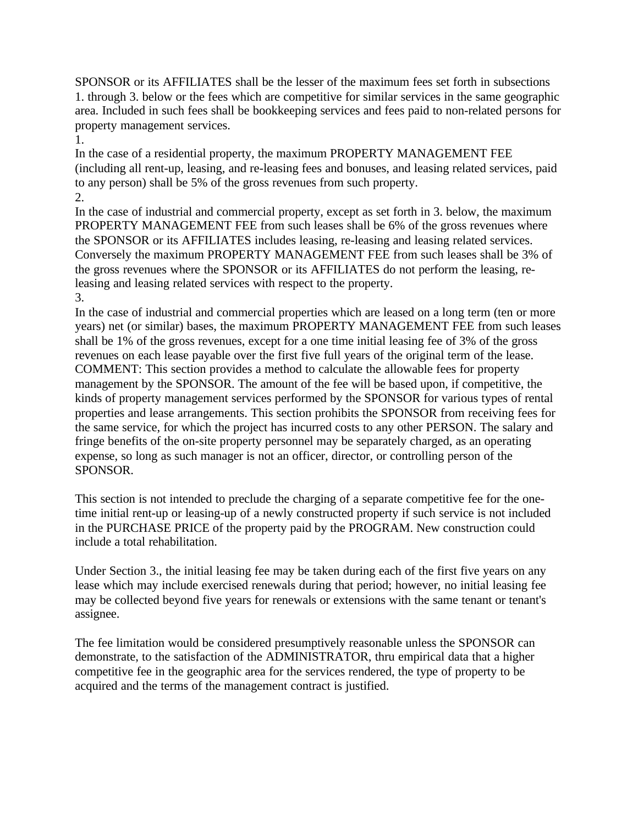SPONSOR or its AFFILIATES shall be the lesser of the maximum fees set forth in subsections 1. through 3. below or the fees which are competitive for similar services in the same geographic area. Included in such fees shall be bookkeeping services and fees paid to non-related persons for property management services.

1.

In the case of a residential property, the maximum PROPERTY MANAGEMENT FEE (including all rent-up, leasing, and re-leasing fees and bonuses, and leasing related services, paid to any person) shall be 5% of the gross revenues from such property. 2.

In the case of industrial and commercial property, except as set forth in 3. below, the maximum PROPERTY MANAGEMENT FEE from such leases shall be 6% of the gross revenues where the SPONSOR or its AFFILIATES includes leasing, re-leasing and leasing related services. Conversely the maximum PROPERTY MANAGEMENT FEE from such leases shall be 3% of the gross revenues where the SPONSOR or its AFFILIATES do not perform the leasing, releasing and leasing related services with respect to the property. 3.

In the case of industrial and commercial properties which are leased on a long term (ten or more years) net (or similar) bases, the maximum PROPERTY MANAGEMENT FEE from such leases shall be 1% of the gross revenues, except for a one time initial leasing fee of 3% of the gross revenues on each lease payable over the first five full years of the original term of the lease. COMMENT: This section provides a method to calculate the allowable fees for property management by the SPONSOR. The amount of the fee will be based upon, if competitive, the kinds of property management services performed by the SPONSOR for various types of rental properties and lease arrangements. This section prohibits the SPONSOR from receiving fees for the same service, for which the project has incurred costs to any other PERSON. The salary and fringe benefits of the on-site property personnel may be separately charged, as an operating expense, so long as such manager is not an officer, director, or controlling person of the SPONSOR.

This section is not intended to preclude the charging of a separate competitive fee for the onetime initial rent-up or leasing-up of a newly constructed property if such service is not included in the PURCHASE PRICE of the property paid by the PROGRAM. New construction could include a total rehabilitation.

Under Section 3., the initial leasing fee may be taken during each of the first five years on any lease which may include exercised renewals during that period; however, no initial leasing fee may be collected beyond five years for renewals or extensions with the same tenant or tenant's assignee.

The fee limitation would be considered presumptively reasonable unless the SPONSOR can demonstrate, to the satisfaction of the ADMINISTRATOR, thru empirical data that a higher competitive fee in the geographic area for the services rendered, the type of property to be acquired and the terms of the management contract is justified.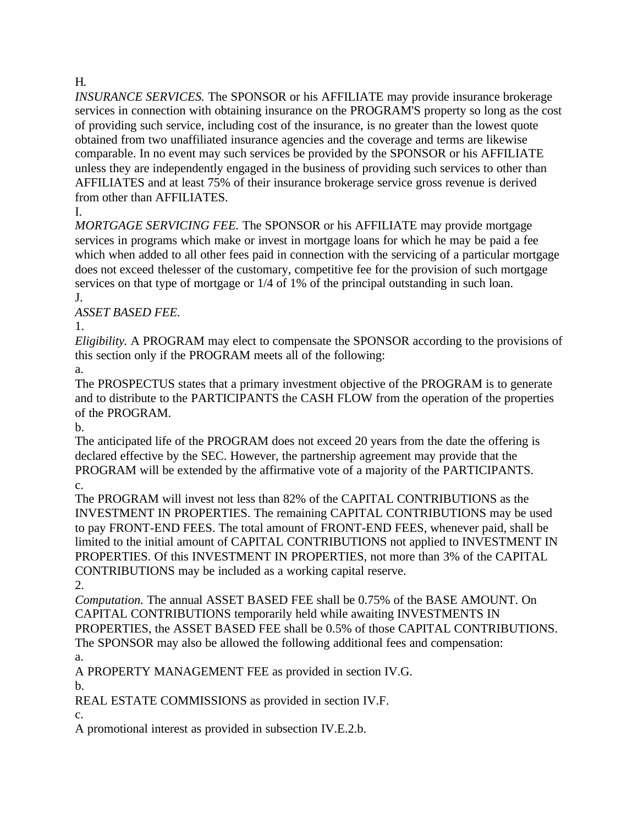# H.

*INSURANCE SERVICES.* The SPONSOR or his AFFILIATE may provide insurance brokerage services in connection with obtaining insurance on the PROGRAM'S property so long as the cost of providing such service, including cost of the insurance, is no greater than the lowest quote obtained from two unaffiliated insurance agencies and the coverage and terms are likewise comparable. In no event may such services be provided by the SPONSOR or his AFFILIATE unless they are independently engaged in the business of providing such services to other than AFFILIATES and at least 75% of their insurance brokerage service gross revenue is derived from other than AFFILIATES.

I.

*MORTGAGE SERVICING FEE.* The SPONSOR or his AFFILIATE may provide mortgage services in programs which make or invest in mortgage loans for which he may be paid a fee which when added to all other fees paid in connection with the servicing of a particular mortgage does not exceed thelesser of the customary, competitive fee for the provision of such mortgage services on that type of mortgage or  $1/4$  of 1% of the principal outstanding in such loan. J.

*ASSET BASED FEE.*

1.

*Eligibility.* A PROGRAM may elect to compensate the SPONSOR according to the provisions of this section only if the PROGRAM meets all of the following:

a.

The PROSPECTUS states that a primary investment objective of the PROGRAM is to generate and to distribute to the PARTICIPANTS the CASH FLOW from the operation of the properties of the PROGRAM.

b.

The anticipated life of the PROGRAM does not exceed 20 years from the date the offering is declared effective by the SEC. However, the partnership agreement may provide that the PROGRAM will be extended by the affirmative vote of a majority of the PARTICIPANTS. c.

The PROGRAM will invest not less than 82% of the CAPITAL CONTRIBUTIONS as the INVESTMENT IN PROPERTIES. The remaining CAPITAL CONTRIBUTIONS may be used to pay FRONT-END FEES. The total amount of FRONT-END FEES, whenever paid, shall be limited to the initial amount of CAPITAL CONTRIBUTIONS not applied to INVESTMENT IN PROPERTIES. Of this INVESTMENT IN PROPERTIES, not more than 3% of the CAPITAL CONTRIBUTIONS may be included as a working capital reserve.

2.

*Computation.* The annual ASSET BASED FEE shall be 0.75% of the BASE AMOUNT. On CAPITAL CONTRIBUTIONS temporarily held while awaiting INVESTMENTS IN PROPERTIES, the ASSET BASED FEE shall be 0.5% of those CAPITAL CONTRIBUTIONS. The SPONSOR may also be allowed the following additional fees and compensation: a.

A PROPERTY MANAGEMENT FEE as provided in section IV.G.

b.

REAL ESTATE COMMISSIONS as provided in section IV.F.

c.

A promotional interest as provided in subsection IV.E.2.b.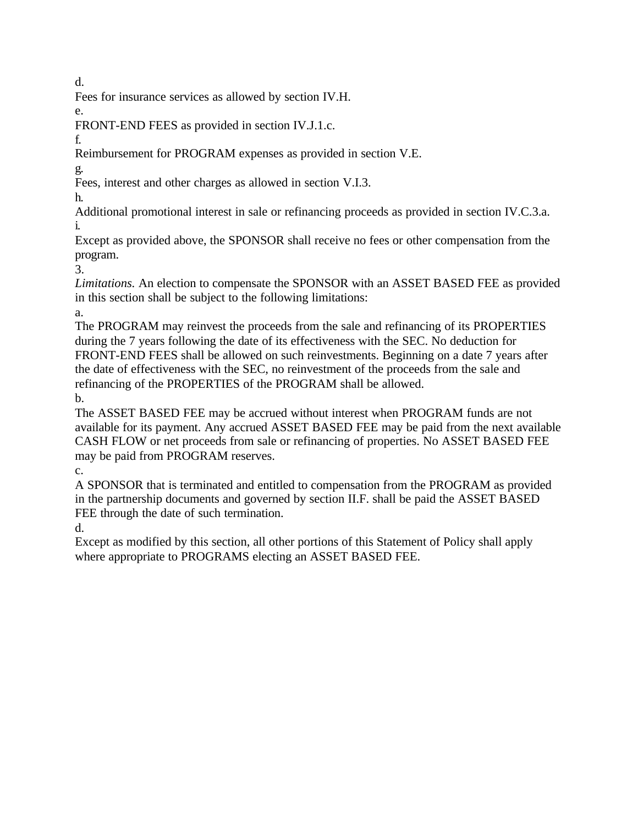d.

Fees for insurance services as allowed by section IV.H.

e.

FRONT-END FEES as provided in section IV.J.1.c.

f.

Reimbursement for PROGRAM expenses as provided in section V.E.

g. Fees, interest and other charges as allowed in section V.I.3.

h.

Additional promotional interest in sale or refinancing proceeds as provided in section IV.C.3.a. i.

Except as provided above, the SPONSOR shall receive no fees or other compensation from the program.

3.

*Limitations.* An election to compensate the SPONSOR with an ASSET BASED FEE as provided in this section shall be subject to the following limitations:

a.

The PROGRAM may reinvest the proceeds from the sale and refinancing of its PROPERTIES during the 7 years following the date of its effectiveness with the SEC. No deduction for FRONT-END FEES shall be allowed on such reinvestments. Beginning on a date 7 years after the date of effectiveness with the SEC, no reinvestment of the proceeds from the sale and refinancing of the PROPERTIES of the PROGRAM shall be allowed. b.

The ASSET BASED FEE may be accrued without interest when PROGRAM funds are not available for its payment. Any accrued ASSET BASED FEE may be paid from the next available CASH FLOW or net proceeds from sale or refinancing of properties. No ASSET BASED FEE may be paid from PROGRAM reserves.

c.

A SPONSOR that is terminated and entitled to compensation from the PROGRAM as provided in the partnership documents and governed by section II.F. shall be paid the ASSET BASED FEE through the date of such termination.

d.

Except as modified by this section, all other portions of this Statement of Policy shall apply where appropriate to PROGRAMS electing an ASSET BASED FEE.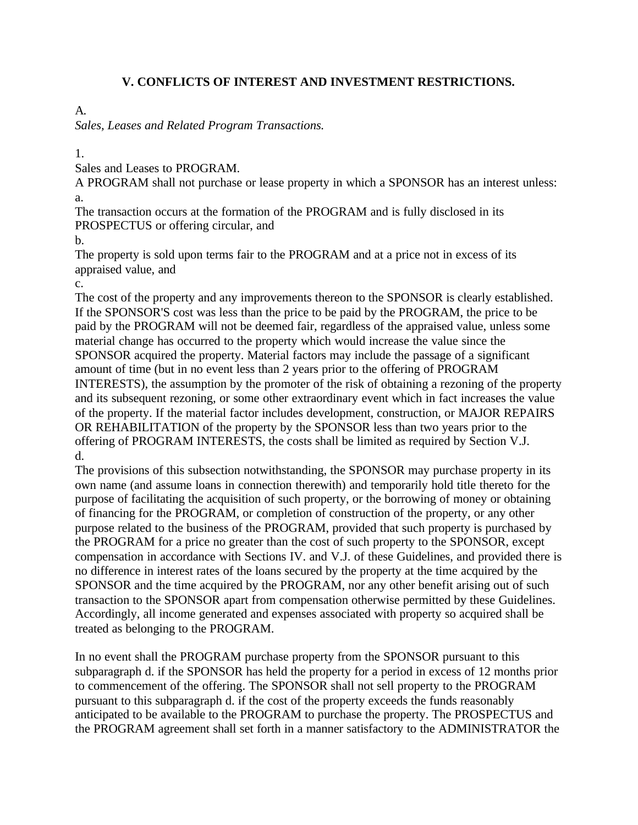#### **V. CONFLICTS OF INTEREST AND INVESTMENT RESTRICTIONS.**

## A.

*Sales, Leases and Related Program Transactions.*

1.

Sales and Leases to PROGRAM.

A PROGRAM shall not purchase or lease property in which a SPONSOR has an interest unless: a.

The transaction occurs at the formation of the PROGRAM and is fully disclosed in its PROSPECTUS or offering circular, and

b.

The property is sold upon terms fair to the PROGRAM and at a price not in excess of its appraised value, and

c.

The cost of the property and any improvements thereon to the SPONSOR is clearly established. If the SPONSOR'S cost was less than the price to be paid by the PROGRAM, the price to be paid by the PROGRAM will not be deemed fair, regardless of the appraised value, unless some material change has occurred to the property which would increase the value since the SPONSOR acquired the property. Material factors may include the passage of a significant amount of time (but in no event less than 2 years prior to the offering of PROGRAM INTERESTS), the assumption by the promoter of the risk of obtaining a rezoning of the property and its subsequent rezoning, or some other extraordinary event which in fact increases the value of the property. If the material factor includes development, construction, or MAJOR REPAIRS OR REHABILITATION of the property by the SPONSOR less than two years prior to the offering of PROGRAM INTERESTS, the costs shall be limited as required by Section V.J. d.

The provisions of this subsection notwithstanding, the SPONSOR may purchase property in its own name (and assume loans in connection therewith) and temporarily hold title thereto for the purpose of facilitating the acquisition of such property, or the borrowing of money or obtaining of financing for the PROGRAM, or completion of construction of the property, or any other purpose related to the business of the PROGRAM, provided that such property is purchased by the PROGRAM for a price no greater than the cost of such property to the SPONSOR, except compensation in accordance with Sections IV. and V.J. of these Guidelines, and provided there is no difference in interest rates of the loans secured by the property at the time acquired by the SPONSOR and the time acquired by the PROGRAM, nor any other benefit arising out of such transaction to the SPONSOR apart from compensation otherwise permitted by these Guidelines. Accordingly, all income generated and expenses associated with property so acquired shall be treated as belonging to the PROGRAM.

In no event shall the PROGRAM purchase property from the SPONSOR pursuant to this subparagraph d. if the SPONSOR has held the property for a period in excess of 12 months prior to commencement of the offering. The SPONSOR shall not sell property to the PROGRAM pursuant to this subparagraph d. if the cost of the property exceeds the funds reasonably anticipated to be available to the PROGRAM to purchase the property. The PROSPECTUS and the PROGRAM agreement shall set forth in a manner satisfactory to the ADMINISTRATOR the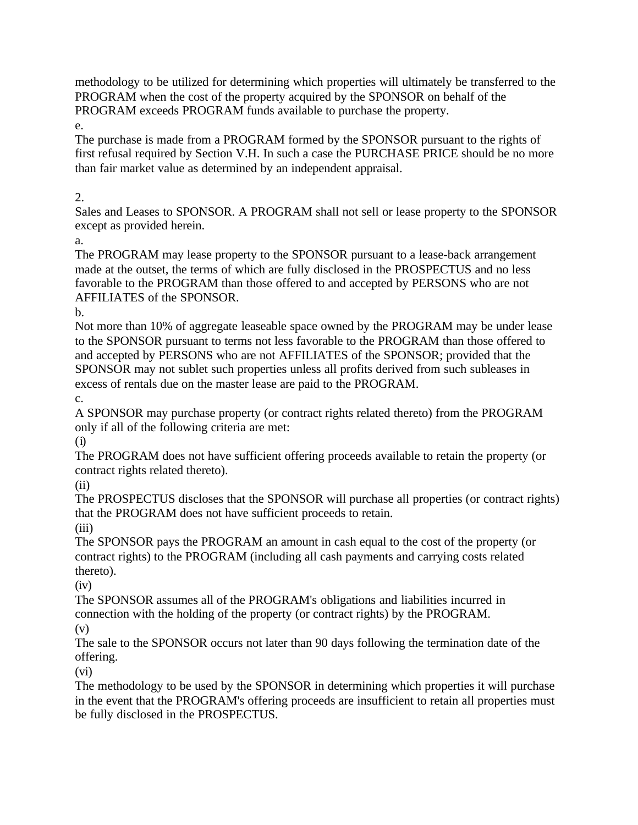methodology to be utilized for determining which properties will ultimately be transferred to the PROGRAM when the cost of the property acquired by the SPONSOR on behalf of the PROGRAM exceeds PROGRAM funds available to purchase the property.

e.

The purchase is made from a PROGRAM formed by the SPONSOR pursuant to the rights of first refusal required by Section V.H. In such a case the PURCHASE PRICE should be no more than fair market value as determined by an independent appraisal.

## 2.

Sales and Leases to SPONSOR. A PROGRAM shall not sell or lease property to the SPONSOR except as provided herein.

a.

The PROGRAM may lease property to the SPONSOR pursuant to a lease-back arrangement made at the outset, the terms of which are fully disclosed in the PROSPECTUS and no less favorable to the PROGRAM than those offered to and accepted by PERSONS who are not AFFILIATES of the SPONSOR.

b.

Not more than 10% of aggregate leaseable space owned by the PROGRAM may be under lease to the SPONSOR pursuant to terms not less favorable to the PROGRAM than those offered to and accepted by PERSONS who are not AFFILIATES of the SPONSOR; provided that the SPONSOR may not sublet such properties unless all profits derived from such subleases in excess of rentals due on the master lease are paid to the PROGRAM. c.

A SPONSOR may purchase property (or contract rights related thereto) from the PROGRAM only if all of the following criteria are met:

(i)

The PROGRAM does not have sufficient offering proceeds available to retain the property (or contract rights related thereto).

(ii)

The PROSPECTUS discloses that the SPONSOR will purchase all properties (or contract rights) that the PROGRAM does not have sufficient proceeds to retain.

(iii)

The SPONSOR pays the PROGRAM an amount in cash equal to the cost of the property (or contract rights) to the PROGRAM (including all cash payments and carrying costs related thereto).

(iv)

The SPONSOR assumes all of the PROGRAM's obligations and liabilities incurred in connection with the holding of the property (or contract rights) by the PROGRAM.

(v)

The sale to the SPONSOR occurs not later than 90 days following the termination date of the offering.

(vi)

The methodology to be used by the SPONSOR in determining which properties it will purchase in the event that the PROGRAM's offering proceeds are insufficient to retain all properties must be fully disclosed in the PROSPECTUS.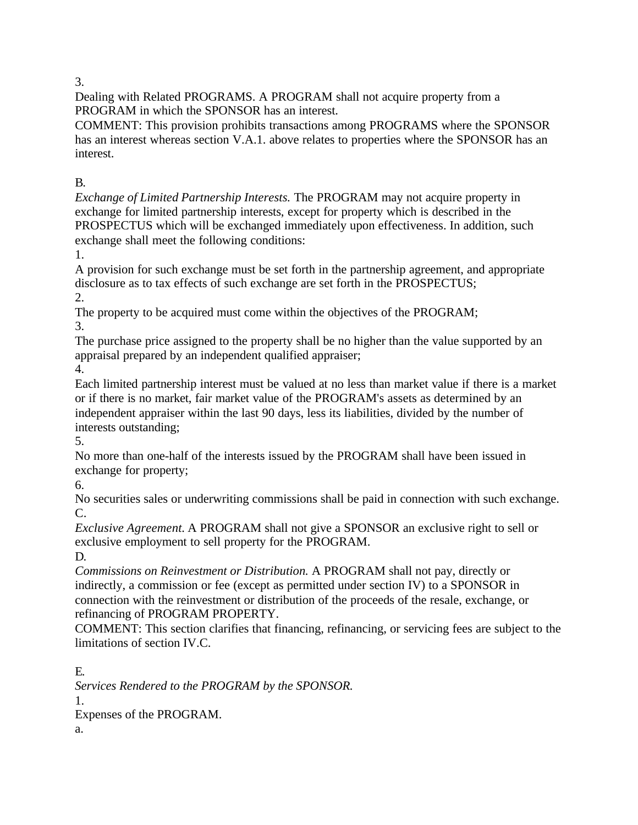Dealing with Related PROGRAMS. A PROGRAM shall not acquire property from a PROGRAM in which the SPONSOR has an interest.

COMMENT: This provision prohibits transactions among PROGRAMS where the SPONSOR has an interest whereas section V.A.1. above relates to properties where the SPONSOR has an interest.

B.

*Exchange of Limited Partnership Interests.* The PROGRAM may not acquire property in exchange for limited partnership interests, except for property which is described in the PROSPECTUS which will be exchanged immediately upon effectiveness. In addition, such exchange shall meet the following conditions:

1.

A provision for such exchange must be set forth in the partnership agreement, and appropriate disclosure as to tax effects of such exchange are set forth in the PROSPECTUS; 2.

The property to be acquired must come within the objectives of the PROGRAM; 3.

The purchase price assigned to the property shall be no higher than the value supported by an appraisal prepared by an independent qualified appraiser;

4.

Each limited partnership interest must be valued at no less than market value if there is a market or if there is no market, fair market value of the PROGRAM's assets as determined by an independent appraiser within the last 90 days, less its liabilities, divided by the number of interests outstanding;

5.

No more than one-half of the interests issued by the PROGRAM shall have been issued in exchange for property;

6.

No securities sales or underwriting commissions shall be paid in connection with such exchange. C.

*Exclusive Agreement.* A PROGRAM shall not give a SPONSOR an exclusive right to sell or exclusive employment to sell property for the PROGRAM.

D.

*Commissions on Reinvestment or Distribution.* A PROGRAM shall not pay, directly or indirectly, a commission or fee (except as permitted under section IV) to a SPONSOR in connection with the reinvestment or distribution of the proceeds of the resale, exchange, or refinancing of PROGRAM PROPERTY.

COMMENT: This section clarifies that financing, refinancing, or servicing fees are subject to the limitations of section IV.C.

E. *Services Rendered to the PROGRAM by the SPONSOR.* 1. Expenses of the PROGRAM. a.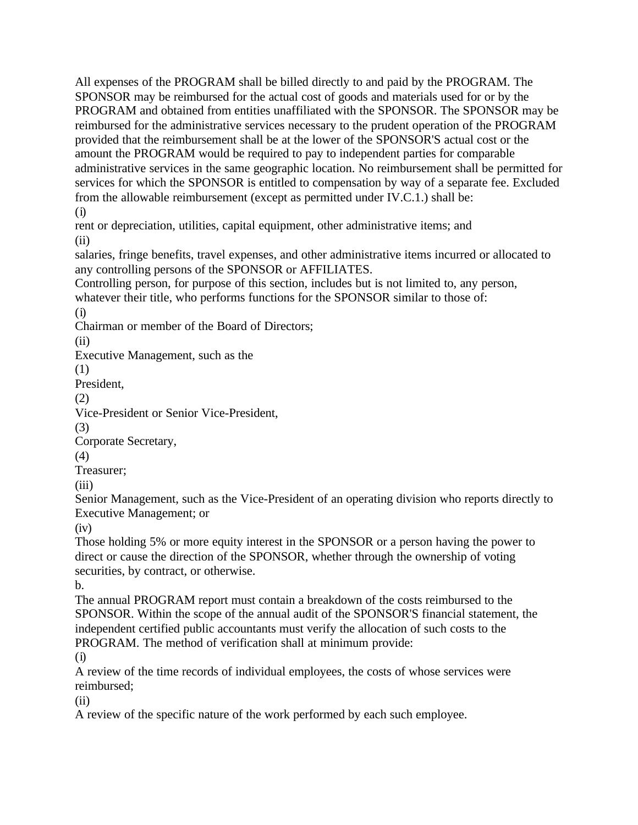All expenses of the PROGRAM shall be billed directly to and paid by the PROGRAM. The SPONSOR may be reimbursed for the actual cost of goods and materials used for or by the PROGRAM and obtained from entities unaffiliated with the SPONSOR. The SPONSOR may be reimbursed for the administrative services necessary to the prudent operation of the PROGRAM provided that the reimbursement shall be at the lower of the SPONSOR'S actual cost or the amount the PROGRAM would be required to pay to independent parties for comparable administrative services in the same geographic location. No reimbursement shall be permitted for services for which the SPONSOR is entitled to compensation by way of a separate fee. Excluded from the allowable reimbursement (except as permitted under IV.C.1.) shall be: (i)

rent or depreciation, utilities, capital equipment, other administrative items; and (ii)

salaries, fringe benefits, travel expenses, and other administrative items incurred or allocated to any controlling persons of the SPONSOR or AFFILIATES.

Controlling person, for purpose of this section, includes but is not limited to, any person, whatever their title, who performs functions for the SPONSOR similar to those of:

(i)

Chairman or member of the Board of Directors;

(ii)

Executive Management, such as the

(1)

President,

(2)

Vice-President or Senior Vice-President,

(3)

Corporate Secretary,

(4)

Treasurer;

(iii)

Senior Management, such as the Vice-President of an operating division who reports directly to Executive Management; or

(iv)

Those holding 5% or more equity interest in the SPONSOR or a person having the power to direct or cause the direction of the SPONSOR, whether through the ownership of voting securities, by contract, or otherwise.

b.

The annual PROGRAM report must contain a breakdown of the costs reimbursed to the SPONSOR. Within the scope of the annual audit of the SPONSOR'S financial statement, the independent certified public accountants must verify the allocation of such costs to the PROGRAM. The method of verification shall at minimum provide:

(i)

A review of the time records of individual employees, the costs of whose services were reimbursed;

(ii)

A review of the specific nature of the work performed by each such employee.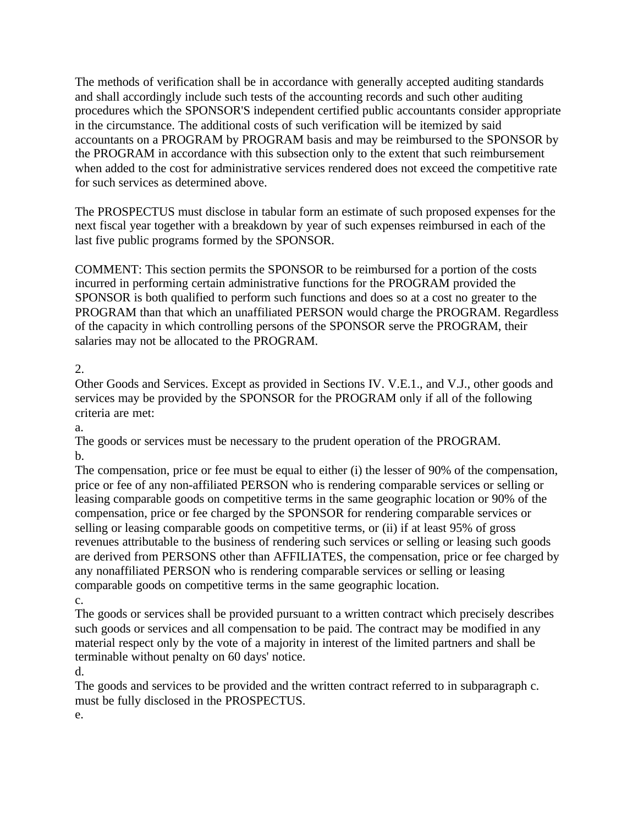The methods of verification shall be in accordance with generally accepted auditing standards and shall accordingly include such tests of the accounting records and such other auditing procedures which the SPONSOR'S independent certified public accountants consider appropriate in the circumstance. The additional costs of such verification will be itemized by said accountants on a PROGRAM by PROGRAM basis and may be reimbursed to the SPONSOR by the PROGRAM in accordance with this subsection only to the extent that such reimbursement when added to the cost for administrative services rendered does not exceed the competitive rate for such services as determined above.

The PROSPECTUS must disclose in tabular form an estimate of such proposed expenses for the next fiscal year together with a breakdown by year of such expenses reimbursed in each of the last five public programs formed by the SPONSOR.

COMMENT: This section permits the SPONSOR to be reimbursed for a portion of the costs incurred in performing certain administrative functions for the PROGRAM provided the SPONSOR is both qualified to perform such functions and does so at a cost no greater to the PROGRAM than that which an unaffiliated PERSON would charge the PROGRAM. Regardless of the capacity in which controlling persons of the SPONSOR serve the PROGRAM, their salaries may not be allocated to the PROGRAM.

2.

Other Goods and Services. Except as provided in Sections IV. V.E.1., and V.J., other goods and services may be provided by the SPONSOR for the PROGRAM only if all of the following criteria are met:

a.

The goods or services must be necessary to the prudent operation of the PROGRAM. b.

The compensation, price or fee must be equal to either (i) the lesser of 90% of the compensation, price or fee of any non-affiliated PERSON who is rendering comparable services or selling or leasing comparable goods on competitive terms in the same geographic location or 90% of the compensation, price or fee charged by the SPONSOR for rendering comparable services or selling or leasing comparable goods on competitive terms, or (ii) if at least 95% of gross revenues attributable to the business of rendering such services or selling or leasing such goods are derived from PERSONS other than AFFILIATES, the compensation, price or fee charged by any nonaffiliated PERSON who is rendering comparable services or selling or leasing comparable goods on competitive terms in the same geographic location. c.

The goods or services shall be provided pursuant to a written contract which precisely describes such goods or services and all compensation to be paid. The contract may be modified in any material respect only by the vote of a majority in interest of the limited partners and shall be terminable without penalty on 60 days' notice.

d.

The goods and services to be provided and the written contract referred to in subparagraph c. must be fully disclosed in the PROSPECTUS.

e.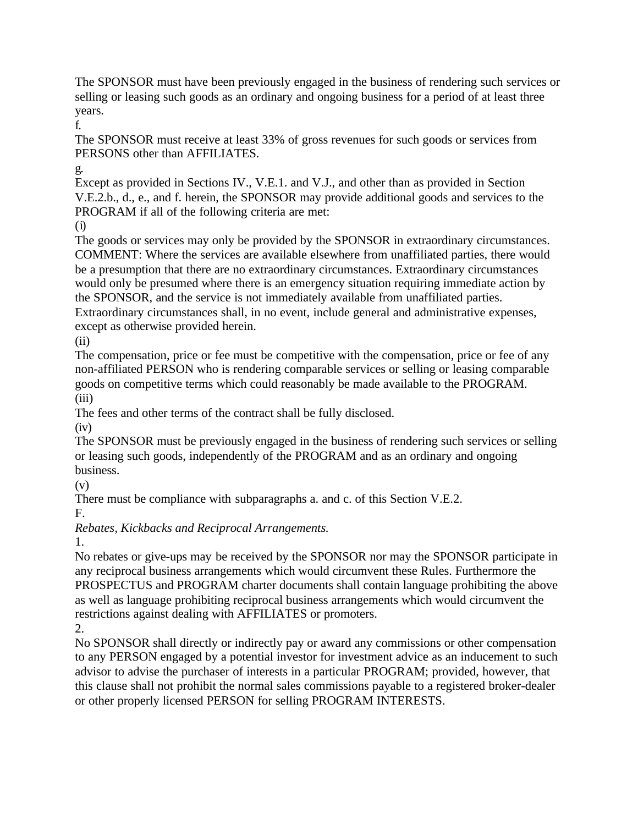The SPONSOR must have been previously engaged in the business of rendering such services or selling or leasing such goods as an ordinary and ongoing business for a period of at least three years.

f.

The SPONSOR must receive at least 33% of gross revenues for such goods or services from PERSONS other than AFFILIATES.

g.

Except as provided in Sections IV., V.E.1. and V.J., and other than as provided in Section V.E.2.b., d., e., and f. herein, the SPONSOR may provide additional goods and services to the PROGRAM if all of the following criteria are met:

(i)

The goods or services may only be provided by the SPONSOR in extraordinary circumstances. COMMENT: Where the services are available elsewhere from unaffiliated parties, there would be a presumption that there are no extraordinary circumstances. Extraordinary circumstances would only be presumed where there is an emergency situation requiring immediate action by the SPONSOR, and the service is not immediately available from unaffiliated parties. Extraordinary circumstances shall, in no event, include general and administrative expenses, except as otherwise provided herein.

(ii)

The compensation, price or fee must be competitive with the compensation, price or fee of any non-affiliated PERSON who is rendering comparable services or selling or leasing comparable goods on competitive terms which could reasonably be made available to the PROGRAM. (iii)

The fees and other terms of the contract shall be fully disclosed.

 $(iv)$ 

The SPONSOR must be previously engaged in the business of rendering such services or selling or leasing such goods, independently of the PROGRAM and as an ordinary and ongoing business.

(v)

There must be compliance with subparagraphs a. and c. of this Section V.E.2. F.

*Rebates, Kickbacks and Reciprocal Arrangements.*

1.

No rebates or give-ups may be received by the SPONSOR nor may the SPONSOR participate in any reciprocal business arrangements which would circumvent these Rules. Furthermore the PROSPECTUS and PROGRAM charter documents shall contain language prohibiting the above as well as language prohibiting reciprocal business arrangements which would circumvent the restrictions against dealing with AFFILIATES or promoters.

2.

No SPONSOR shall directly or indirectly pay or award any commissions or other compensation to any PERSON engaged by a potential investor for investment advice as an inducement to such advisor to advise the purchaser of interests in a particular PROGRAM; provided, however, that this clause shall not prohibit the normal sales commissions payable to a registered broker-dealer or other properly licensed PERSON for selling PROGRAM INTERESTS.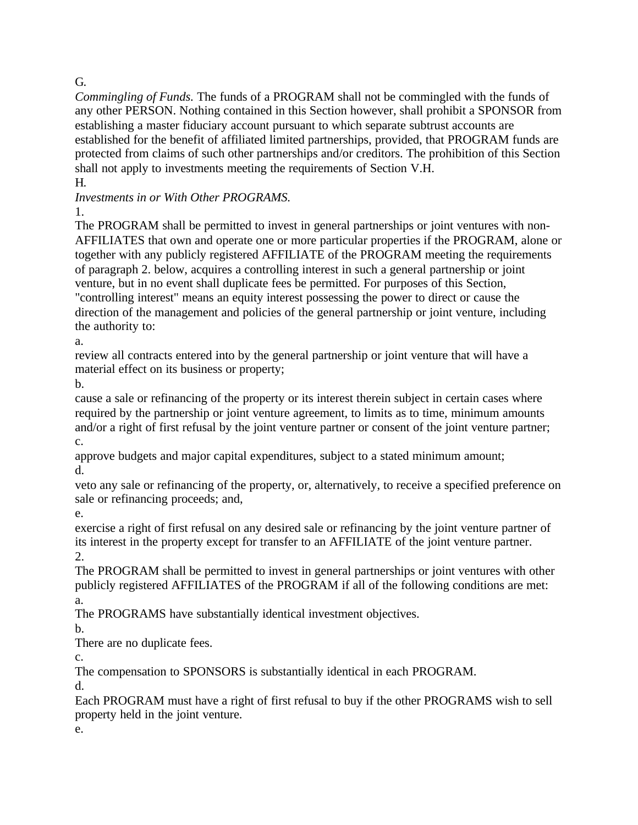# G.

*Commingling of Funds.* The funds of a PROGRAM shall not be commingled with the funds of any other PERSON. Nothing contained in this Section however, shall prohibit a SPONSOR from establishing a master fiduciary account pursuant to which separate subtrust accounts are established for the benefit of affiliated limited partnerships, provided, that PROGRAM funds are protected from claims of such other partnerships and/or creditors. The prohibition of this Section shall not apply to investments meeting the requirements of Section V.H.

H.

*Investments in or With Other PROGRAMS.*

1.

The PROGRAM shall be permitted to invest in general partnerships or joint ventures with non-AFFILIATES that own and operate one or more particular properties if the PROGRAM, alone or together with any publicly registered AFFILIATE of the PROGRAM meeting the requirements of paragraph 2. below, acquires a controlling interest in such a general partnership or joint venture, but in no event shall duplicate fees be permitted. For purposes of this Section, "controlling interest" means an equity interest possessing the power to direct or cause the direction of the management and policies of the general partnership or joint venture, including the authority to:

a.

review all contracts entered into by the general partnership or joint venture that will have a material effect on its business or property;

b.

cause a sale or refinancing of the property or its interest therein subject in certain cases where required by the partnership or joint venture agreement, to limits as to time, minimum amounts and/or a right of first refusal by the joint venture partner or consent of the joint venture partner; c.

approve budgets and major capital expenditures, subject to a stated minimum amount; d.

veto any sale or refinancing of the property, or, alternatively, to receive a specified preference on sale or refinancing proceeds; and,

e.

exercise a right of first refusal on any desired sale or refinancing by the joint venture partner of its interest in the property except for transfer to an AFFILIATE of the joint venture partner. 2.

The PROGRAM shall be permitted to invest in general partnerships or joint ventures with other publicly registered AFFILIATES of the PROGRAM if all of the following conditions are met: a.

The PROGRAMS have substantially identical investment objectives.

b.

There are no duplicate fees.

c.

The compensation to SPONSORS is substantially identical in each PROGRAM.

d.

Each PROGRAM must have a right of first refusal to buy if the other PROGRAMS wish to sell property held in the joint venture.

e.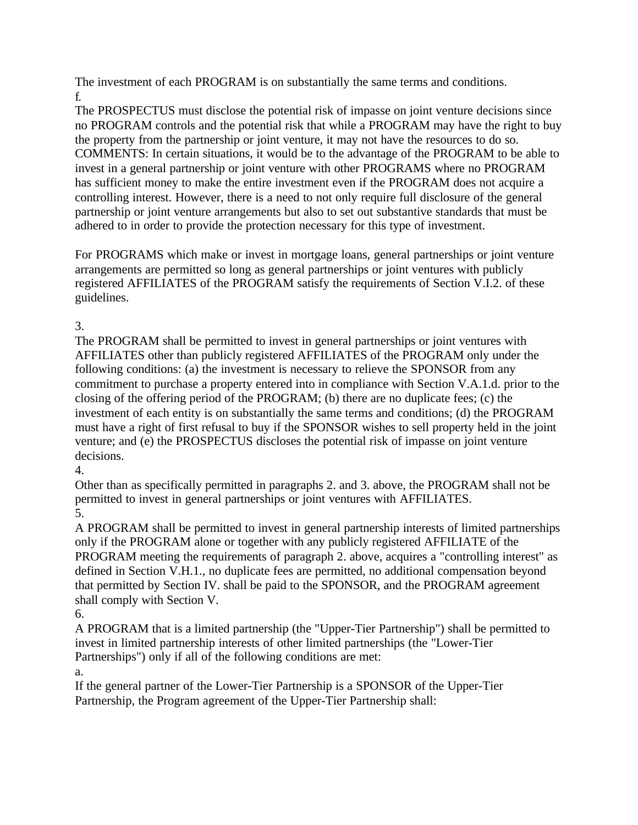The investment of each PROGRAM is on substantially the same terms and conditions. f.

The PROSPECTUS must disclose the potential risk of impasse on joint venture decisions since no PROGRAM controls and the potential risk that while a PROGRAM may have the right to buy the property from the partnership or joint venture, it may not have the resources to do so. COMMENTS: In certain situations, it would be to the advantage of the PROGRAM to be able to invest in a general partnership or joint venture with other PROGRAMS where no PROGRAM has sufficient money to make the entire investment even if the PROGRAM does not acquire a controlling interest. However, there is a need to not only require full disclosure of the general partnership or joint venture arrangements but also to set out substantive standards that must be adhered to in order to provide the protection necessary for this type of investment.

For PROGRAMS which make or invest in mortgage loans, general partnerships or joint venture arrangements are permitted so long as general partnerships or joint ventures with publicly registered AFFILIATES of the PROGRAM satisfy the requirements of Section V.I.2. of these guidelines.

3.

The PROGRAM shall be permitted to invest in general partnerships or joint ventures with AFFILIATES other than publicly registered AFFILIATES of the PROGRAM only under the following conditions: (a) the investment is necessary to relieve the SPONSOR from any commitment to purchase a property entered into in compliance with Section V.A.1.d. prior to the closing of the offering period of the PROGRAM; (b) there are no duplicate fees; (c) the investment of each entity is on substantially the same terms and conditions; (d) the PROGRAM must have a right of first refusal to buy if the SPONSOR wishes to sell property held in the joint venture; and (e) the PROSPECTUS discloses the potential risk of impasse on joint venture decisions.

4.

Other than as specifically permitted in paragraphs 2. and 3. above, the PROGRAM shall not be permitted to invest in general partnerships or joint ventures with AFFILIATES. 5.

A PROGRAM shall be permitted to invest in general partnership interests of limited partnerships only if the PROGRAM alone or together with any publicly registered AFFILIATE of the PROGRAM meeting the requirements of paragraph 2. above, acquires a "controlling interest" as defined in Section V.H.1., no duplicate fees are permitted, no additional compensation beyond that permitted by Section IV. shall be paid to the SPONSOR, and the PROGRAM agreement shall comply with Section V.

6.

A PROGRAM that is a limited partnership (the "Upper-Tier Partnership") shall be permitted to invest in limited partnership interests of other limited partnerships (the "Lower-Tier Partnerships") only if all of the following conditions are met:

a.

If the general partner of the Lower-Tier Partnership is a SPONSOR of the Upper-Tier Partnership, the Program agreement of the Upper-Tier Partnership shall: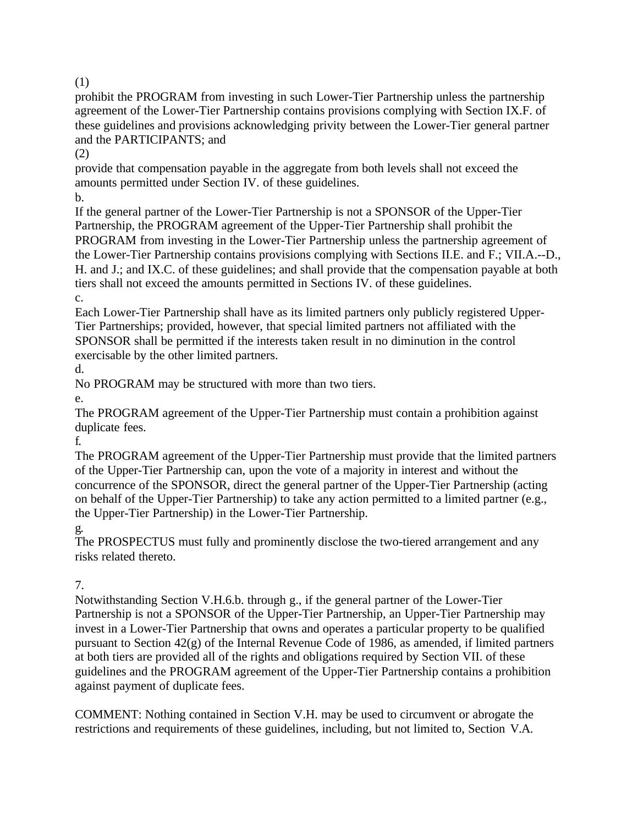(1)

prohibit the PROGRAM from investing in such Lower-Tier Partnership unless the partnership agreement of the Lower-Tier Partnership contains provisions complying with Section IX.F. of these guidelines and provisions acknowledging privity between the Lower-Tier general partner and the PARTICIPANTS; and

(2)

provide that compensation payable in the aggregate from both levels shall not exceed the amounts permitted under Section IV. of these guidelines.

b.

If the general partner of the Lower-Tier Partnership is not a SPONSOR of the Upper-Tier Partnership, the PROGRAM agreement of the Upper-Tier Partnership shall prohibit the PROGRAM from investing in the Lower-Tier Partnership unless the partnership agreement of the Lower-Tier Partnership contains provisions complying with Sections II.E. and F.; VII.A.--D., H. and J.; and IX.C. of these guidelines; and shall provide that the compensation payable at both tiers shall not exceed the amounts permitted in Sections IV. of these guidelines.

c.

Each Lower-Tier Partnership shall have as its limited partners only publicly registered Upper-Tier Partnerships; provided, however, that special limited partners not affiliated with the SPONSOR shall be permitted if the interests taken result in no diminution in the control exercisable by the other limited partners.

d.

No PROGRAM may be structured with more than two tiers.

e.

The PROGRAM agreement of the Upper-Tier Partnership must contain a prohibition against duplicate fees.

f.

The PROGRAM agreement of the Upper-Tier Partnership must provide that the limited partners of the Upper-Tier Partnership can, upon the vote of a majority in interest and without the concurrence of the SPONSOR, direct the general partner of the Upper-Tier Partnership (acting on behalf of the Upper-Tier Partnership) to take any action permitted to a limited partner (e.g., the Upper-Tier Partnership) in the Lower-Tier Partnership.

g.

The PROSPECTUS must fully and prominently disclose the two-tiered arrangement and any risks related thereto.

# 7.

Notwithstanding Section V.H.6.b. through g., if the general partner of the Lower-Tier Partnership is not a SPONSOR of the Upper-Tier Partnership, an Upper-Tier Partnership may invest in a Lower-Tier Partnership that owns and operates a particular property to be qualified pursuant to Section 42(g) of the Internal Revenue Code of 1986, as amended, if limited partners at both tiers are provided all of the rights and obligations required by Section VII. of these guidelines and the PROGRAM agreement of the Upper-Tier Partnership contains a prohibition against payment of duplicate fees.

COMMENT: Nothing contained in Section V.H. may be used to circumvent or abrogate the restrictions and requirements of these guidelines, including, but not limited to, Section V.A.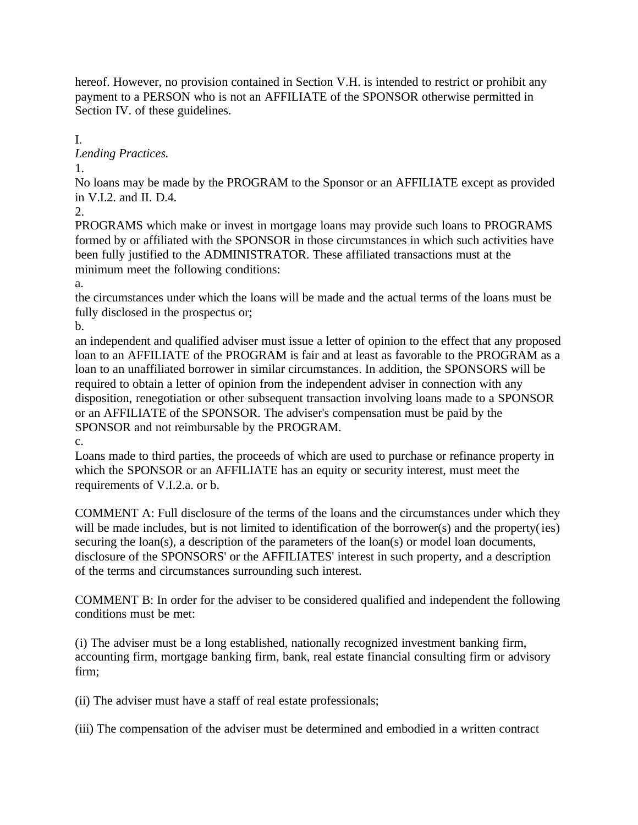hereof. However, no provision contained in Section V.H. is intended to restrict or prohibit any payment to a PERSON who is not an AFFILIATE of the SPONSOR otherwise permitted in Section IV. of these guidelines.

I. *Lending Practices.*

1.

No loans may be made by the PROGRAM to the Sponsor or an AFFILIATE except as provided in V.I.2. and II. D.4.

2.

PROGRAMS which make or invest in mortgage loans may provide such loans to PROGRAMS formed by or affiliated with the SPONSOR in those circumstances in which such activities have been fully justified to the ADMINISTRATOR. These affiliated transactions must at the minimum meet the following conditions:

a.

the circumstances under which the loans will be made and the actual terms of the loans must be fully disclosed in the prospectus or;

b.

an independent and qualified adviser must issue a letter of opinion to the effect that any proposed loan to an AFFILIATE of the PROGRAM is fair and at least as favorable to the PROGRAM as a loan to an unaffiliated borrower in similar circumstances. In addition, the SPONSORS will be required to obtain a letter of opinion from the independent adviser in connection with any disposition, renegotiation or other subsequent transaction involving loans made to a SPONSOR or an AFFILIATE of the SPONSOR. The adviser's compensation must be paid by the SPONSOR and not reimbursable by the PROGRAM.

c.

Loans made to third parties, the proceeds of which are used to purchase or refinance property in which the SPONSOR or an AFFILIATE has an equity or security interest, must meet the requirements of V.I.2.a. or b.

COMMENT A: Full disclosure of the terms of the loans and the circumstances under which they will be made includes, but is not limited to identification of the borrower(s) and the property(ies) securing the loan(s), a description of the parameters of the loan(s) or model loan documents, disclosure of the SPONSORS' or the AFFILIATES' interest in such property, and a description of the terms and circumstances surrounding such interest.

COMMENT B: In order for the adviser to be considered qualified and independent the following conditions must be met:

(i) The adviser must be a long established, nationally recognized investment banking firm, accounting firm, mortgage banking firm, bank, real estate financial consulting firm or advisory firm;

(ii) The adviser must have a staff of real estate professionals;

(iii) The compensation of the adviser must be determined and embodied in a written contract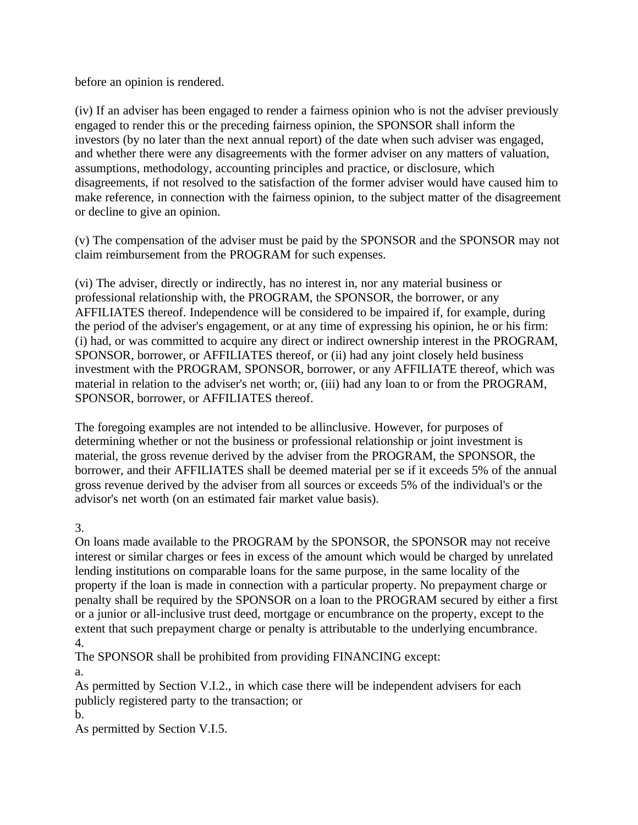before an opinion is rendered.

(iv) If an adviser has been engaged to render a fairness opinion who is not the adviser previously engaged to render this or the preceding fairness opinion, the SPONSOR shall inform the investors (by no later than the next annual report) of the date when such adviser was engaged, and whether there were any disagreements with the former adviser on any matters of valuation, assumptions, methodology, accounting principles and practice, or disclosure, which disagreements, if not resolved to the satisfaction of the former adviser would have caused him to make reference, in connection with the fairness opinion, to the subject matter of the disagreement or decline to give an opinion.

(v) The compensation of the adviser must be paid by the SPONSOR and the SPONSOR may not claim reimbursement from the PROGRAM for such expenses.

(vi) The adviser, directly or indirectly, has no interest in, nor any material business or professional relationship with, the PROGRAM, the SPONSOR, the borrower, or any AFFILIATES thereof. Independence will be considered to be impaired if, for example, during the period of the adviser's engagement, or at any time of expressing his opinion, he or his firm: (i) had, or was committed to acquire any direct or indirect ownership interest in the PROGRAM, SPONSOR, borrower, or AFFILIATES thereof, or (ii) had any joint closely held business investment with the PROGRAM, SPONSOR, borrower, or any AFFILIATE thereof, which was material in relation to the adviser's net worth; or, (iii) had any loan to or from the PROGRAM, SPONSOR, borrower, or AFFILIATES thereof.

The foregoing examples are not intended to be allinclusive. However, for purposes of determining whether or not the business or professional relationship or joint investment is material, the gross revenue derived by the adviser from the PROGRAM, the SPONSOR, the borrower, and their AFFILIATES shall be deemed material per se if it exceeds 5% of the annual gross revenue derived by the adviser from all sources or exceeds 5% of the individual's or the advisor's net worth (on an estimated fair market value basis).

3.

On loans made available to the PROGRAM by the SPONSOR, the SPONSOR may not receive interest or similar charges or fees in excess of the amount which would be charged by unrelated lending institutions on comparable loans for the same purpose, in the same locality of the property if the loan is made in connection with a particular property. No prepayment charge or penalty shall be required by the SPONSOR on a loan to the PROGRAM secured by either a first or a junior or all-inclusive trust deed, mortgage or encumbrance on the property, except to the extent that such prepayment charge or penalty is attributable to the underlying encumbrance. 4.

The SPONSOR shall be prohibited from providing FINANCING except:

a.

As permitted by Section V.I.2., in which case there will be independent advisers for each publicly registered party to the transaction; or

b.

As permitted by Section V.I.5.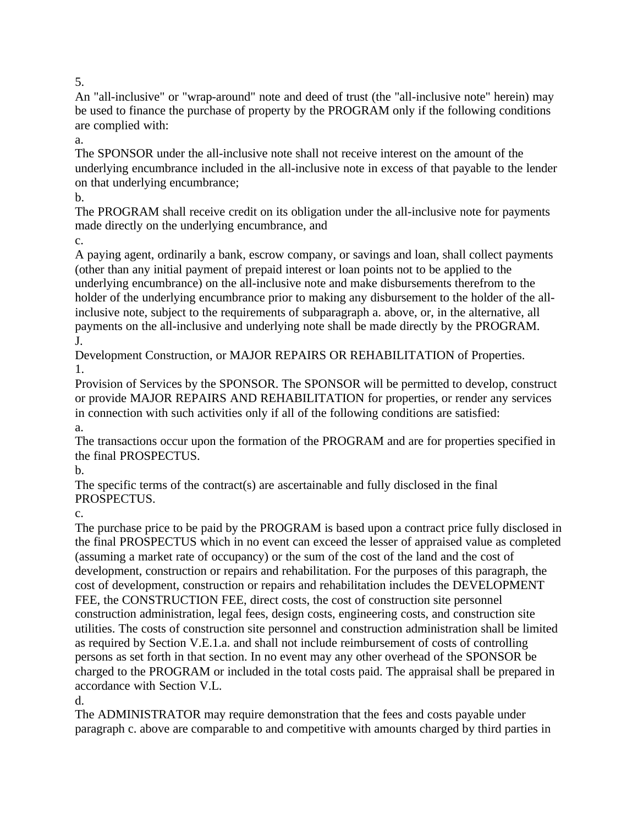An "all-inclusive" or "wrap-around" note and deed of trust (the "all-inclusive note" herein) may be used to finance the purchase of property by the PROGRAM only if the following conditions are complied with:

a.

The SPONSOR under the all-inclusive note shall not receive interest on the amount of the underlying encumbrance included in the all-inclusive note in excess of that payable to the lender on that underlying encumbrance;

b.

The PROGRAM shall receive credit on its obligation under the all-inclusive note for payments made directly on the underlying encumbrance, and

c.

A paying agent, ordinarily a bank, escrow company, or savings and loan, shall collect payments (other than any initial payment of prepaid interest or loan points not to be applied to the underlying encumbrance) on the all-inclusive note and make disbursements therefrom to the holder of the underlying encumbrance prior to making any disbursement to the holder of the allinclusive note, subject to the requirements of subparagraph a. above, or, in the alternative, all payments on the all-inclusive and underlying note shall be made directly by the PROGRAM. J.

Development Construction, or MAJOR REPAIRS OR REHABILITATION of Properties. 1.

Provision of Services by the SPONSOR. The SPONSOR will be permitted to develop, construct or provide MAJOR REPAIRS AND REHABILITATION for properties, or render any services in connection with such activities only if all of the following conditions are satisfied: a.

The transactions occur upon the formation of the PROGRAM and are for properties specified in the final PROSPECTUS.

b.

The specific terms of the contract(s) are ascertainable and fully disclosed in the final PROSPECTUS.

c.

The purchase price to be paid by the PROGRAM is based upon a contract price fully disclosed in the final PROSPECTUS which in no event can exceed the lesser of appraised value as completed (assuming a market rate of occupancy) or the sum of the cost of the land and the cost of development, construction or repairs and rehabilitation. For the purposes of this paragraph, the cost of development, construction or repairs and rehabilitation includes the DEVELOPMENT FEE, the CONSTRUCTION FEE, direct costs, the cost of construction site personnel construction administration, legal fees, design costs, engineering costs, and construction site utilities. The costs of construction site personnel and construction administration shall be limited as required by Section V.E.1.a. and shall not include reimbursement of costs of controlling persons as set forth in that section. In no event may any other overhead of the SPONSOR be charged to the PROGRAM or included in the total costs paid. The appraisal shall be prepared in accordance with Section V.L.

d.

The ADMINISTRATOR may require demonstration that the fees and costs payable under paragraph c. above are comparable to and competitive with amounts charged by third parties in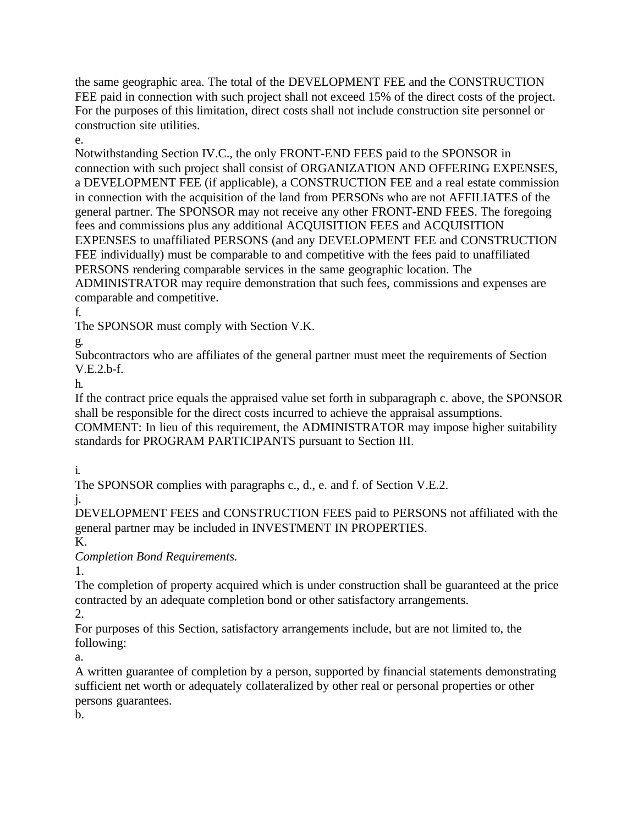the same geographic area. The total of the DEVELOPMENT FEE and the CONSTRUCTION FEE paid in connection with such project shall not exceed 15% of the direct costs of the project. For the purposes of this limitation, direct costs shall not include construction site personnel or construction site utilities.

e.

Notwithstanding Section IV.C., the only FRONT-END FEES paid to the SPONSOR in connection with such project shall consist of ORGANIZATION AND OFFERING EXPENSES, a DEVELOPMENT FEE (if applicable), a CONSTRUCTION FEE and a real estate commission in connection with the acquisition of the land from PERSONs who are not AFFILIATES of the general partner. The SPONSOR may not receive any other FRONT-END FEES. The foregoing fees and commissions plus any additional ACQUISITION FEES and ACQUISITION EXPENSES to unaffiliated PERSONS (and any DEVELOPMENT FEE and CONSTRUCTION FEE individually) must be comparable to and competitive with the fees paid to unaffiliated PERSONS rendering comparable services in the same geographic location. The ADMINISTRATOR may require demonstration that such fees, commissions and expenses are comparable and competitive.

f.

The SPONSOR must comply with Section V.K.

g.

Subcontractors who are affiliates of the general partner must meet the requirements of Section V.E.2.b-f.

h.

If the contract price equals the appraised value set forth in subparagraph c. above, the SPONSOR shall be responsible for the direct costs incurred to achieve the appraisal assumptions. COMMENT: In lieu of this requirement, the ADMINISTRATOR may impose higher suitability standards for PROGRAM PARTICIPANTS pursuant to Section III.

i.

The SPONSOR complies with paragraphs c., d., e. and f. of Section V.E.2.

j.

DEVELOPMENT FEES and CONSTRUCTION FEES paid to PERSONS not affiliated with the general partner may be included in INVESTMENT IN PROPERTIES.

K.

*Completion Bond Requirements.*

1.

The completion of property acquired which is under construction shall be guaranteed at the price contracted by an adequate completion bond or other satisfactory arrangements.

2.

For purposes of this Section, satisfactory arrangements include, but are not limited to, the following:

a.

A written guarantee of completion by a person, supported by financial statements demonstrating sufficient net worth or adequately collateralized by other real or personal properties or other persons guarantees.

b.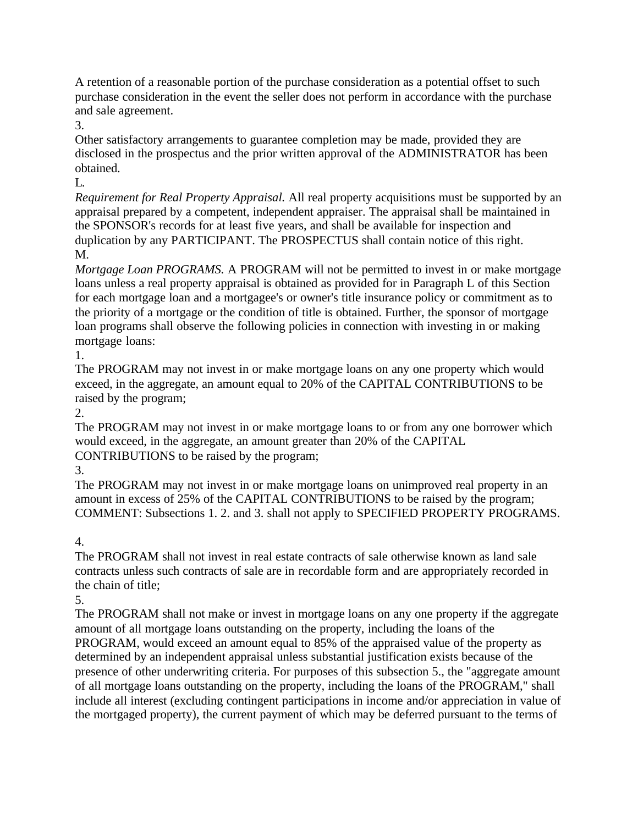A retention of a reasonable portion of the purchase consideration as a potential offset to such purchase consideration in the event the seller does not perform in accordance with the purchase and sale agreement.

3.

Other satisfactory arrangements to guarantee completion may be made, provided they are disclosed in the prospectus and the prior written approval of the ADMINISTRATOR has been obtained.

 $L$ 

*Requirement for Real Property Appraisal.* All real property acquisitions must be supported by an appraisal prepared by a competent, independent appraiser. The appraisal shall be maintained in the SPONSOR's records for at least five years, and shall be available for inspection and duplication by any PARTICIPANT. The PROSPECTUS shall contain notice of this right. M.

*Mortgage Loan PROGRAMS.* A PROGRAM will not be permitted to invest in or make mortgage loans unless a real property appraisal is obtained as provided for in Paragraph L of this Section for each mortgage loan and a mortgagee's or owner's title insurance policy or commitment as to the priority of a mortgage or the condition of title is obtained. Further, the sponsor of mortgage loan programs shall observe the following policies in connection with investing in or making mortgage loans:

1.

The PROGRAM may not invest in or make mortgage loans on any one property which would exceed, in the aggregate, an amount equal to 20% of the CAPITAL CONTRIBUTIONS to be raised by the program;

2.

The PROGRAM may not invest in or make mortgage loans to or from any one borrower which would exceed, in the aggregate, an amount greater than 20% of the CAPITAL CONTRIBUTIONS to be raised by the program;

3.

The PROGRAM may not invest in or make mortgage loans on unimproved real property in an amount in excess of 25% of the CAPITAL CONTRIBUTIONS to be raised by the program; COMMENT: Subsections 1. 2. and 3. shall not apply to SPECIFIED PROPERTY PROGRAMS.

4.

The PROGRAM shall not invest in real estate contracts of sale otherwise known as land sale contracts unless such contracts of sale are in recordable form and are appropriately recorded in the chain of title;

5.

The PROGRAM shall not make or invest in mortgage loans on any one property if the aggregate amount of all mortgage loans outstanding on the property, including the loans of the PROGRAM, would exceed an amount equal to 85% of the appraised value of the property as determined by an independent appraisal unless substantial justification exists because of the presence of other underwriting criteria. For purposes of this subsection 5., the "aggregate amount of all mortgage loans outstanding on the property, including the loans of the PROGRAM," shall include all interest (excluding contingent participations in income and/or appreciation in value of the mortgaged property), the current payment of which may be deferred pursuant to the terms of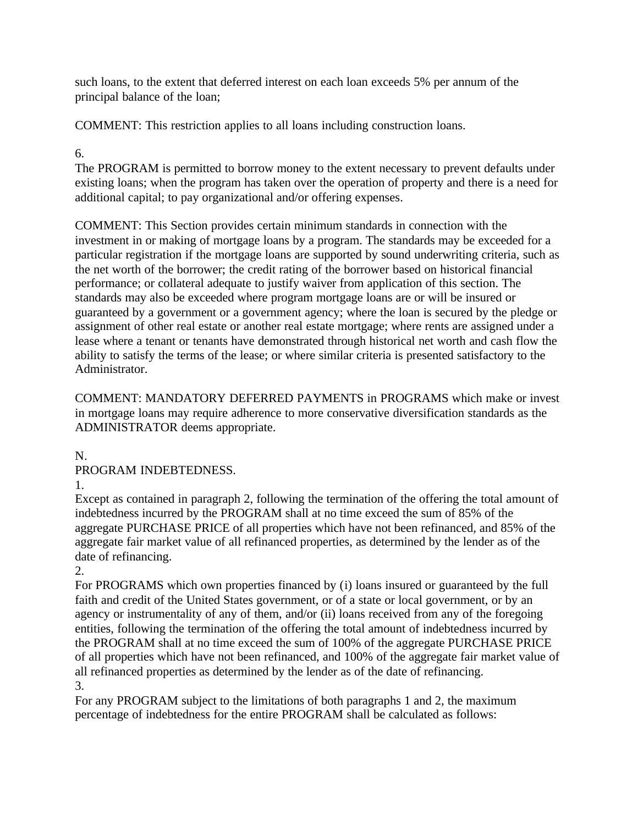such loans, to the extent that deferred interest on each loan exceeds 5% per annum of the principal balance of the loan;

COMMENT: This restriction applies to all loans including construction loans.

# 6.

The PROGRAM is permitted to borrow money to the extent necessary to prevent defaults under existing loans; when the program has taken over the operation of property and there is a need for additional capital; to pay organizational and/or offering expenses.

COMMENT: This Section provides certain minimum standards in connection with the investment in or making of mortgage loans by a program. The standards may be exceeded for a particular registration if the mortgage loans are supported by sound underwriting criteria, such as the net worth of the borrower; the credit rating of the borrower based on historical financial performance; or collateral adequate to justify waiver from application of this section. The standards may also be exceeded where program mortgage loans are or will be insured or guaranteed by a government or a government agency; where the loan is secured by the pledge or assignment of other real estate or another real estate mortgage; where rents are assigned under a lease where a tenant or tenants have demonstrated through historical net worth and cash flow the ability to satisfy the terms of the lease; or where similar criteria is presented satisfactory to the Administrator.

COMMENT: MANDATORY DEFERRED PAYMENTS in PROGRAMS which make or invest in mortgage loans may require adherence to more conservative diversification standards as the ADMINISTRATOR deems appropriate.

N.

PROGRAM INDEBTEDNESS.

1.

Except as contained in paragraph 2, following the termination of the offering the total amount of indebtedness incurred by the PROGRAM shall at no time exceed the sum of 85% of the aggregate PURCHASE PRICE of all properties which have not been refinanced, and 85% of the aggregate fair market value of all refinanced properties, as determined by the lender as of the date of refinancing.

2.

For PROGRAMS which own properties financed by (i) loans insured or guaranteed by the full faith and credit of the United States government, or of a state or local government, or by an agency or instrumentality of any of them, and/or (ii) loans received from any of the foregoing entities, following the termination of the offering the total amount of indebtedness incurred by the PROGRAM shall at no time exceed the sum of 100% of the aggregate PURCHASE PRICE of all properties which have not been refinanced, and 100% of the aggregate fair market value of all refinanced properties as determined by the lender as of the date of refinancing. 3.

For any PROGRAM subject to the limitations of both paragraphs 1 and 2, the maximum percentage of indebtedness for the entire PROGRAM shall be calculated as follows: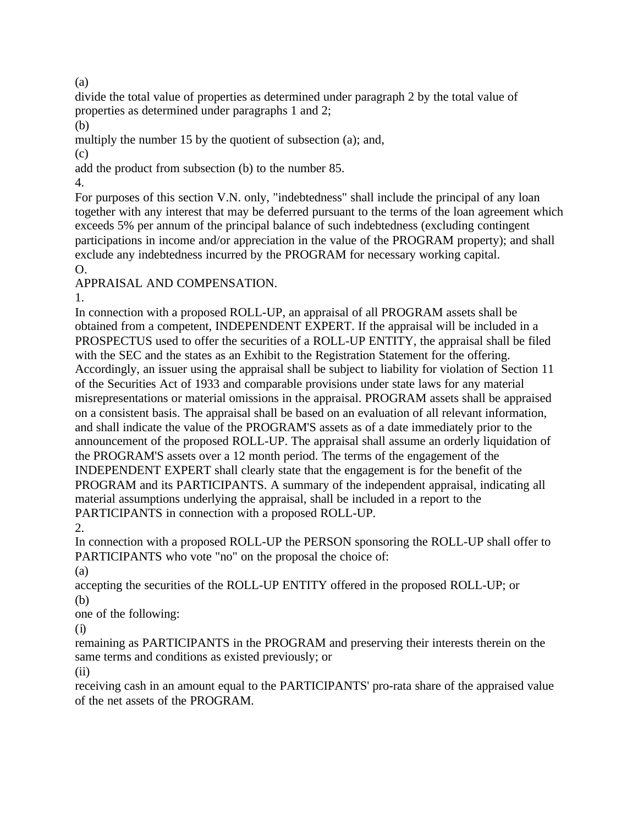(a)

divide the total value of properties as determined under paragraph 2 by the total value of properties as determined under paragraphs 1 and 2;

(b)

multiply the number 15 by the quotient of subsection (a); and,

(c)

add the product from subsection (b) to the number 85.

4.

For purposes of this section V.N. only, "indebtedness" shall include the principal of any loan together with any interest that may be deferred pursuant to the terms of the loan agreement which exceeds 5% per annum of the principal balance of such indebtedness (excluding contingent participations in income and/or appreciation in the value of the PROGRAM property); and shall exclude any indebtedness incurred by the PROGRAM for necessary working capital. O.

APPRAISAL AND COMPENSATION.

1.

In connection with a proposed ROLL-UP, an appraisal of all PROGRAM assets shall be obtained from a competent, INDEPENDENT EXPERT. If the appraisal will be included in a PROSPECTUS used to offer the securities of a ROLL-UP ENTITY, the appraisal shall be filed with the SEC and the states as an Exhibit to the Registration Statement for the offering. Accordingly, an issuer using the appraisal shall be subject to liability for violation of Section 11 of the Securities Act of 1933 and comparable provisions under state laws for any material misrepresentations or material omissions in the appraisal. PROGRAM assets shall be appraised on a consistent basis. The appraisal shall be based on an evaluation of all relevant information, and shall indicate the value of the PROGRAM'S assets as of a date immediately prior to the announcement of the proposed ROLL-UP. The appraisal shall assume an orderly liquidation of the PROGRAM'S assets over a 12 month period. The terms of the engagement of the INDEPENDENT EXPERT shall clearly state that the engagement is for the benefit of the PROGRAM and its PARTICIPANTS. A summary of the independent appraisal, indicating all material assumptions underlying the appraisal, shall be included in a report to the PARTICIPANTS in connection with a proposed ROLL-UP.

2.

In connection with a proposed ROLL-UP the PERSON sponsoring the ROLL-UP shall offer to PARTICIPANTS who vote "no" on the proposal the choice of:

(a)

accepting the securities of the ROLL-UP ENTITY offered in the proposed ROLL-UP; or (b)

one of the following:

(i)

remaining as PARTICIPANTS in the PROGRAM and preserving their interests therein on the same terms and conditions as existed previously; or

(ii)

receiving cash in an amount equal to the PARTICIPANTS' pro-rata share of the appraised value of the net assets of the PROGRAM.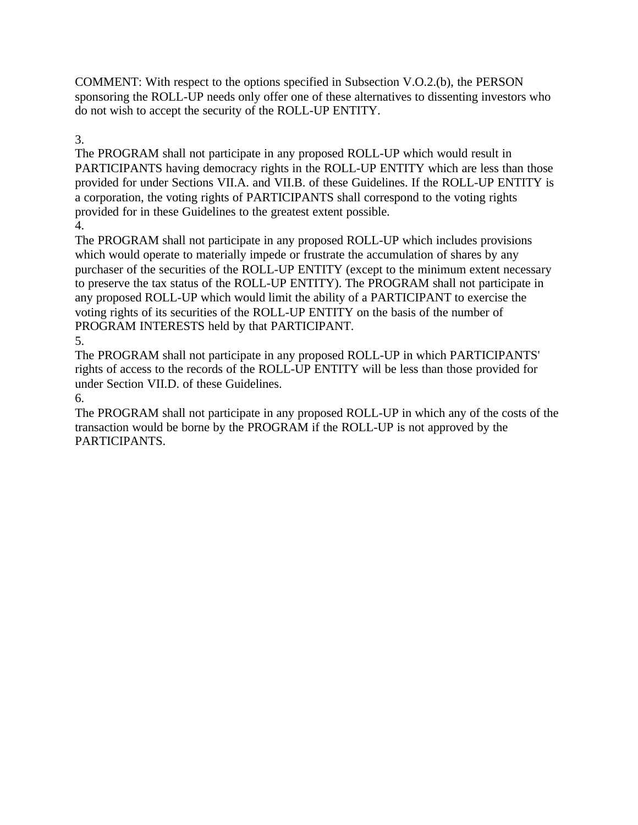COMMENT: With respect to the options specified in Subsection V.O.2.(b), the PERSON sponsoring the ROLL-UP needs only offer one of these alternatives to dissenting investors who do not wish to accept the security of the ROLL-UP ENTITY.

3.

The PROGRAM shall not participate in any proposed ROLL-UP which would result in PARTICIPANTS having democracy rights in the ROLL-UP ENTITY which are less than those provided for under Sections VII.A. and VII.B. of these Guidelines. If the ROLL-UP ENTITY is a corporation, the voting rights of PARTICIPANTS shall correspond to the voting rights provided for in these Guidelines to the greatest extent possible. 4.

The PROGRAM shall not participate in any proposed ROLL-UP which includes provisions which would operate to materially impede or frustrate the accumulation of shares by any purchaser of the securities of the ROLL-UP ENTITY (except to the minimum extent necessary to preserve the tax status of the ROLL-UP ENTITY). The PROGRAM shall not participate in any proposed ROLL-UP which would limit the ability of a PARTICIPANT to exercise the voting rights of its securities of the ROLL-UP ENTITY on the basis of the number of PROGRAM INTERESTS held by that PARTICIPANT.

# 5.

The PROGRAM shall not participate in any proposed ROLL-UP in which PARTICIPANTS' rights of access to the records of the ROLL-UP ENTITY will be less than those provided for under Section VII.D. of these Guidelines.

## 6.

The PROGRAM shall not participate in any proposed ROLL-UP in which any of the costs of the transaction would be borne by the PROGRAM if the ROLL-UP is not approved by the PARTICIPANTS.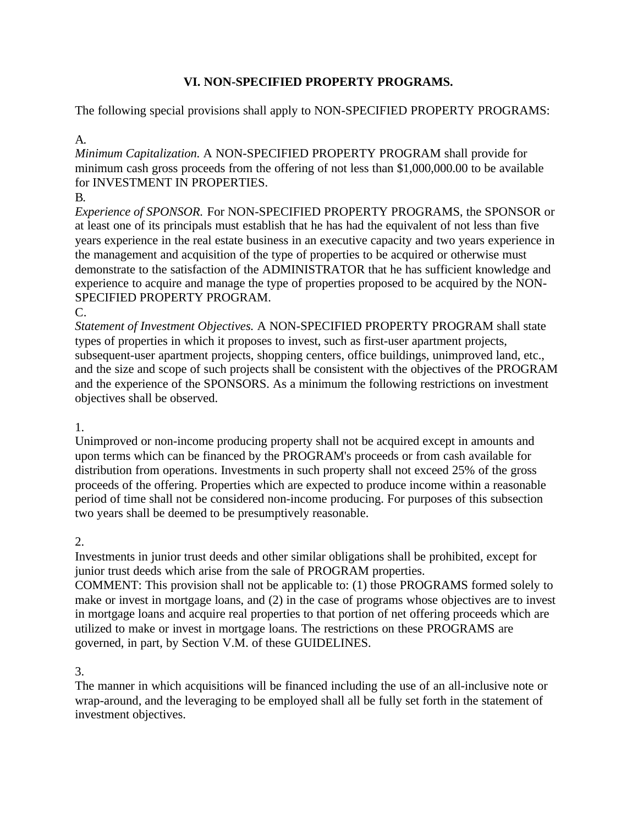## **VI. NON-SPECIFIED PROPERTY PROGRAMS.**

The following special provisions shall apply to NON-SPECIFIED PROPERTY PROGRAMS:

## A.

*Minimum Capitalization.* A NON-SPECIFIED PROPERTY PROGRAM shall provide for minimum cash gross proceeds from the offering of not less than \$1,000,000.00 to be available for INVESTMENT IN PROPERTIES.

## B.

*Experience of SPONSOR.* For NON-SPECIFIED PROPERTY PROGRAMS, the SPONSOR or at least one of its principals must establish that he has had the equivalent of not less than five years experience in the real estate business in an executive capacity and two years experience in the management and acquisition of the type of properties to be acquired or otherwise must demonstrate to the satisfaction of the ADMINISTRATOR that he has sufficient knowledge and experience to acquire and manage the type of properties proposed to be acquired by the NON-SPECIFIED PROPERTY PROGRAM.

#### C.

*Statement of Investment Objectives.* A NON-SPECIFIED PROPERTY PROGRAM shall state types of properties in which it proposes to invest, such as first-user apartment projects, subsequent-user apartment projects, shopping centers, office buildings, unimproved land, etc., and the size and scope of such projects shall be consistent with the objectives of the PROGRAM and the experience of the SPONSORS. As a minimum the following restrictions on investment objectives shall be observed.

## 1.

Unimproved or non-income producing property shall not be acquired except in amounts and upon terms which can be financed by the PROGRAM's proceeds or from cash available for distribution from operations. Investments in such property shall not exceed 25% of the gross proceeds of the offering. Properties which are expected to produce income within a reasonable period of time shall not be considered non-income producing. For purposes of this subsection two years shall be deemed to be presumptively reasonable.

# 2.

Investments in junior trust deeds and other similar obligations shall be prohibited, except for junior trust deeds which arise from the sale of PROGRAM properties.

COMMENT: This provision shall not be applicable to: (1) those PROGRAMS formed solely to make or invest in mortgage loans, and (2) in the case of programs whose objectives are to invest in mortgage loans and acquire real properties to that portion of net offering proceeds which are utilized to make or invest in mortgage loans. The restrictions on these PROGRAMS are governed, in part, by Section V.M. of these GUIDELINES.

## 3.

The manner in which acquisitions will be financed including the use of an all-inclusive note or wrap-around, and the leveraging to be employed shall all be fully set forth in the statement of investment objectives.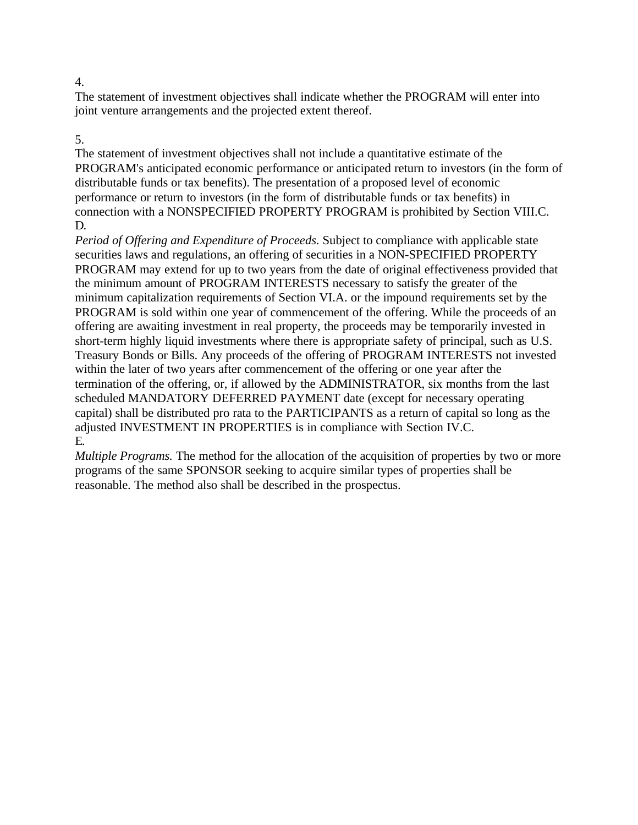The statement of investment objectives shall indicate whether the PROGRAM will enter into joint venture arrangements and the projected extent thereof.

#### 5.

The statement of investment objectives shall not include a quantitative estimate of the PROGRAM's anticipated economic performance or anticipated return to investors (in the form of distributable funds or tax benefits). The presentation of a proposed level of economic performance or return to investors (in the form of distributable funds or tax benefits) in connection with a NONSPECIFIED PROPERTY PROGRAM is prohibited by Section VIII.C. D.

*Period of Offering and Expenditure of Proceeds.* Subject to compliance with applicable state securities laws and regulations, an offering of securities in a NON-SPECIFIED PROPERTY PROGRAM may extend for up to two years from the date of original effectiveness provided that the minimum amount of PROGRAM INTERESTS necessary to satisfy the greater of the minimum capitalization requirements of Section VI.A. or the impound requirements set by the PROGRAM is sold within one year of commencement of the offering. While the proceeds of an offering are awaiting investment in real property, the proceeds may be temporarily invested in short-term highly liquid investments where there is appropriate safety of principal, such as U.S. Treasury Bonds or Bills. Any proceeds of the offering of PROGRAM INTERESTS not invested within the later of two years after commencement of the offering or one year after the termination of the offering, or, if allowed by the ADMINISTRATOR, six months from the last scheduled MANDATORY DEFERRED PAYMENT date (except for necessary operating capital) shall be distributed pro rata to the PARTICIPANTS as a return of capital so long as the adjusted INVESTMENT IN PROPERTIES is in compliance with Section IV.C. E.

*Multiple Programs.* The method for the allocation of the acquisition of properties by two or more programs of the same SPONSOR seeking to acquire similar types of properties shall be reasonable. The method also shall be described in the prospectus.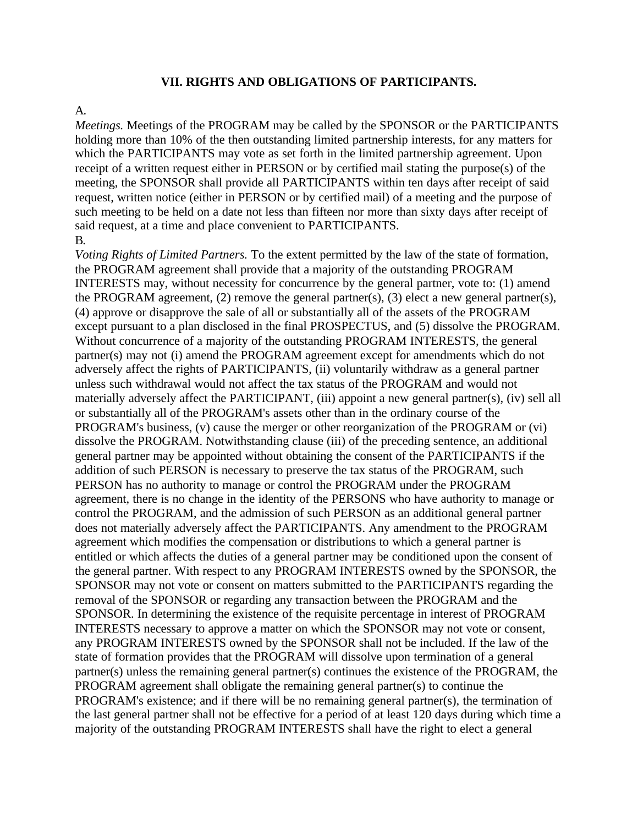#### **VII. RIGHTS AND OBLIGATIONS OF PARTICIPANTS.**

#### A.

*Meetings.* Meetings of the PROGRAM may be called by the SPONSOR or the PARTICIPANTS holding more than 10% of the then outstanding limited partnership interests, for any matters for which the PARTICIPANTS may vote as set forth in the limited partnership agreement. Upon receipt of a written request either in PERSON or by certified mail stating the purpose(s) of the meeting, the SPONSOR shall provide all PARTICIPANTS within ten days after receipt of said request, written notice (either in PERSON or by certified mail) of a meeting and the purpose of such meeting to be held on a date not less than fifteen nor more than sixty days after receipt of said request, at a time and place convenient to PARTICIPANTS. B.

*Voting Rights of Limited Partners.* To the extent permitted by the law of the state of formation, the PROGRAM agreement shall provide that a majority of the outstanding PROGRAM INTERESTS may, without necessity for concurrence by the general partner, vote to: (1) amend the PROGRAM agreement, (2) remove the general partner(s), (3) elect a new general partner(s), (4) approve or disapprove the sale of all or substantially all of the assets of the PROGRAM except pursuant to a plan disclosed in the final PROSPECTUS, and (5) dissolve the PROGRAM. Without concurrence of a majority of the outstanding PROGRAM INTERESTS, the general partner(s) may not (i) amend the PROGRAM agreement except for amendments which do not adversely affect the rights of PARTICIPANTS, (ii) voluntarily withdraw as a general partner unless such withdrawal would not affect the tax status of the PROGRAM and would not materially adversely affect the PARTICIPANT, (iii) appoint a new general partner(s), (iv) sell all or substantially all of the PROGRAM's assets other than in the ordinary course of the PROGRAM's business, (v) cause the merger or other reorganization of the PROGRAM or (vi) dissolve the PROGRAM. Notwithstanding clause (iii) of the preceding sentence, an additional general partner may be appointed without obtaining the consent of the PARTICIPANTS if the addition of such PERSON is necessary to preserve the tax status of the PROGRAM, such PERSON has no authority to manage or control the PROGRAM under the PROGRAM agreement, there is no change in the identity of the PERSONS who have authority to manage or control the PROGRAM, and the admission of such PERSON as an additional general partner does not materially adversely affect the PARTICIPANTS. Any amendment to the PROGRAM agreement which modifies the compensation or distributions to which a general partner is entitled or which affects the duties of a general partner may be conditioned upon the consent of the general partner. With respect to any PROGRAM INTERESTS owned by the SPONSOR, the SPONSOR may not vote or consent on matters submitted to the PARTICIPANTS regarding the removal of the SPONSOR or regarding any transaction between the PROGRAM and the SPONSOR. In determining the existence of the requisite percentage in interest of PROGRAM INTERESTS necessary to approve a matter on which the SPONSOR may not vote or consent, any PROGRAM INTERESTS owned by the SPONSOR shall not be included. If the law of the state of formation provides that the PROGRAM will dissolve upon termination of a general partner(s) unless the remaining general partner(s) continues the existence of the PROGRAM, the PROGRAM agreement shall obligate the remaining general partner(s) to continue the PROGRAM's existence; and if there will be no remaining general partner(s), the termination of the last general partner shall not be effective for a period of at least 120 days during which time a majority of the outstanding PROGRAM INTERESTS shall have the right to elect a general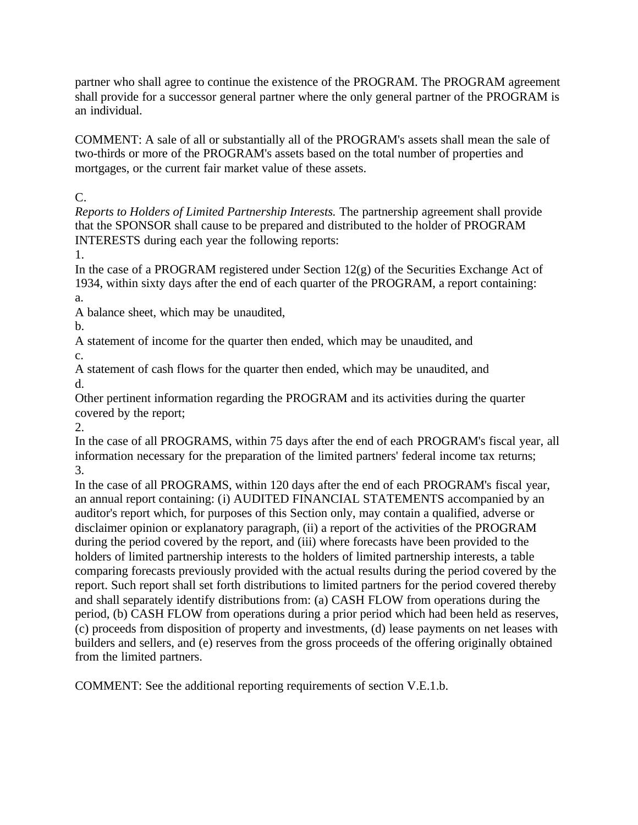partner who shall agree to continue the existence of the PROGRAM. The PROGRAM agreement shall provide for a successor general partner where the only general partner of the PROGRAM is an individual.

COMMENT: A sale of all or substantially all of the PROGRAM's assets shall mean the sale of two-thirds or more of the PROGRAM's assets based on the total number of properties and mortgages, or the current fair market value of these assets.

 $C_{\cdot}$ 

*Reports to Holders of Limited Partnership Interests.* The partnership agreement shall provide that the SPONSOR shall cause to be prepared and distributed to the holder of PROGRAM INTERESTS during each year the following reports:

1.

In the case of a PROGRAM registered under Section  $12(g)$  of the Securities Exchange Act of 1934, within sixty days after the end of each quarter of the PROGRAM, a report containing: a.

A balance sheet, which may be unaudited,

b.

A statement of income for the quarter then ended, which may be unaudited, and c.

A statement of cash flows for the quarter then ended, which may be unaudited, and d.

Other pertinent information regarding the PROGRAM and its activities during the quarter covered by the report;

2.

In the case of all PROGRAMS, within 75 days after the end of each PROGRAM's fiscal year, all information necessary for the preparation of the limited partners' federal income tax returns; 3.

In the case of all PROGRAMS, within 120 days after the end of each PROGRAM's fiscal year, an annual report containing: (i) AUDITED FINANCIAL STATEMENTS accompanied by an auditor's report which, for purposes of this Section only, may contain a qualified, adverse or disclaimer opinion or explanatory paragraph, (ii) a report of the activities of the PROGRAM during the period covered by the report, and (iii) where forecasts have been provided to the holders of limited partnership interests to the holders of limited partnership interests, a table comparing forecasts previously provided with the actual results during the period covered by the report. Such report shall set forth distributions to limited partners for the period covered thereby and shall separately identify distributions from: (a) CASH FLOW from operations during the period, (b) CASH FLOW from operations during a prior period which had been held as reserves, (c) proceeds from disposition of property and investments, (d) lease payments on net leases with builders and sellers, and (e) reserves from the gross proceeds of the offering originally obtained from the limited partners.

COMMENT: See the additional reporting requirements of section V.E.1.b.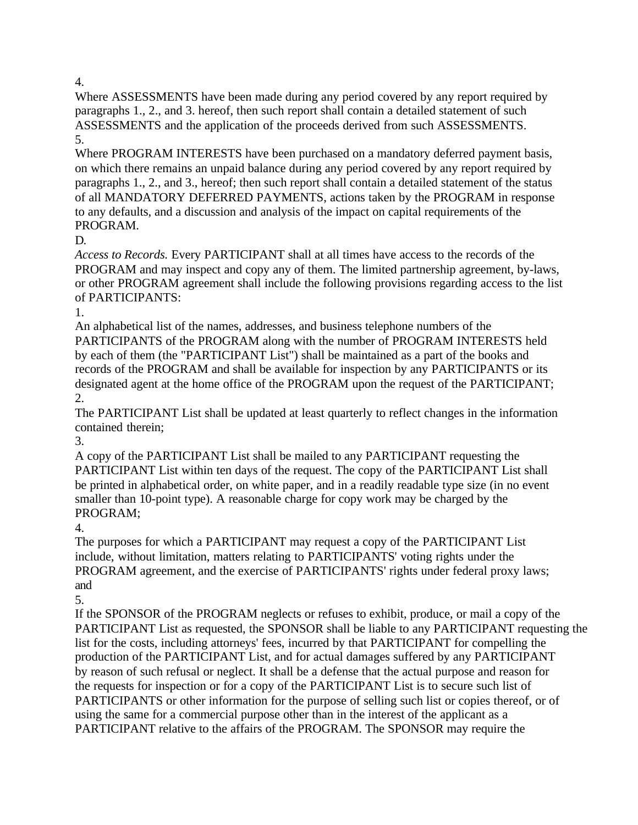Where ASSESSMENTS have been made during any period covered by any report required by paragraphs 1., 2., and 3. hereof, then such report shall contain a detailed statement of such ASSESSMENTS and the application of the proceeds derived from such ASSESSMENTS. 5.

Where PROGRAM INTERESTS have been purchased on a mandatory deferred payment basis, on which there remains an unpaid balance during any period covered by any report required by paragraphs 1., 2., and 3., hereof; then such report shall contain a detailed statement of the status of all MANDATORY DEFERRED PAYMENTS, actions taken by the PROGRAM in response to any defaults, and a discussion and analysis of the impact on capital requirements of the PROGRAM.

D.

*Access to Records.* Every PARTICIPANT shall at all times have access to the records of the PROGRAM and may inspect and copy any of them. The limited partnership agreement, by-laws, or other PROGRAM agreement shall include the following provisions regarding access to the list of PARTICIPANTS:

1.

An alphabetical list of the names, addresses, and business telephone numbers of the PARTICIPANTS of the PROGRAM along with the number of PROGRAM INTERESTS held by each of them (the "PARTICIPANT List") shall be maintained as a part of the books and records of the PROGRAM and shall be available for inspection by any PARTICIPANTS or its designated agent at the home office of the PROGRAM upon the request of the PARTICIPANT; 2.

The PARTICIPANT List shall be updated at least quarterly to reflect changes in the information contained therein;

3.

A copy of the PARTICIPANT List shall be mailed to any PARTICIPANT requesting the PARTICIPANT List within ten days of the request. The copy of the PARTICIPANT List shall be printed in alphabetical order, on white paper, and in a readily readable type size (in no event smaller than 10-point type). A reasonable charge for copy work may be charged by the PROGRAM;

4.

The purposes for which a PARTICIPANT may request a copy of the PARTICIPANT List include, without limitation, matters relating to PARTICIPANTS' voting rights under the PROGRAM agreement, and the exercise of PARTICIPANTS' rights under federal proxy laws; and

5.

If the SPONSOR of the PROGRAM neglects or refuses to exhibit, produce, or mail a copy of the PARTICIPANT List as requested, the SPONSOR shall be liable to any PARTICIPANT requesting the list for the costs, including attorneys' fees, incurred by that PARTICIPANT for compelling the production of the PARTICIPANT List, and for actual damages suffered by any PARTICIPANT by reason of such refusal or neglect. It shall be a defense that the actual purpose and reason for the requests for inspection or for a copy of the PARTICIPANT List is to secure such list of PARTICIPANTS or other information for the purpose of selling such list or copies thereof, or of using the same for a commercial purpose other than in the interest of the applicant as a PARTICIPANT relative to the affairs of the PROGRAM. The SPONSOR may require the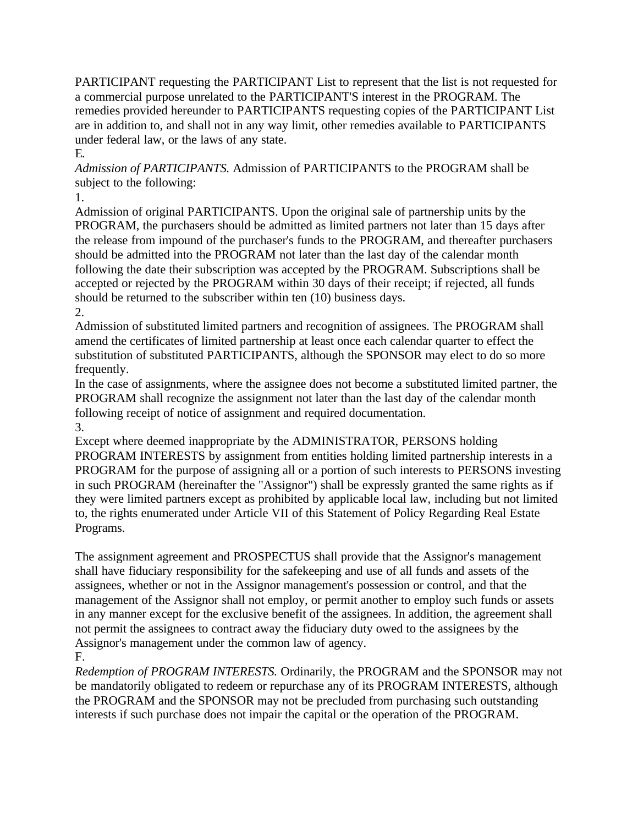PARTICIPANT requesting the PARTICIPANT List to represent that the list is not requested for a commercial purpose unrelated to the PARTICIPANT'S interest in the PROGRAM. The remedies provided hereunder to PARTICIPANTS requesting copies of the PARTICIPANT List are in addition to, and shall not in any way limit, other remedies available to PARTICIPANTS under federal law, or the laws of any state. E.

*Admission of PARTICIPANTS.* Admission of PARTICIPANTS to the PROGRAM shall be subject to the following:

1.

Admission of original PARTICIPANTS. Upon the original sale of partnership units by the PROGRAM, the purchasers should be admitted as limited partners not later than 15 days after the release from impound of the purchaser's funds to the PROGRAM, and thereafter purchasers should be admitted into the PROGRAM not later than the last day of the calendar month following the date their subscription was accepted by the PROGRAM. Subscriptions shall be accepted or rejected by the PROGRAM within 30 days of their receipt; if rejected, all funds should be returned to the subscriber within ten (10) business days. 2.

Admission of substituted limited partners and recognition of assignees. The PROGRAM shall amend the certificates of limited partnership at least once each calendar quarter to effect the substitution of substituted PARTICIPANTS, although the SPONSOR may elect to do so more frequently.

In the case of assignments, where the assignee does not become a substituted limited partner, the PROGRAM shall recognize the assignment not later than the last day of the calendar month following receipt of notice of assignment and required documentation. 3.

Except where deemed inappropriate by the ADMINISTRATOR, PERSONS holding PROGRAM INTERESTS by assignment from entities holding limited partnership interests in a PROGRAM for the purpose of assigning all or a portion of such interests to PERSONS investing in such PROGRAM (hereinafter the "Assignor") shall be expressly granted the same rights as if they were limited partners except as prohibited by applicable local law, including but not limited to, the rights enumerated under Article VII of this Statement of Policy Regarding Real Estate Programs.

The assignment agreement and PROSPECTUS shall provide that the Assignor's management shall have fiduciary responsibility for the safekeeping and use of all funds and assets of the assignees, whether or not in the Assignor management's possession or control, and that the management of the Assignor shall not employ, or permit another to employ such funds or assets in any manner except for the exclusive benefit of the assignees. In addition, the agreement shall not permit the assignees to contract away the fiduciary duty owed to the assignees by the Assignor's management under the common law of agency. F.

*Redemption of PROGRAM INTERESTS.* Ordinarily, the PROGRAM and the SPONSOR may not be mandatorily obligated to redeem or repurchase any of its PROGRAM INTERESTS, although the PROGRAM and the SPONSOR may not be precluded from purchasing such outstanding interests if such purchase does not impair the capital or the operation of the PROGRAM.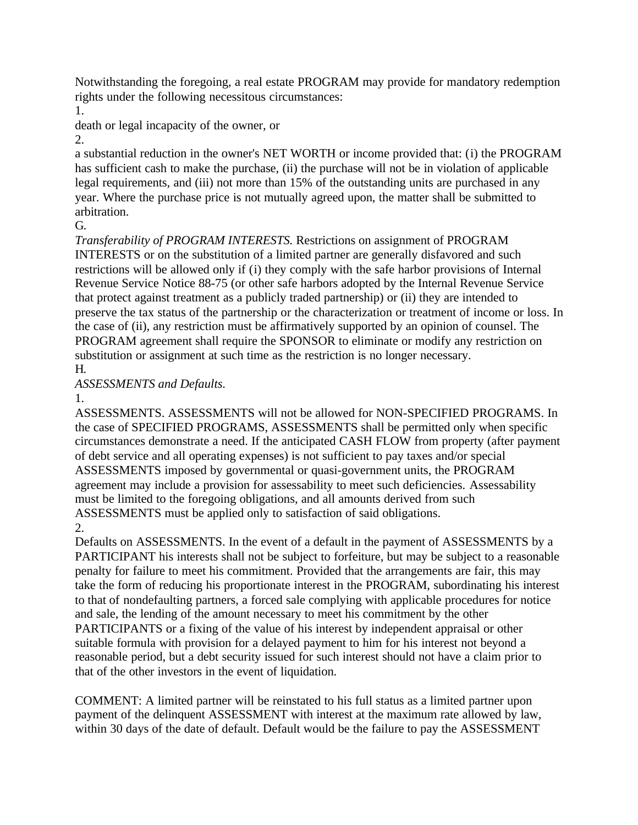Notwithstanding the foregoing, a real estate PROGRAM may provide for mandatory redemption rights under the following necessitous circumstances:

1.

death or legal incapacity of the owner, or

2.

a substantial reduction in the owner's NET WORTH or income provided that: (i) the PROGRAM has sufficient cash to make the purchase, (ii) the purchase will not be in violation of applicable legal requirements, and (iii) not more than 15% of the outstanding units are purchased in any year. Where the purchase price is not mutually agreed upon, the matter shall be submitted to arbitration.

G.

*Transferability of PROGRAM INTERESTS.* Restrictions on assignment of PROGRAM INTERESTS or on the substitution of a limited partner are generally disfavored and such restrictions will be allowed only if (i) they comply with the safe harbor provisions of Internal Revenue Service Notice 88-75 (or other safe harbors adopted by the Internal Revenue Service that protect against treatment as a publicly traded partnership) or (ii) they are intended to preserve the tax status of the partnership or the characterization or treatment of income or loss. In the case of (ii), any restriction must be affirmatively supported by an opinion of counsel. The PROGRAM agreement shall require the SPONSOR to eliminate or modify any restriction on substitution or assignment at such time as the restriction is no longer necessary. H.

*ASSESSMENTS and Defaults.*

## 1.

ASSESSMENTS. ASSESSMENTS will not be allowed for NON-SPECIFIED PROGRAMS. In the case of SPECIFIED PROGRAMS, ASSESSMENTS shall be permitted only when specific circumstances demonstrate a need. If the anticipated CASH FLOW from property (after payment of debt service and all operating expenses) is not sufficient to pay taxes and/or special ASSESSMENTS imposed by governmental or quasi-government units, the PROGRAM agreement may include a provision for assessability to meet such deficiencies. Assessability must be limited to the foregoing obligations, and all amounts derived from such ASSESSMENTS must be applied only to satisfaction of said obligations. 2.

Defaults on ASSESSMENTS. In the event of a default in the payment of ASSESSMENTS by a PARTICIPANT his interests shall not be subject to forfeiture, but may be subject to a reasonable penalty for failure to meet his commitment. Provided that the arrangements are fair, this may take the form of reducing his proportionate interest in the PROGRAM, subordinating his interest to that of nondefaulting partners, a forced sale complying with applicable procedures for notice and sale, the lending of the amount necessary to meet his commitment by the other PARTICIPANTS or a fixing of the value of his interest by independent appraisal or other suitable formula with provision for a delayed payment to him for his interest not beyond a reasonable period, but a debt security issued for such interest should not have a claim prior to that of the other investors in the event of liquidation.

COMMENT: A limited partner will be reinstated to his full status as a limited partner upon payment of the delinquent ASSESSMENT with interest at the maximum rate allowed by law, within 30 days of the date of default. Default would be the failure to pay the ASSESSMENT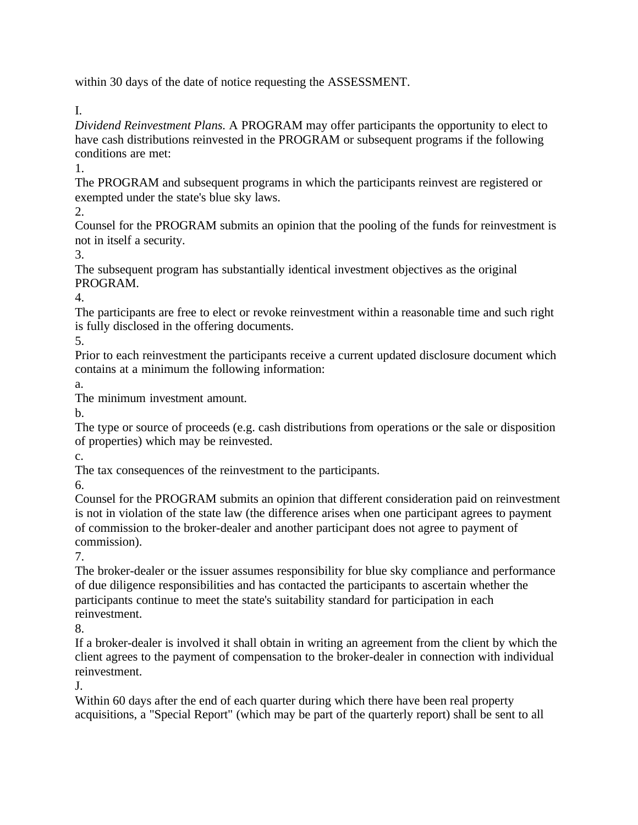within 30 days of the date of notice requesting the ASSESSMENT.

I.

*Dividend Reinvestment Plans.* A PROGRAM may offer participants the opportunity to elect to have cash distributions reinvested in the PROGRAM or subsequent programs if the following conditions are met:

1.

The PROGRAM and subsequent programs in which the participants reinvest are registered or exempted under the state's blue sky laws.

2.

Counsel for the PROGRAM submits an opinion that the pooling of the funds for reinvestment is not in itself a security.

3.

The subsequent program has substantially identical investment objectives as the original PROGRAM.

4.

The participants are free to elect or revoke reinvestment within a reasonable time and such right is fully disclosed in the offering documents.

5.

Prior to each reinvestment the participants receive a current updated disclosure document which contains at a minimum the following information:

a.

The minimum investment amount.

b.

The type or source of proceeds (e.g. cash distributions from operations or the sale or disposition of properties) which may be reinvested.

c.

The tax consequences of the reinvestment to the participants.

6.

Counsel for the PROGRAM submits an opinion that different consideration paid on reinvestment is not in violation of the state law (the difference arises when one participant agrees to payment of commission to the broker-dealer and another participant does not agree to payment of commission).

7.

The broker-dealer or the issuer assumes responsibility for blue sky compliance and performance of due diligence responsibilities and has contacted the participants to ascertain whether the participants continue to meet the state's suitability standard for participation in each reinvestment.

8.

If a broker-dealer is involved it shall obtain in writing an agreement from the client by which the client agrees to the payment of compensation to the broker-dealer in connection with individual reinvestment.

J.

Within 60 days after the end of each quarter during which there have been real property acquisitions, a "Special Report" (which may be part of the quarterly report) shall be sent to all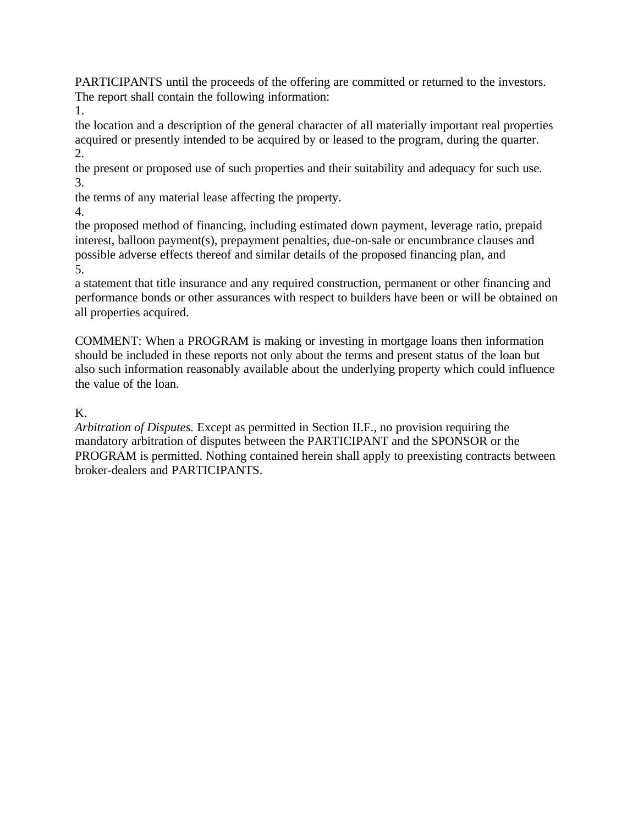PARTICIPANTS until the proceeds of the offering are committed or returned to the investors. The report shall contain the following information:

1.

the location and a description of the general character of all materially important real properties acquired or presently intended to be acquired by or leased to the program, during the quarter. 2.

the present or proposed use of such properties and their suitability and adequacy for such use. 3.

the terms of any material lease affecting the property.

4.

the proposed method of financing, including estimated down payment, leverage ratio, prepaid interest, balloon payment(s), prepayment penalties, due-on-sale or encumbrance clauses and possible adverse effects thereof and similar details of the proposed financing plan, and 5.

a statement that title insurance and any required construction, permanent or other financing and performance bonds or other assurances with respect to builders have been or will be obtained on all properties acquired.

COMMENT: When a PROGRAM is making or investing in mortgage loans then information should be included in these reports not only about the terms and present status of the loan but also such information reasonably available about the underlying property which could influence the value of the loan.

# K.

*Arbitration of Disputes.* Except as permitted in Section II.F., no provision requiring the mandatory arbitration of disputes between the PARTICIPANT and the SPONSOR or the PROGRAM is permitted. Nothing contained herein shall apply to preexisting contracts between broker-dealers and PARTICIPANTS.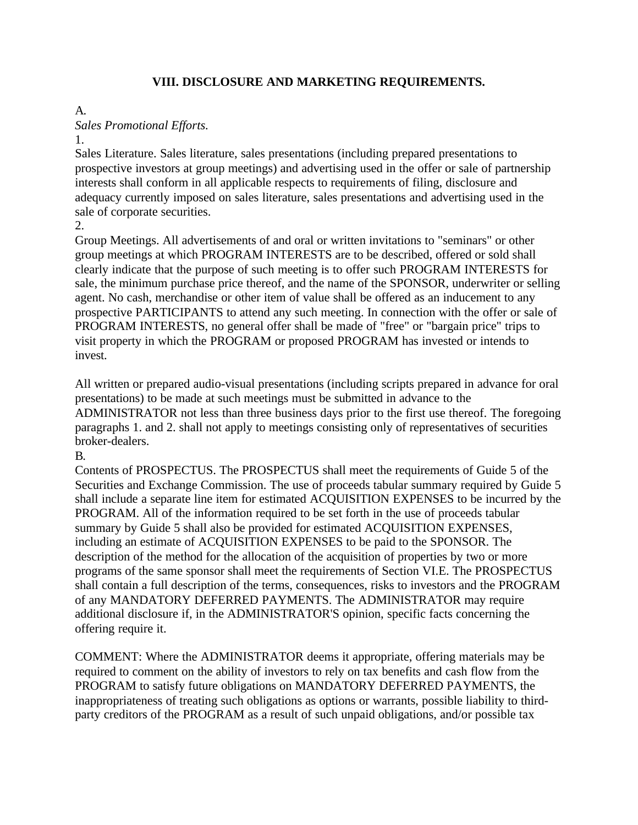#### **VIII. DISCLOSURE AND MARKETING REQUIREMENTS.**

#### A.

*Sales Promotional Efforts.*

1.

Sales Literature. Sales literature, sales presentations (including prepared presentations to prospective investors at group meetings) and advertising used in the offer or sale of partnership interests shall conform in all applicable respects to requirements of filing, disclosure and adequacy currently imposed on sales literature, sales presentations and advertising used in the sale of corporate securities.

2.

Group Meetings. All advertisements of and oral or written invitations to "seminars" or other group meetings at which PROGRAM INTERESTS are to be described, offered or sold shall clearly indicate that the purpose of such meeting is to offer such PROGRAM INTERESTS for sale, the minimum purchase price thereof, and the name of the SPONSOR, underwriter or selling agent. No cash, merchandise or other item of value shall be offered as an inducement to any prospective PARTICIPANTS to attend any such meeting. In connection with the offer or sale of PROGRAM INTERESTS, no general offer shall be made of "free" or "bargain price" trips to visit property in which the PROGRAM or proposed PROGRAM has invested or intends to invest.

All written or prepared audio-visual presentations (including scripts prepared in advance for oral presentations) to be made at such meetings must be submitted in advance to the ADMINISTRATOR not less than three business days prior to the first use thereof. The foregoing paragraphs 1. and 2. shall not apply to meetings consisting only of representatives of securities broker-dealers.

B.

Contents of PROSPECTUS. The PROSPECTUS shall meet the requirements of Guide 5 of the Securities and Exchange Commission. The use of proceeds tabular summary required by Guide 5 shall include a separate line item for estimated ACQUISITION EXPENSES to be incurred by the PROGRAM. All of the information required to be set forth in the use of proceeds tabular summary by Guide 5 shall also be provided for estimated ACQUISITION EXPENSES, including an estimate of ACQUISITION EXPENSES to be paid to the SPONSOR. The description of the method for the allocation of the acquisition of properties by two or more programs of the same sponsor shall meet the requirements of Section VI.E. The PROSPECTUS shall contain a full description of the terms, consequences, risks to investors and the PROGRAM of any MANDATORY DEFERRED PAYMENTS. The ADMINISTRATOR may require additional disclosure if, in the ADMINISTRATOR'S opinion, specific facts concerning the offering require it.

COMMENT: Where the ADMINISTRATOR deems it appropriate, offering materials may be required to comment on the ability of investors to rely on tax benefits and cash flow from the PROGRAM to satisfy future obligations on MANDATORY DEFERRED PAYMENTS, the inappropriateness of treating such obligations as options or warrants, possible liability to thirdparty creditors of the PROGRAM as a result of such unpaid obligations, and/or possible tax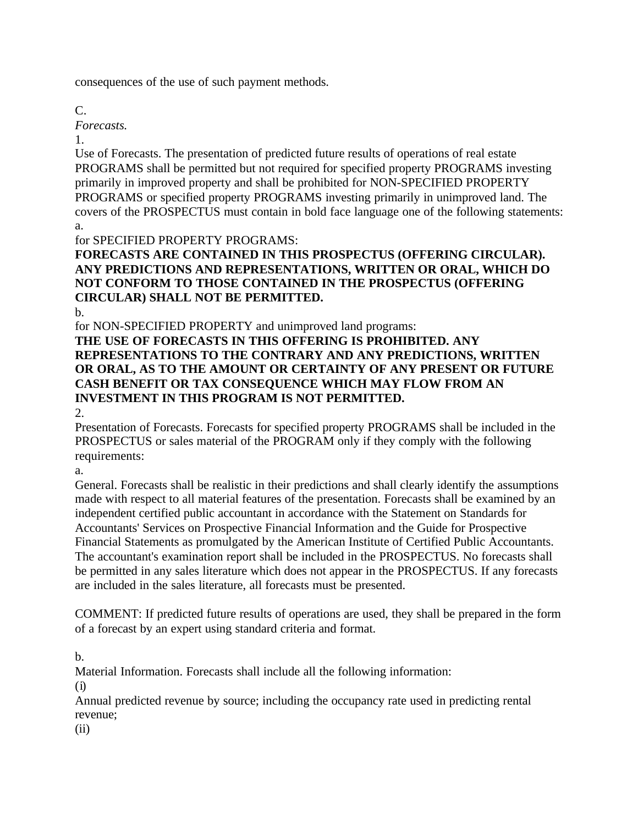consequences of the use of such payment methods.

C.

*Forecasts.*

1.

Use of Forecasts. The presentation of predicted future results of operations of real estate PROGRAMS shall be permitted but not required for specified property PROGRAMS investing primarily in improved property and shall be prohibited for NON-SPECIFIED PROPERTY PROGRAMS or specified property PROGRAMS investing primarily in unimproved land. The covers of the PROSPECTUS must contain in bold face language one of the following statements: a.

for SPECIFIED PROPERTY PROGRAMS:

# **FORECASTS ARE CONTAINED IN THIS PROSPECTUS (OFFERING CIRCULAR). ANY PREDICTIONS AND REPRESENTATIONS, WRITTEN OR ORAL, WHICH DO NOT CONFORM TO THOSE CONTAINED IN THE PROSPECTUS (OFFERING CIRCULAR) SHALL NOT BE PERMITTED.**

b.

for NON-SPECIFIED PROPERTY and unimproved land programs: **THE USE OF FORECASTS IN THIS OFFERING IS PROHIBITED. ANY REPRESENTATIONS TO THE CONTRARY AND ANY PREDICTIONS, WRITTEN OR ORAL, AS TO THE AMOUNT OR CERTAINTY OF ANY PRESENT OR FUTURE CASH BENEFIT OR TAX CONSEQUENCE WHICH MAY FLOW FROM AN INVESTMENT IN THIS PROGRAM IS NOT PERMITTED.**

2.

Presentation of Forecasts. Forecasts for specified property PROGRAMS shall be included in the PROSPECTUS or sales material of the PROGRAM only if they comply with the following requirements:

a.

General. Forecasts shall be realistic in their predictions and shall clearly identify the assumptions made with respect to all material features of the presentation. Forecasts shall be examined by an independent certified public accountant in accordance with the Statement on Standards for Accountants' Services on Prospective Financial Information and the Guide for Prospective Financial Statements as promulgated by the American Institute of Certified Public Accountants. The accountant's examination report shall be included in the PROSPECTUS. No forecasts shall be permitted in any sales literature which does not appear in the PROSPECTUS. If any forecasts are included in the sales literature, all forecasts must be presented.

COMMENT: If predicted future results of operations are used, they shall be prepared in the form of a forecast by an expert using standard criteria and format.

b.

Material Information. Forecasts shall include all the following information:

(i)

Annual predicted revenue by source; including the occupancy rate used in predicting rental revenue;

(ii)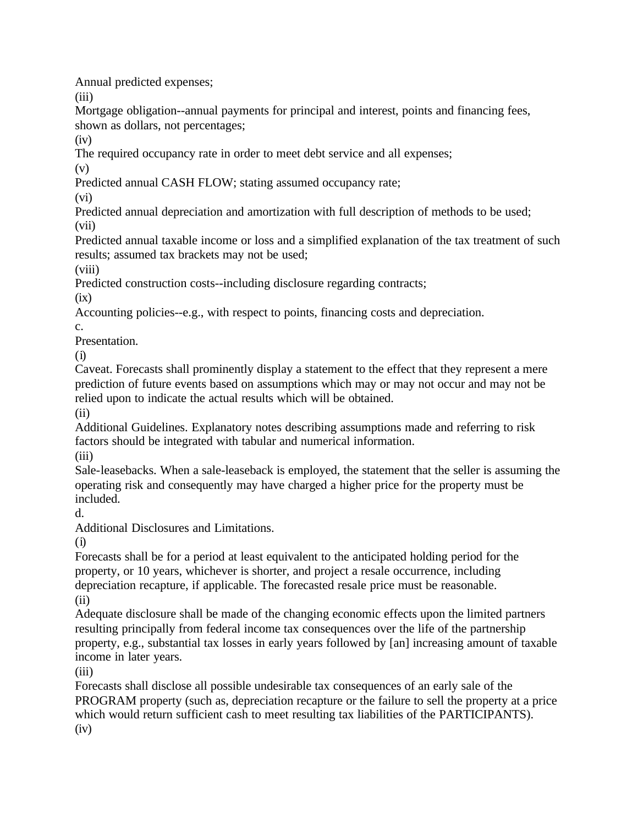Annual predicted expenses;

(iii)

Mortgage obligation--annual payments for principal and interest, points and financing fees, shown as dollars, not percentages;

 $(iv)$ 

The required occupancy rate in order to meet debt service and all expenses;

(v)

Predicted annual CASH FLOW; stating assumed occupancy rate;

(vi)

Predicted annual depreciation and amortization with full description of methods to be used; (vii)

Predicted annual taxable income or loss and a simplified explanation of the tax treatment of such results; assumed tax brackets may not be used;

(viii)

Predicted construction costs--including disclosure regarding contracts;

 $(ix)$ 

Accounting policies--e.g., with respect to points, financing costs and depreciation.

c.

Presentation.

(i)

Caveat. Forecasts shall prominently display a statement to the effect that they represent a mere prediction of future events based on assumptions which may or may not occur and may not be relied upon to indicate the actual results which will be obtained.

(ii)

Additional Guidelines. Explanatory notes describing assumptions made and referring to risk factors should be integrated with tabular and numerical information.

(iii)

Sale-leasebacks. When a sale-leaseback is employed, the statement that the seller is assuming the operating risk and consequently may have charged a higher price for the property must be included.

d.

Additional Disclosures and Limitations.

(i)

Forecasts shall be for a period at least equivalent to the anticipated holding period for the property, or 10 years, whichever is shorter, and project a resale occurrence, including depreciation recapture, if applicable. The forecasted resale price must be reasonable. (ii)

Adequate disclosure shall be made of the changing economic effects upon the limited partners resulting principally from federal income tax consequences over the life of the partnership property, e.g., substantial tax losses in early years followed by [an] increasing amount of taxable income in later years.

(iii)

Forecasts shall disclose all possible undesirable tax consequences of an early sale of the PROGRAM property (such as, depreciation recapture or the failure to sell the property at a price which would return sufficient cash to meet resulting tax liabilities of the PARTICIPANTS).  $(iv)$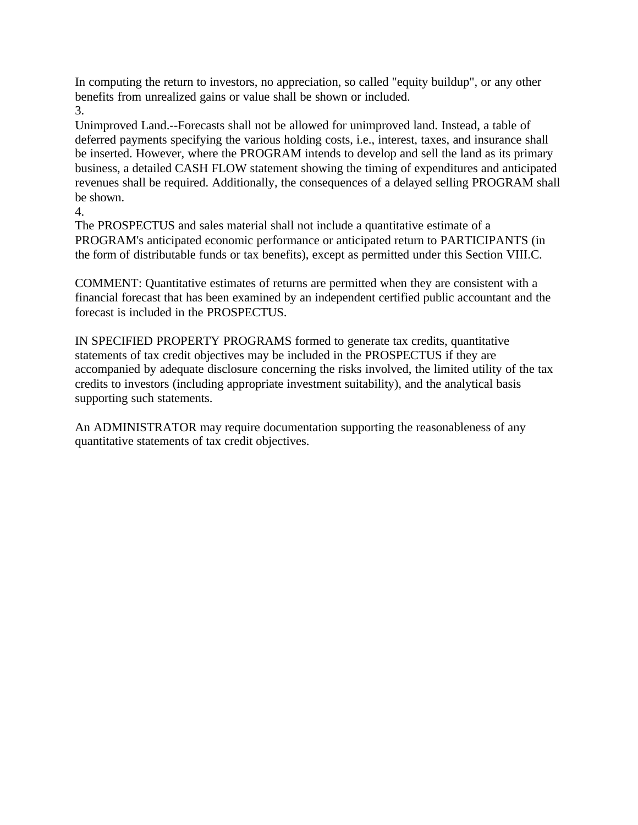In computing the return to investors, no appreciation, so called "equity buildup", or any other benefits from unrealized gains or value shall be shown or included. 3.

Unimproved Land.--Forecasts shall not be allowed for unimproved land. Instead, a table of deferred payments specifying the various holding costs, i.e., interest, taxes, and insurance shall be inserted. However, where the PROGRAM intends to develop and sell the land as its primary business, a detailed CASH FLOW statement showing the timing of expenditures and anticipated revenues shall be required. Additionally, the consequences of a delayed selling PROGRAM shall be shown.

4.

The PROSPECTUS and sales material shall not include a quantitative estimate of a PROGRAM's anticipated economic performance or anticipated return to PARTICIPANTS (in the form of distributable funds or tax benefits), except as permitted under this Section VIII.C.

COMMENT: Quantitative estimates of returns are permitted when they are consistent with a financial forecast that has been examined by an independent certified public accountant and the forecast is included in the PROSPECTUS.

IN SPECIFIED PROPERTY PROGRAMS formed to generate tax credits, quantitative statements of tax credit objectives may be included in the PROSPECTUS if they are accompanied by adequate disclosure concerning the risks involved, the limited utility of the tax credits to investors (including appropriate investment suitability), and the analytical basis supporting such statements.

An ADMINISTRATOR may require documentation supporting the reasonableness of any quantitative statements of tax credit objectives.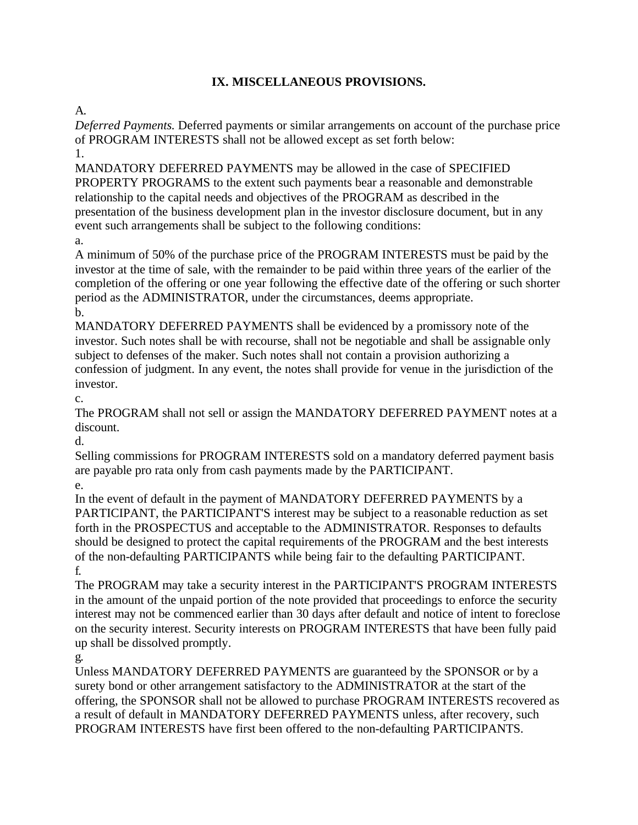# **IX. MISCELLANEOUS PROVISIONS.**

A.

*Deferred Payments.* Deferred payments or similar arrangements on account of the purchase price of PROGRAM INTERESTS shall not be allowed except as set forth below:

1.

MANDATORY DEFERRED PAYMENTS may be allowed in the case of SPECIFIED PROPERTY PROGRAMS to the extent such payments bear a reasonable and demonstrable relationship to the capital needs and objectives of the PROGRAM as described in the presentation of the business development plan in the investor disclosure document, but in any event such arrangements shall be subject to the following conditions:

a.

A minimum of 50% of the purchase price of the PROGRAM INTERESTS must be paid by the investor at the time of sale, with the remainder to be paid within three years of the earlier of the completion of the offering or one year following the effective date of the offering or such shorter period as the ADMINISTRATOR, under the circumstances, deems appropriate. b.

MANDATORY DEFERRED PAYMENTS shall be evidenced by a promissory note of the investor. Such notes shall be with recourse, shall not be negotiable and shall be assignable only subject to defenses of the maker. Such notes shall not contain a provision authorizing a confession of judgment. In any event, the notes shall provide for venue in the jurisdiction of the investor.

c.

The PROGRAM shall not sell or assign the MANDATORY DEFERRED PAYMENT notes at a discount.

d.

Selling commissions for PROGRAM INTERESTS sold on a mandatory deferred payment basis are payable pro rata only from cash payments made by the PARTICIPANT.

e.

In the event of default in the payment of MANDATORY DEFERRED PAYMENTS by a PARTICIPANT, the PARTICIPANT'S interest may be subject to a reasonable reduction as set forth in the PROSPECTUS and acceptable to the ADMINISTRATOR. Responses to defaults should be designed to protect the capital requirements of the PROGRAM and the best interests of the non-defaulting PARTICIPANTS while being fair to the defaulting PARTICIPANT. f.

The PROGRAM may take a security interest in the PARTICIPANT'S PROGRAM INTERESTS in the amount of the unpaid portion of the note provided that proceedings to enforce the security interest may not be commenced earlier than 30 days after default and notice of intent to foreclose on the security interest. Security interests on PROGRAM INTERESTS that have been fully paid up shall be dissolved promptly.

g.

Unless MANDATORY DEFERRED PAYMENTS are guaranteed by the SPONSOR or by a surety bond or other arrangement satisfactory to the ADMINISTRATOR at the start of the offering, the SPONSOR shall not be allowed to purchase PROGRAM INTERESTS recovered as a result of default in MANDATORY DEFERRED PAYMENTS unless, after recovery, such PROGRAM INTERESTS have first been offered to the non-defaulting PARTICIPANTS.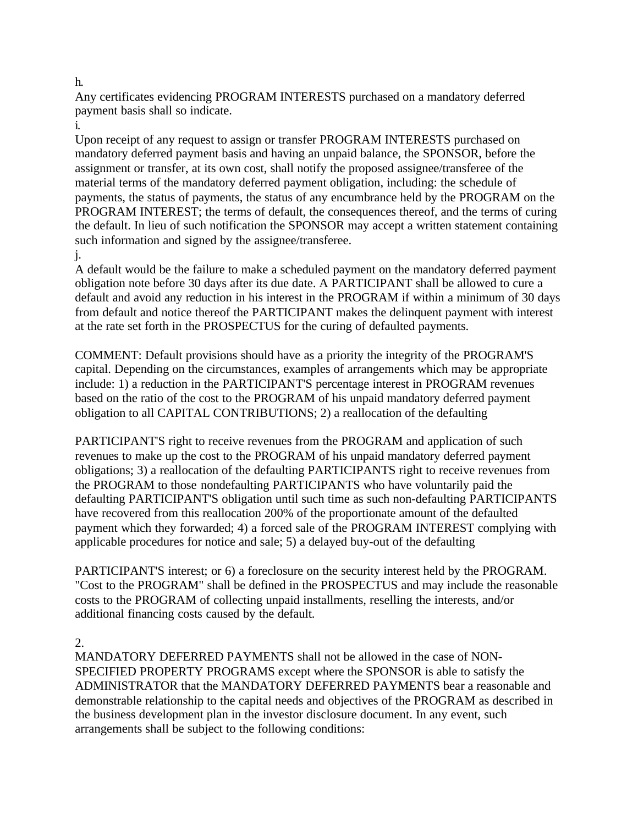Any certificates evidencing PROGRAM INTERESTS purchased on a mandatory deferred payment basis shall so indicate.

i.

Upon receipt of any request to assign or transfer PROGRAM INTERESTS purchased on mandatory deferred payment basis and having an unpaid balance, the SPONSOR, before the assignment or transfer, at its own cost, shall notify the proposed assignee/transferee of the material terms of the mandatory deferred payment obligation, including: the schedule of payments, the status of payments, the status of any encumbrance held by the PROGRAM on the PROGRAM INTEREST; the terms of default, the consequences thereof, and the terms of curing the default. In lieu of such notification the SPONSOR may accept a written statement containing such information and signed by the assignee/transferee.

#### j.

A default would be the failure to make a scheduled payment on the mandatory deferred payment obligation note before 30 days after its due date. A PARTICIPANT shall be allowed to cure a default and avoid any reduction in his interest in the PROGRAM if within a minimum of 30 days from default and notice thereof the PARTICIPANT makes the delinquent payment with interest at the rate set forth in the PROSPECTUS for the curing of defaulted payments.

COMMENT: Default provisions should have as a priority the integrity of the PROGRAM'S capital. Depending on the circumstances, examples of arrangements which may be appropriate include: 1) a reduction in the PARTICIPANT'S percentage interest in PROGRAM revenues based on the ratio of the cost to the PROGRAM of his unpaid mandatory deferred payment obligation to all CAPITAL CONTRIBUTIONS; 2) a reallocation of the defaulting

PARTICIPANT'S right to receive revenues from the PROGRAM and application of such revenues to make up the cost to the PROGRAM of his unpaid mandatory deferred payment obligations; 3) a reallocation of the defaulting PARTICIPANTS right to receive revenues from the PROGRAM to those nondefaulting PARTICIPANTS who have voluntarily paid the defaulting PARTICIPANT'S obligation until such time as such non-defaulting PARTICIPANTS have recovered from this reallocation 200% of the proportionate amount of the defaulted payment which they forwarded; 4) a forced sale of the PROGRAM INTEREST complying with applicable procedures for notice and sale; 5) a delayed buy-out of the defaulting

PARTICIPANT'S interest; or 6) a foreclosure on the security interest held by the PROGRAM. "Cost to the PROGRAM" shall be defined in the PROSPECTUS and may include the reasonable costs to the PROGRAM of collecting unpaid installments, reselling the interests, and/or additional financing costs caused by the default.

#### 2.

MANDATORY DEFERRED PAYMENTS shall not be allowed in the case of NON-SPECIFIED PROPERTY PROGRAMS except where the SPONSOR is able to satisfy the ADMINISTRATOR that the MANDATORY DEFERRED PAYMENTS bear a reasonable and demonstrable relationship to the capital needs and objectives of the PROGRAM as described in the business development plan in the investor disclosure document. In any event, such arrangements shall be subject to the following conditions:

h.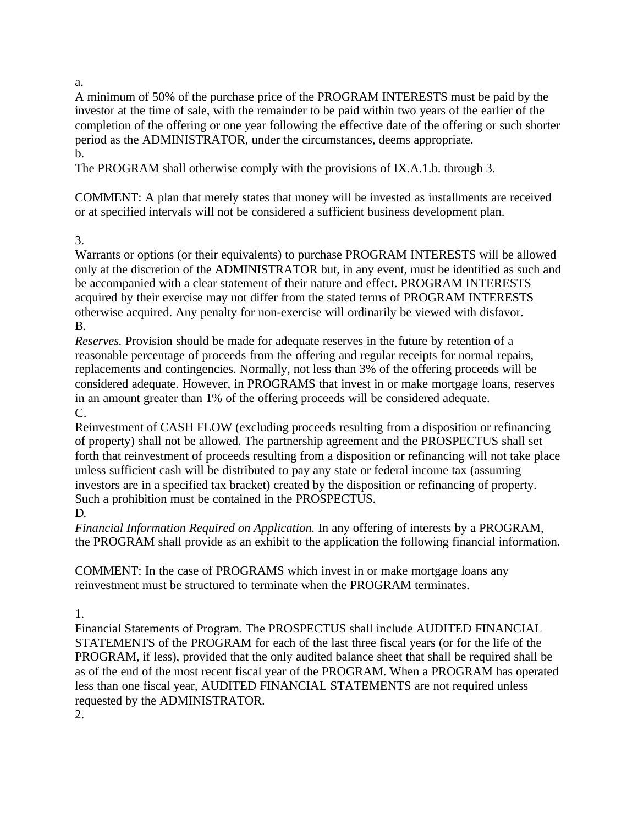#### a.

A minimum of 50% of the purchase price of the PROGRAM INTERESTS must be paid by the investor at the time of sale, with the remainder to be paid within two years of the earlier of the completion of the offering or one year following the effective date of the offering or such shorter period as the ADMINISTRATOR, under the circumstances, deems appropriate. b.

The PROGRAM shall otherwise comply with the provisions of IX.A.1.b. through 3.

COMMENT: A plan that merely states that money will be invested as installments are received or at specified intervals will not be considered a sufficient business development plan.

## 3.

Warrants or options (or their equivalents) to purchase PROGRAM INTERESTS will be allowed only at the discretion of the ADMINISTRATOR but, in any event, must be identified as such and be accompanied with a clear statement of their nature and effect. PROGRAM INTERESTS acquired by their exercise may not differ from the stated terms of PROGRAM INTERESTS otherwise acquired. Any penalty for non-exercise will ordinarily be viewed with disfavor. B.

*Reserves.* Provision should be made for adequate reserves in the future by retention of a reasonable percentage of proceeds from the offering and regular receipts for normal repairs, replacements and contingencies. Normally, not less than 3% of the offering proceeds will be considered adequate. However, in PROGRAMS that invest in or make mortgage loans, reserves in an amount greater than 1% of the offering proceeds will be considered adequate. C.

Reinvestment of CASH FLOW (excluding proceeds resulting from a disposition or refinancing of property) shall not be allowed. The partnership agreement and the PROSPECTUS shall set forth that reinvestment of proceeds resulting from a disposition or refinancing will not take place unless sufficient cash will be distributed to pay any state or federal income tax (assuming investors are in a specified tax bracket) created by the disposition or refinancing of property. Such a prohibition must be contained in the PROSPECTUS.

## D.

*Financial Information Required on Application.* In any offering of interests by a PROGRAM, the PROGRAM shall provide as an exhibit to the application the following financial information.

COMMENT: In the case of PROGRAMS which invest in or make mortgage loans any reinvestment must be structured to terminate when the PROGRAM terminates.

## 1.

Financial Statements of Program. The PROSPECTUS shall include AUDITED FINANCIAL STATEMENTS of the PROGRAM for each of the last three fiscal years (or for the life of the PROGRAM, if less), provided that the only audited balance sheet that shall be required shall be as of the end of the most recent fiscal year of the PROGRAM. When a PROGRAM has operated less than one fiscal year, AUDITED FINANCIAL STATEMENTS are not required unless requested by the ADMINISTRATOR.

2.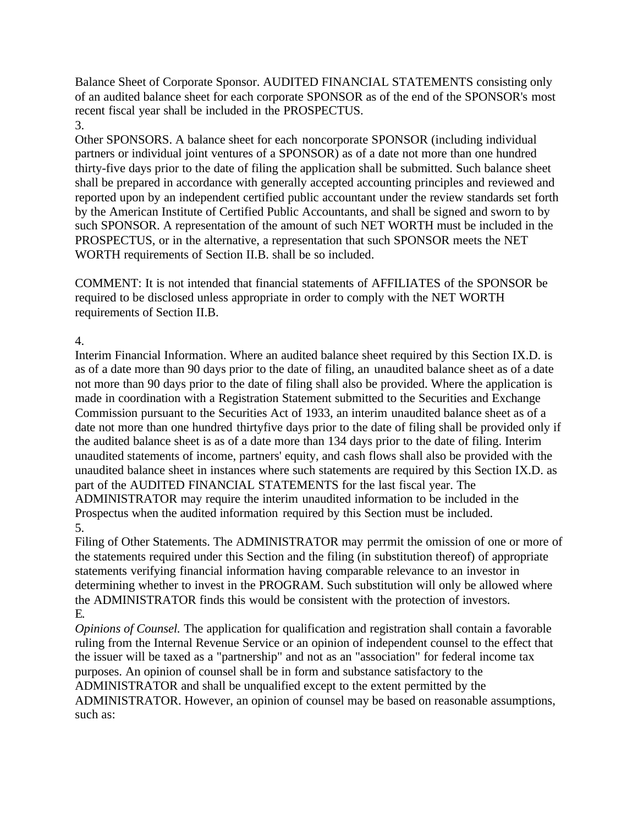Balance Sheet of Corporate Sponsor. AUDITED FINANCIAL STATEMENTS consisting only of an audited balance sheet for each corporate SPONSOR as of the end of the SPONSOR's most recent fiscal year shall be included in the PROSPECTUS. 3.

Other SPONSORS. A balance sheet for each noncorporate SPONSOR (including individual partners or individual joint ventures of a SPONSOR) as of a date not more than one hundred thirty-five days prior to the date of filing the application shall be submitted. Such balance sheet shall be prepared in accordance with generally accepted accounting principles and reviewed and reported upon by an independent certified public accountant under the review standards set forth by the American Institute of Certified Public Accountants, and shall be signed and sworn to by such SPONSOR. A representation of the amount of such NET WORTH must be included in the PROSPECTUS, or in the alternative, a representation that such SPONSOR meets the NET WORTH requirements of Section II.B. shall be so included.

COMMENT: It is not intended that financial statements of AFFILIATES of the SPONSOR be required to be disclosed unless appropriate in order to comply with the NET WORTH requirements of Section II.B.

## 4.

Interim Financial Information. Where an audited balance sheet required by this Section IX.D. is as of a date more than 90 days prior to the date of filing, an unaudited balance sheet as of a date not more than 90 days prior to the date of filing shall also be provided. Where the application is made in coordination with a Registration Statement submitted to the Securities and Exchange Commission pursuant to the Securities Act of 1933, an interim unaudited balance sheet as of a date not more than one hundred thirtyfive days prior to the date of filing shall be provided only if the audited balance sheet is as of a date more than 134 days prior to the date of filing. Interim unaudited statements of income, partners' equity, and cash flows shall also be provided with the unaudited balance sheet in instances where such statements are required by this Section IX.D. as part of the AUDITED FINANCIAL STATEMENTS for the last fiscal year. The ADMINISTRATOR may require the interim unaudited information to be included in the Prospectus when the audited information required by this Section must be included. 5.

Filing of Other Statements. The ADMINISTRATOR may perrmit the omission of one or more of the statements required under this Section and the filing (in substitution thereof) of appropriate statements verifying financial information having comparable relevance to an investor in determining whether to invest in the PROGRAM. Such substitution will only be allowed where the ADMINISTRATOR finds this would be consistent with the protection of investors. E.

*Opinions of Counsel.* The application for qualification and registration shall contain a favorable ruling from the Internal Revenue Service or an opinion of independent counsel to the effect that the issuer will be taxed as a "partnership" and not as an "association" for federal income tax purposes. An opinion of counsel shall be in form and substance satisfactory to the ADMINISTRATOR and shall be unqualified except to the extent permitted by the ADMINISTRATOR. However, an opinion of counsel may be based on reasonable assumptions, such as: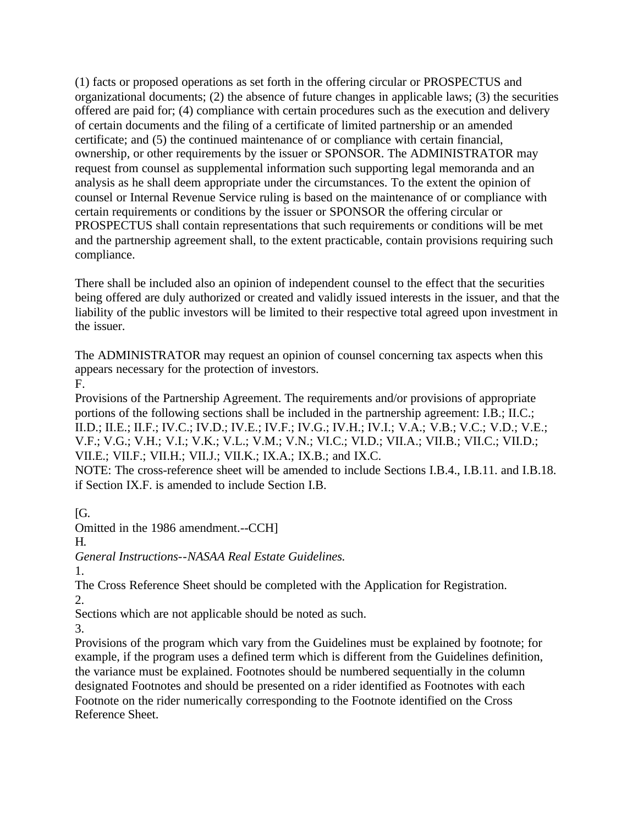(1) facts or proposed operations as set forth in the offering circular or PROSPECTUS and organizational documents; (2) the absence of future changes in applicable laws; (3) the securities offered are paid for; (4) compliance with certain procedures such as the execution and delivery of certain documents and the filing of a certificate of limited partnership or an amended certificate; and (5) the continued maintenance of or compliance with certain financial, ownership, or other requirements by the issuer or SPONSOR. The ADMINISTRATOR may request from counsel as supplemental information such supporting legal memoranda and an analysis as he shall deem appropriate under the circumstances. To the extent the opinion of counsel or Internal Revenue Service ruling is based on the maintenance of or compliance with certain requirements or conditions by the issuer or SPONSOR the offering circular or PROSPECTUS shall contain representations that such requirements or conditions will be met and the partnership agreement shall, to the extent practicable, contain provisions requiring such compliance.

There shall be included also an opinion of independent counsel to the effect that the securities being offered are duly authorized or created and validly issued interests in the issuer, and that the liability of the public investors will be limited to their respective total agreed upon investment in the issuer.

The ADMINISTRATOR may request an opinion of counsel concerning tax aspects when this appears necessary for the protection of investors.

F.

Provisions of the Partnership Agreement. The requirements and/or provisions of appropriate portions of the following sections shall be included in the partnership agreement: I.B.; II.C.; II.D.; II.E.; II.F.; IV.C.; IV.D.; IV.E.; IV.F.; IV.G.; IV.H.; IV.I.; V.A.; V.B.; V.C.; V.D.; V.E.; V.F.; V.G.; V.H.; V.I.; V.K.; V.L.; V.M.; V.N.; VI.C.; VI.D.; VII.A.; VII.B.; VII.C.; VII.D.; VII.E.; VII.F.; VII.H.; VII.J.; VII.K.; IX.A.; IX.B.; and IX.C.

NOTE: The cross-reference sheet will be amended to include Sections I.B.4., I.B.11. and I.B.18. if Section IX.F. is amended to include Section I.B.

 $[G.$ 

Omitted in the 1986 amendment.--CCH]

H.

*General Instructions*--*NASAA Real Estate Guidelines.*

1.

The Cross Reference Sheet should be completed with the Application for Registration. 2.

Sections which are not applicable should be noted as such.

3.

Provisions of the program which vary from the Guidelines must be explained by footnote; for example, if the program uses a defined term which is different from the Guidelines definition, the variance must be explained. Footnotes should be numbered sequentially in the column designated Footnotes and should be presented on a rider identified as Footnotes with each Footnote on the rider numerically corresponding to the Footnote identified on the Cross Reference Sheet.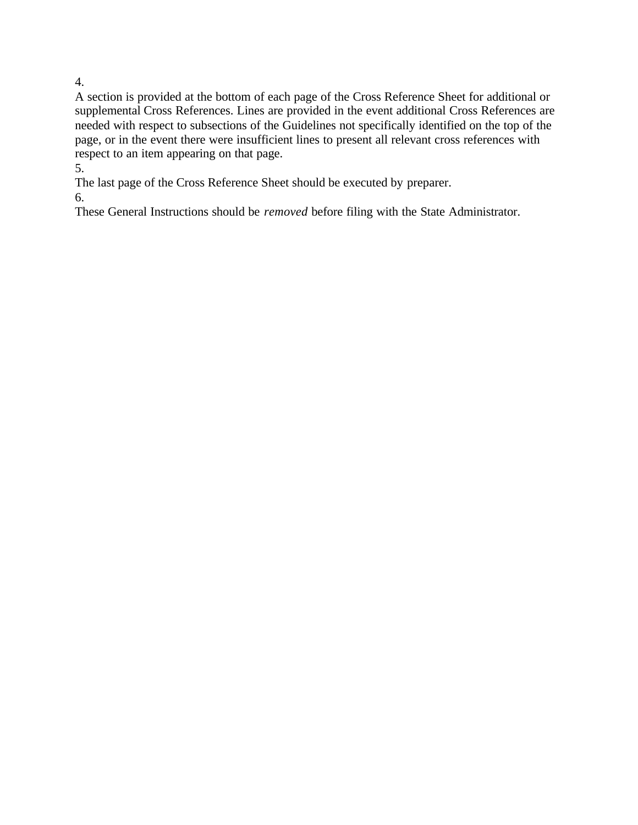A section is provided at the bottom of each page of the Cross Reference Sheet for additional or supplemental Cross References. Lines are provided in the event additional Cross References are needed with respect to subsections of the Guidelines not specifically identified on the top of the page, or in the event there were insufficient lines to present all relevant cross references with respect to an item appearing on that page.

5.

The last page of the Cross Reference Sheet should be executed by preparer.

6.

These General Instructions should be *removed* before filing with the State Administrator.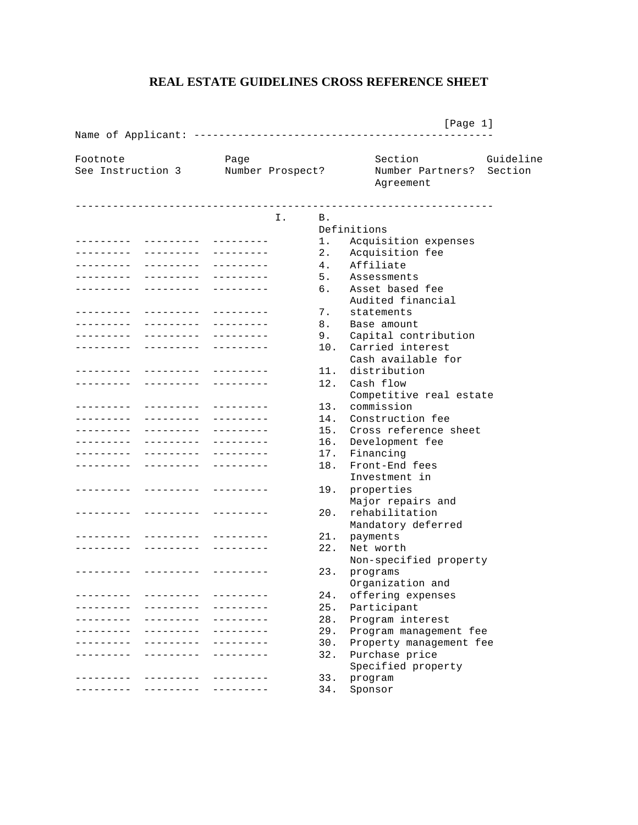#### **REAL ESTATE GUIDELINES CROSS REFERENCE SHEET**

 [Page 1] Name of Applicant: ------------------------------------------------ Footnote **Section** Page **Section** Guideline See Instruction 3 Number Prospect? Number Partners? Section Agreement ------------------------------------------------------------------- I. B. Definitions --------- --------- --------- 1. Acquisition expenses -------- --------- --------- 2. Acquisition fee -------- -------- --------- 4. Affiliate --------- --------- --------- 5. Assessments --------- --------- --------- 6. Asset based fee Audited financial<br>7. statements --------- -------- --------- 7. statements<br>-------- -------- --------- 8. Base amount --------- --------- --------- 8. Base amount --------- -------- --------- 9. Capital contribution<br>--------- -------- --------- 10. Carried interest --------- ---------- --------- Cash available for --------- --------- --------- 11. distribution -------- -------- --------- 12. Cash flow Competitive real estate<br>13. commission --------- --------- --------- 13. commission -------- --------- --------- 14. Construction fee --------- -------- --------- 15. Cross reference sheet --------- --------- --------- 16. Development fee --------- --------- ---------- 17. Financing<br>-------- -------- --------- 18. Front-End fees --------- ---------- --------- Investment in -------- -------- --------- 19. properties Major repairs and --------- --------- --------- 20. rehabilitation Mandatory deferred --------- -------- --------- 21. payments -------- -------- --------- 22. Net worth Non-specified property --------- -------- --------- 23. programs Organization and -------- -------- --------- 24. offering expenses -------- -------- --------- 25. Participant --------- --------- --------- 28. Program interest 29. Program management fee<br>30. Property management fee --------- --------- --------- 30. Property management fee -------- -------- --------- 32. Purchase price Specified property -------- -------- --------- 33. program --------- --------- --------- 34. Sponsor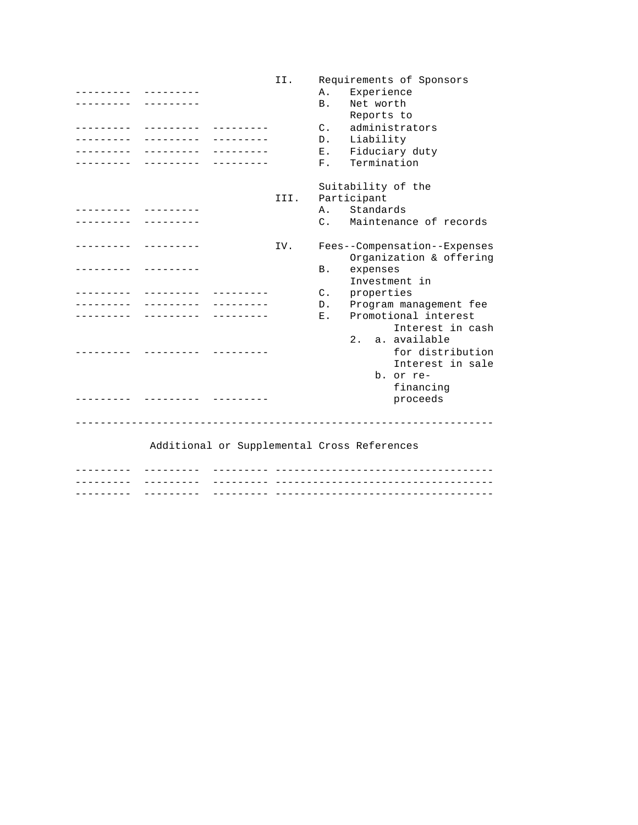II. Requirements of Sponsors --------- --------- A. Experience --------- --------- B. Net worth Reports to --------- --------- --------- C. administrators --------- -------- --------- D. Liability<br>-------- -------- --------- E. Fiduciary duty --------- ---------- ----------------- -------- --------- F. Termination Suitability of the<br>III. Participant Participant --------- --------- A. Standards C. Maintenance of records --------- --------- IV. Fees--Compensation--Expenses Organization & offering<br>expenses --------- --------- B. expenses Investment in --------- --------- --------- C. properties --------- -------- --------- D. Program management fee --------- --------- --------- E. Promotional interest Interest in cash 2. a. available --------- --------- --------- for distribution Interest in sale b. or re financing --------- --------- --------- proceeds ------------------------------------------------------------------- Additional or Supplemental Cross References --------- --------- --------- ----------------------------------- --------- --------- --------- -----------------------------------

--------- --------- --------- -----------------------------------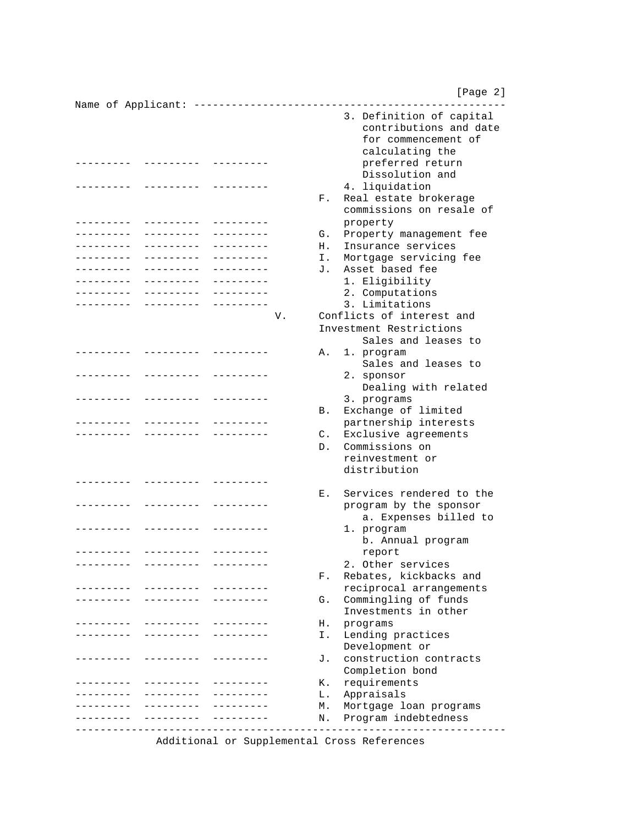[Page 2]

Name of Applicant: -------------------------------------------------- 3. Definition of capital contributions and date for commencement of calculating the --------- --------- --------- preferred return Dissolution and --------- --------- --------- 4. liquidation F. Real estate brokerage commissions on resale of --------- --------- --------- property --------- -------- --------- G. Property management fee<br>-------- -------- -------- F. Insurance services H. Insurance services --------- --------- --------- I. Mortgage servicing fee --------- --------- --------- J. Asset based fee --------- --------- --------- 1. Eligibility --------- --------- --------- 2. Computations --------- --------- --------- 3. Limitations V. Conflicts of interest and Investment Restrictions Sales and leases to --------- --------- ---------- A. 1. program Sales and leases to --------- -------- --------- 2. sponsor Dealing with related --------- --------- --------- 3. programs B. Exchange of limited --------- --------- --------- partnership interests --------- --------- --------- C. Exclusive agreements D. Commissions on reinvestment or distribution --------- --------- --------- E. Services rendered to the --------- -------- --------- program by the sponsor a. Expenses billed to -------- -------- --------- 1. program b. Annual program --------- --------- --------- report --------- --------- --------- 2. Other services F. Rebates, kickbacks and --------- --------- --------- reciprocal arrangements -------- -------- --------- G. Commingling of funds Investments in other --------- -------- ---------- H. programs --------- --------- --------- I. Lending practices Development or --------- --------- --------- J. construction contracts Completion bond --------- --------- --------- K. requirements --------- --------- --------- L. Appraisals --------- -------- --------- M. Mortgage loan programs --------- -------- --------- N. Program indebtedness ---------------------------------------------------------------------

Additional or Supplemental Cross References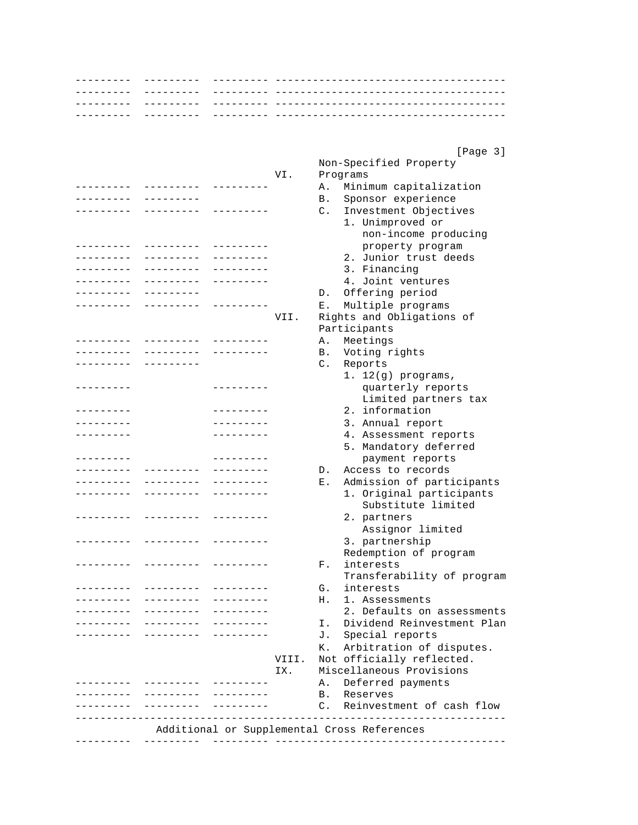|                   | - - - - - - - -                |            |       |            |                                              |
|-------------------|--------------------------------|------------|-------|------------|----------------------------------------------|
|                   | - - - - - - - -                |            |       |            |                                              |
|                   |                                |            |       |            |                                              |
|                   | --------                       |            |       |            |                                              |
|                   |                                |            |       |            |                                              |
|                   |                                |            |       |            |                                              |
|                   |                                |            |       |            | [Page 3]                                     |
|                   |                                |            |       |            | Non-Specified Property                       |
|                   |                                |            | VI.   |            | Programs                                     |
| --------          | ---------                      |            |       | Α.         | Minimum capitalization                       |
| --------          | . _ _ _ _ _ _ _ _              |            |       | В.         | Sponsor experience                           |
|                   | ---------                      |            |       | C.         | Investment Objectives                        |
|                   |                                |            |       |            | 1. Unimproved or                             |
|                   |                                |            |       |            | non-income producing                         |
| - - - - - - - -   | $- - - - - - - - -$            |            |       |            | property program                             |
| ---------         | ---------                      | ---------  |       |            | 2. Junior trust deeds                        |
| ---------         | .                              | --------   |       |            | 3. Financing                                 |
|                   |                                |            |       |            | 4. Joint ventures                            |
|                   |                                |            |       | D.         | Offering period                              |
|                   |                                |            |       | Е.         | Multiple programs                            |
|                   |                                |            | VII.  |            | Rights and Obligations of                    |
|                   |                                |            |       |            | Participants                                 |
|                   |                                |            |       | Α.         | Meetings                                     |
|                   |                                |            |       | В.         | Voting rights                                |
|                   | --------                       |            |       | C.         | Reports                                      |
|                   |                                |            |       |            | $1. 12(g)$ programs,                         |
|                   |                                |            |       |            | quarterly reports                            |
|                   |                                |            |       |            | Limited partners tax                         |
| - - - - - - - - - |                                | ---------  |       |            | 2. information                               |
| ---------         |                                | ---------  |       |            | 3. Annual report                             |
|                   |                                | . <u>.</u> |       |            | 4. Assessment reports                        |
|                   |                                |            |       |            | 5. Mandatory deferred                        |
|                   |                                | -------    |       |            | payment reports                              |
|                   |                                |            |       | D.         | Access to records                            |
|                   | . <u>.</u>                     | --------   |       | Ε.         | Admission of participants                    |
|                   |                                |            |       |            | 1. Original participants                     |
|                   |                                |            |       |            | Substitute limited                           |
|                   |                                |            |       |            |                                              |
|                   |                                |            |       |            | 2. partners                                  |
|                   |                                |            |       |            | Assignor limited                             |
|                   |                                |            |       |            | 3. partnership                               |
|                   |                                |            |       |            | Redemption of program                        |
|                   | .                              | ---------  |       | F.         | interests                                    |
|                   |                                |            |       |            | Transferability of program                   |
|                   | ---------- ---------           |            |       | G.         | interests                                    |
|                   | . <u>.</u>                     |            |       | Н.         | 1. Assessments<br>2. Defaults on assessments |
|                   | _________                      |            |       |            |                                              |
|                   | - - - - - - - - - <sup>-</sup> | ---------  |       | Ι.         | Dividend Reinvestment Plan                   |
|                   |                                |            |       | J.         | Special reports                              |
|                   |                                |            |       | К.         | Arbitration of disputes.                     |
|                   |                                |            | VIII. |            | Not officially reflected.                    |
|                   |                                |            | IX.   |            | Miscellaneous Provisions                     |
|                   |                                |            |       | Α.         | Deferred payments                            |
|                   |                                |            |       | <b>B</b> . | Reserves                                     |
|                   | __________                     |            |       |            | C. Reinvestment of cash flow                 |
|                   |                                |            |       |            |                                              |
|                   |                                |            |       |            | Additional or Supplemental Cross References  |
|                   |                                |            |       |            |                                              |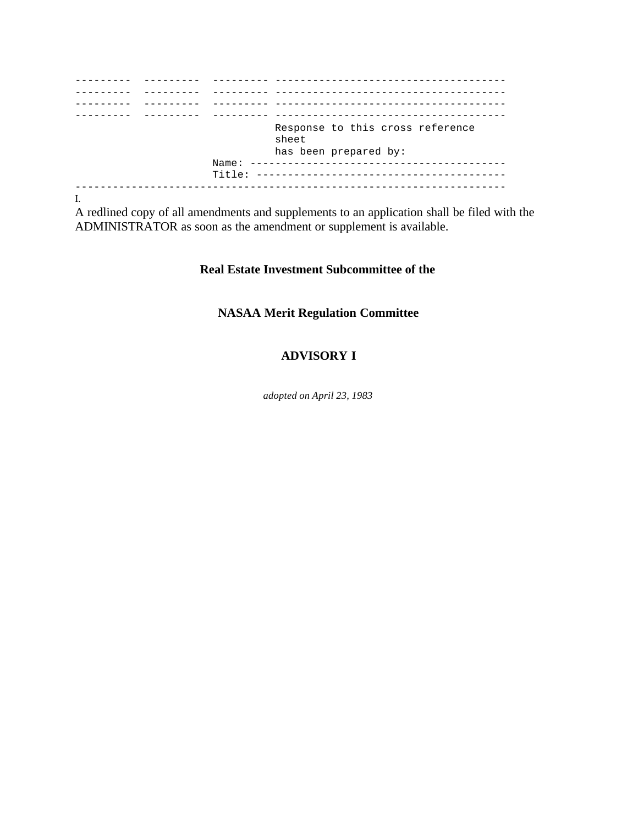|  | ________ __________ |                                           |
|--|---------------------|-------------------------------------------|
|  |                     |                                           |
|  |                     | Response to this cross reference<br>sheet |
|  |                     | has been prepared by:                     |
|  |                     |                                           |
|  |                     |                                           |

I.

A redlined copy of all amendments and supplements to an application shall be filed with the ADMINISTRATOR as soon as the amendment or supplement is available.

## **Real Estate Investment Subcommittee of the**

# **NASAA Merit Regulation Committee**

## **ADVISORY I**

*adopted on April 23, 1983*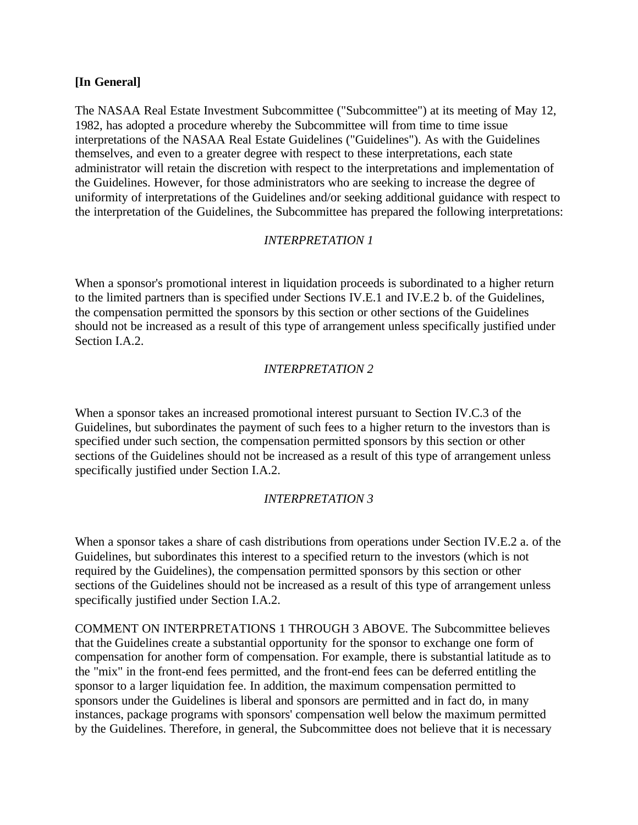#### **[In General]**

The NASAA Real Estate Investment Subcommittee ("Subcommittee") at its meeting of May 12, 1982, has adopted a procedure whereby the Subcommittee will from time to time issue interpretations of the NASAA Real Estate Guidelines ("Guidelines"). As with the Guidelines themselves, and even to a greater degree with respect to these interpretations, each state administrator will retain the discretion with respect to the interpretations and implementation of the Guidelines. However, for those administrators who are seeking to increase the degree of uniformity of interpretations of the Guidelines and/or seeking additional guidance with respect to the interpretation of the Guidelines, the Subcommittee has prepared the following interpretations:

## *INTERPRETATION 1*

When a sponsor's promotional interest in liquidation proceeds is subordinated to a higher return to the limited partners than is specified under Sections IV.E.1 and IV.E.2 b. of the Guidelines, the compensation permitted the sponsors by this section or other sections of the Guidelines should not be increased as a result of this type of arrangement unless specifically justified under Section I.A.2.

#### *INTERPRETATION 2*

When a sponsor takes an increased promotional interest pursuant to Section IV.C.3 of the Guidelines, but subordinates the payment of such fees to a higher return to the investors than is specified under such section, the compensation permitted sponsors by this section or other sections of the Guidelines should not be increased as a result of this type of arrangement unless specifically justified under Section I.A.2.

#### *INTERPRETATION 3*

When a sponsor takes a share of cash distributions from operations under Section IV.E.2 a. of the Guidelines, but subordinates this interest to a specified return to the investors (which is not required by the Guidelines), the compensation permitted sponsors by this section or other sections of the Guidelines should not be increased as a result of this type of arrangement unless specifically justified under Section I.A.2.

COMMENT ON INTERPRETATIONS 1 THROUGH 3 ABOVE. The Subcommittee believes that the Guidelines create a substantial opportunity for the sponsor to exchange one form of compensation for another form of compensation. For example, there is substantial latitude as to the "mix" in the front-end fees permitted, and the front-end fees can be deferred entitling the sponsor to a larger liquidation fee. In addition, the maximum compensation permitted to sponsors under the Guidelines is liberal and sponsors are permitted and in fact do, in many instances, package programs with sponsors' compensation well below the maximum permitted by the Guidelines. Therefore, in general, the Subcommittee does not believe that it is necessary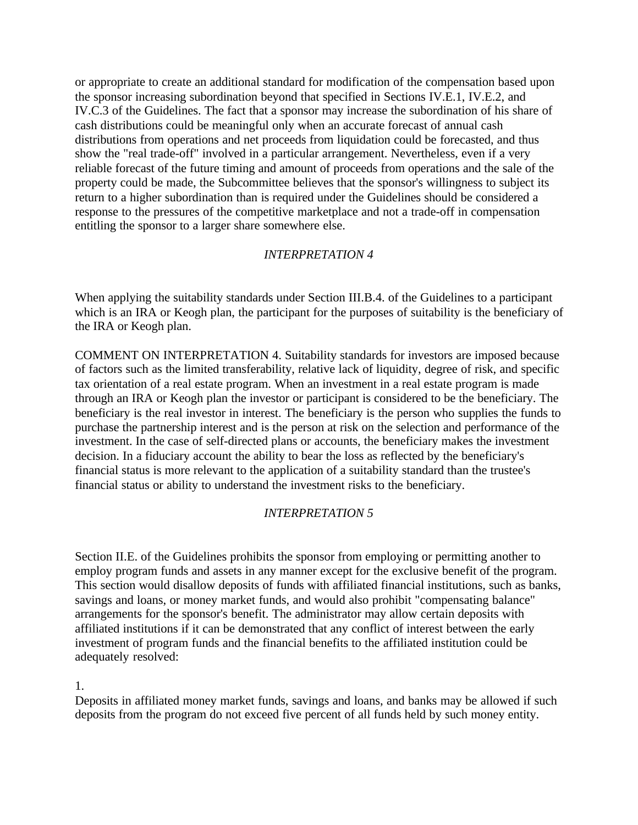or appropriate to create an additional standard for modification of the compensation based upon the sponsor increasing subordination beyond that specified in Sections IV.E.1, IV.E.2, and IV.C.3 of the Guidelines. The fact that a sponsor may increase the subordination of his share of cash distributions could be meaningful only when an accurate forecast of annual cash distributions from operations and net proceeds from liquidation could be forecasted, and thus show the "real trade-off" involved in a particular arrangement. Nevertheless, even if a very reliable forecast of the future timing and amount of proceeds from operations and the sale of the property could be made, the Subcommittee believes that the sponsor's willingness to subject its return to a higher subordination than is required under the Guidelines should be considered a response to the pressures of the competitive marketplace and not a trade-off in compensation entitling the sponsor to a larger share somewhere else.

#### *INTERPRETATION 4*

When applying the suitability standards under Section III.B.4. of the Guidelines to a participant which is an IRA or Keogh plan, the participant for the purposes of suitability is the beneficiary of the IRA or Keogh plan.

COMMENT ON INTERPRETATION 4. Suitability standards for investors are imposed because of factors such as the limited transferability, relative lack of liquidity, degree of risk, and specific tax orientation of a real estate program. When an investment in a real estate program is made through an IRA or Keogh plan the investor or participant is considered to be the beneficiary. The beneficiary is the real investor in interest. The beneficiary is the person who supplies the funds to purchase the partnership interest and is the person at risk on the selection and performance of the investment. In the case of self-directed plans or accounts, the beneficiary makes the investment decision. In a fiduciary account the ability to bear the loss as reflected by the beneficiary's financial status is more relevant to the application of a suitability standard than the trustee's financial status or ability to understand the investment risks to the beneficiary.

#### *INTERPRETATION 5*

Section II.E. of the Guidelines prohibits the sponsor from employing or permitting another to employ program funds and assets in any manner except for the exclusive benefit of the program. This section would disallow deposits of funds with affiliated financial institutions, such as banks, savings and loans, or money market funds, and would also prohibit "compensating balance" arrangements for the sponsor's benefit. The administrator may allow certain deposits with affiliated institutions if it can be demonstrated that any conflict of interest between the early investment of program funds and the financial benefits to the affiliated institution could be adequately resolved:

#### 1.

Deposits in affiliated money market funds, savings and loans, and banks may be allowed if such deposits from the program do not exceed five percent of all funds held by such money entity.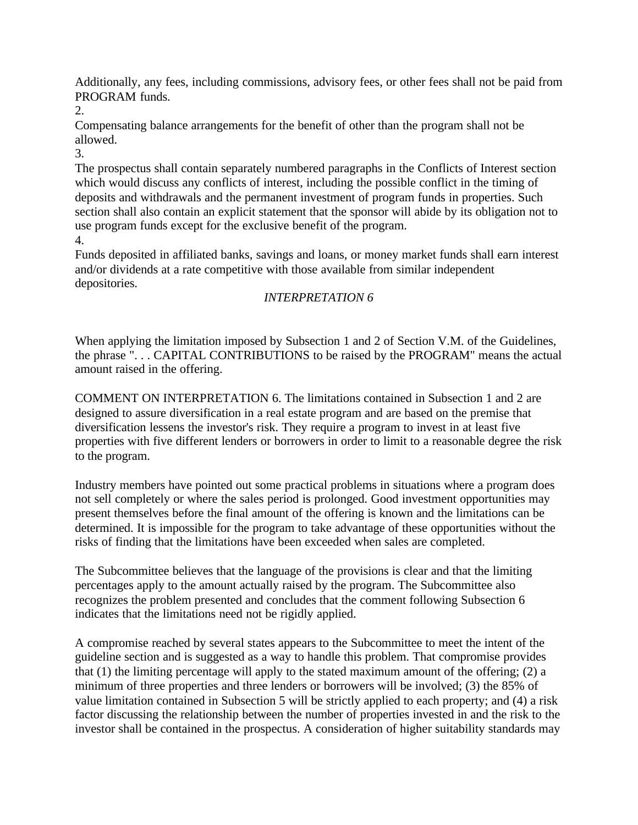Additionally, any fees, including commissions, advisory fees, or other fees shall not be paid from PROGRAM funds.

2.

Compensating balance arrangements for the benefit of other than the program shall not be allowed.

3.

The prospectus shall contain separately numbered paragraphs in the Conflicts of Interest section which would discuss any conflicts of interest, including the possible conflict in the timing of deposits and withdrawals and the permanent investment of program funds in properties. Such section shall also contain an explicit statement that the sponsor will abide by its obligation not to use program funds except for the exclusive benefit of the program. 4.

Funds deposited in affiliated banks, savings and loans, or money market funds shall earn interest and/or dividends at a rate competitive with those available from similar independent depositories.

## *INTERPRETATION 6*

When applying the limitation imposed by Subsection 1 and 2 of Section V.M. of the Guidelines, the phrase ". . . CAPITAL CONTRIBUTIONS to be raised by the PROGRAM" means the actual amount raised in the offering.

COMMENT ON INTERPRETATION 6. The limitations contained in Subsection 1 and 2 are designed to assure diversification in a real estate program and are based on the premise that diversification lessens the investor's risk. They require a program to invest in at least five properties with five different lenders or borrowers in order to limit to a reasonable degree the risk to the program.

Industry members have pointed out some practical problems in situations where a program does not sell completely or where the sales period is prolonged. Good investment opportunities may present themselves before the final amount of the offering is known and the limitations can be determined. It is impossible for the program to take advantage of these opportunities without the risks of finding that the limitations have been exceeded when sales are completed.

The Subcommittee believes that the language of the provisions is clear and that the limiting percentages apply to the amount actually raised by the program. The Subcommittee also recognizes the problem presented and concludes that the comment following Subsection 6 indicates that the limitations need not be rigidly applied.

A compromise reached by several states appears to the Subcommittee to meet the intent of the guideline section and is suggested as a way to handle this problem. That compromise provides that (1) the limiting percentage will apply to the stated maximum amount of the offering; (2) a minimum of three properties and three lenders or borrowers will be involved; (3) the 85% of value limitation contained in Subsection 5 will be strictly applied to each property; and (4) a risk factor discussing the relationship between the number of properties invested in and the risk to the investor shall be contained in the prospectus. A consideration of higher suitability standards may